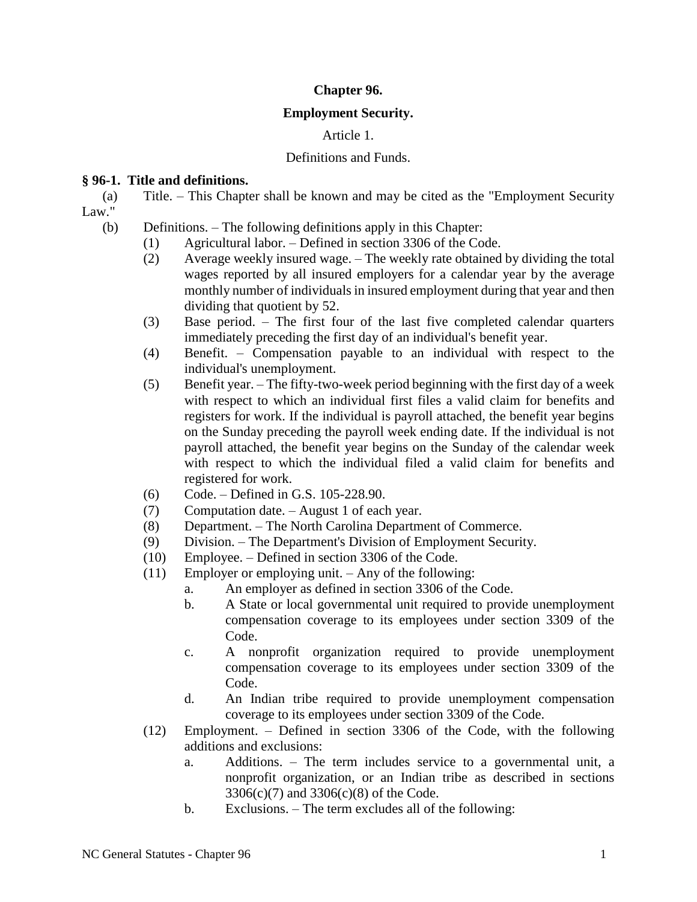# **Chapter 96.**

### **Employment Security.**

# Article 1.

### Definitions and Funds.

### **§ 96-1. Title and definitions.**

(a) Title. – This Chapter shall be known and may be cited as the "Employment Security Law."

- (b) Definitions. The following definitions apply in this Chapter:
	- (1) Agricultural labor. Defined in section 3306 of the Code.
	- (2) Average weekly insured wage. The weekly rate obtained by dividing the total wages reported by all insured employers for a calendar year by the average monthly number of individuals in insured employment during that year and then dividing that quotient by 52.
	- (3) Base period. The first four of the last five completed calendar quarters immediately preceding the first day of an individual's benefit year.
	- (4) Benefit. Compensation payable to an individual with respect to the individual's unemployment.
	- (5) Benefit year. The fifty-two-week period beginning with the first day of a week with respect to which an individual first files a valid claim for benefits and registers for work. If the individual is payroll attached, the benefit year begins on the Sunday preceding the payroll week ending date. If the individual is not payroll attached, the benefit year begins on the Sunday of the calendar week with respect to which the individual filed a valid claim for benefits and registered for work.
	- (6) Code. Defined in G.S. 105-228.90.
	- (7) Computation date. August 1 of each year.
	- (8) Department. The North Carolina Department of Commerce.
	- (9) Division. The Department's Division of Employment Security.
	- (10) Employee. Defined in section 3306 of the Code.
	- (11) Employer or employing unit. Any of the following:
		- a. An employer as defined in section 3306 of the Code.
		- b. A State or local governmental unit required to provide unemployment compensation coverage to its employees under section 3309 of the Code.
		- c. A nonprofit organization required to provide unemployment compensation coverage to its employees under section 3309 of the Code.
		- d. An Indian tribe required to provide unemployment compensation coverage to its employees under section 3309 of the Code.
	- (12) Employment. Defined in section 3306 of the Code, with the following additions and exclusions:
		- a. Additions. The term includes service to a governmental unit, a nonprofit organization, or an Indian tribe as described in sections 3306(c)(7) and 3306(c)(8) of the Code.
		- b. Exclusions. The term excludes all of the following: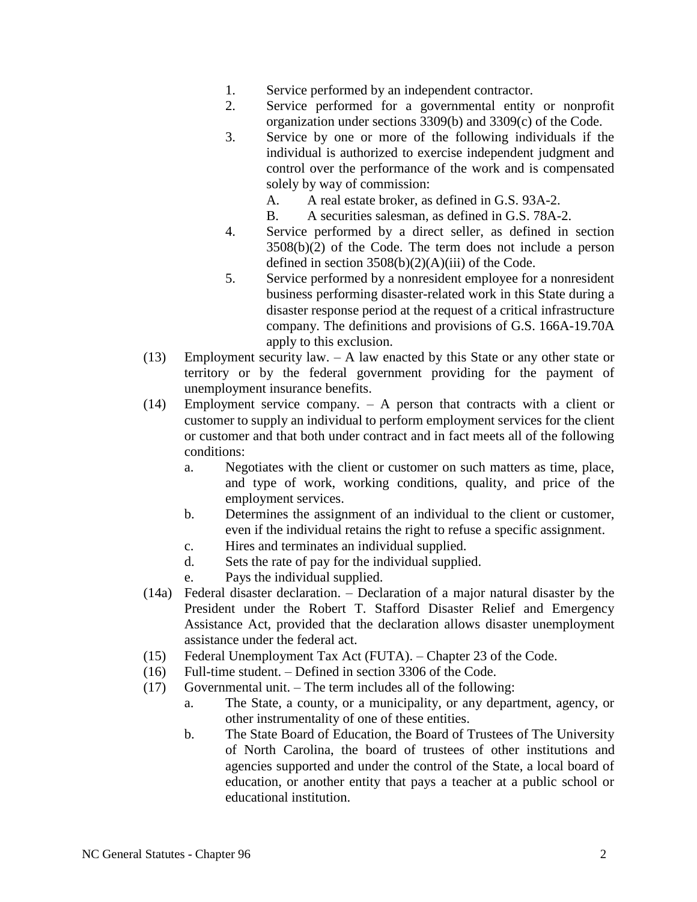- 1. Service performed by an independent contractor.
- 2. Service performed for a governmental entity or nonprofit organization under sections 3309(b) and 3309(c) of the Code.
- 3. Service by one or more of the following individuals if the individual is authorized to exercise independent judgment and control over the performance of the work and is compensated solely by way of commission:
	- A. A real estate broker, as defined in G.S. 93A-2.
	- B. A securities salesman, as defined in G.S. 78A-2.
- 4. Service performed by a direct seller, as defined in section 3508(b)(2) of the Code. The term does not include a person defined in section  $3508(b)(2)(A)(iii)$  of the Code.
- 5. Service performed by a nonresident employee for a nonresident business performing disaster-related work in this State during a disaster response period at the request of a critical infrastructure company. The definitions and provisions of G.S. 166A-19.70A apply to this exclusion.
- (13) Employment security law. A law enacted by this State or any other state or territory or by the federal government providing for the payment of unemployment insurance benefits.
- (14) Employment service company. A person that contracts with a client or customer to supply an individual to perform employment services for the client or customer and that both under contract and in fact meets all of the following conditions:
	- a. Negotiates with the client or customer on such matters as time, place, and type of work, working conditions, quality, and price of the employment services.
	- b. Determines the assignment of an individual to the client or customer, even if the individual retains the right to refuse a specific assignment.
	- c. Hires and terminates an individual supplied.
	- d. Sets the rate of pay for the individual supplied.
	- e. Pays the individual supplied.
- (14a) Federal disaster declaration. Declaration of a major natural disaster by the President under the Robert T. Stafford Disaster Relief and Emergency Assistance Act, provided that the declaration allows disaster unemployment assistance under the federal act.
- (15) Federal Unemployment Tax Act (FUTA). Chapter 23 of the Code.
- (16) Full-time student. Defined in section 3306 of the Code.
- (17) Governmental unit. The term includes all of the following:
	- a. The State, a county, or a municipality, or any department, agency, or other instrumentality of one of these entities.
	- b. The State Board of Education, the Board of Trustees of The University of North Carolina, the board of trustees of other institutions and agencies supported and under the control of the State, a local board of education, or another entity that pays a teacher at a public school or educational institution.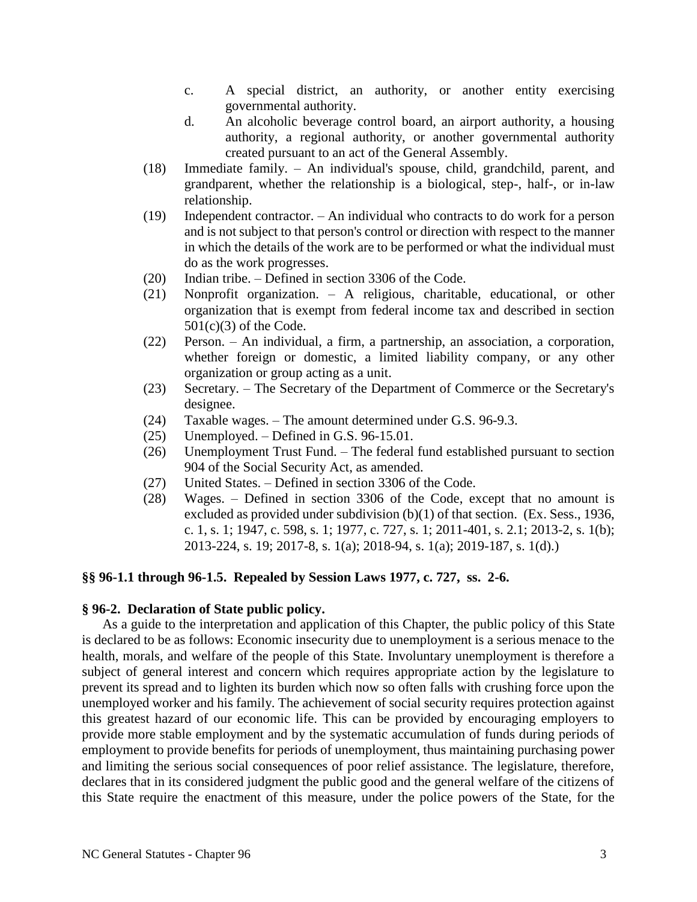- c. A special district, an authority, or another entity exercising governmental authority.
- d. An alcoholic beverage control board, an airport authority, a housing authority, a regional authority, or another governmental authority created pursuant to an act of the General Assembly.
- (18) Immediate family. An individual's spouse, child, grandchild, parent, and grandparent, whether the relationship is a biological, step-, half-, or in-law relationship.
- (19) Independent contractor. An individual who contracts to do work for a person and is not subject to that person's control or direction with respect to the manner in which the details of the work are to be performed or what the individual must do as the work progresses.
- (20) Indian tribe. Defined in section 3306 of the Code.
- (21) Nonprofit organization. A religious, charitable, educational, or other organization that is exempt from federal income tax and described in section 501(c)(3) of the Code.
- (22) Person. An individual, a firm, a partnership, an association, a corporation, whether foreign or domestic, a limited liability company, or any other organization or group acting as a unit.
- (23) Secretary. The Secretary of the Department of Commerce or the Secretary's designee.
- (24) Taxable wages. The amount determined under G.S. 96-9.3.
- (25) Unemployed. Defined in G.S. 96-15.01.
- (26) Unemployment Trust Fund. The federal fund established pursuant to section 904 of the Social Security Act, as amended.
- (27) United States. Defined in section 3306 of the Code.
- (28) Wages. Defined in section 3306 of the Code, except that no amount is excluded as provided under subdivision (b)(1) of that section. (Ex. Sess., 1936, c. 1, s. 1; 1947, c. 598, s. 1; 1977, c. 727, s. 1; 2011-401, s. 2.1; 2013-2, s. 1(b); 2013-224, s. 19; 2017-8, s. 1(a); 2018-94, s. 1(a); 2019-187, s. 1(d).)

### **§§ 96-1.1 through 96-1.5. Repealed by Session Laws 1977, c. 727, ss. 2-6.**

#### **§ 96-2. Declaration of State public policy.**

As a guide to the interpretation and application of this Chapter, the public policy of this State is declared to be as follows: Economic insecurity due to unemployment is a serious menace to the health, morals, and welfare of the people of this State. Involuntary unemployment is therefore a subject of general interest and concern which requires appropriate action by the legislature to prevent its spread and to lighten its burden which now so often falls with crushing force upon the unemployed worker and his family. The achievement of social security requires protection against this greatest hazard of our economic life. This can be provided by encouraging employers to provide more stable employment and by the systematic accumulation of funds during periods of employment to provide benefits for periods of unemployment, thus maintaining purchasing power and limiting the serious social consequences of poor relief assistance. The legislature, therefore, declares that in its considered judgment the public good and the general welfare of the citizens of this State require the enactment of this measure, under the police powers of the State, for the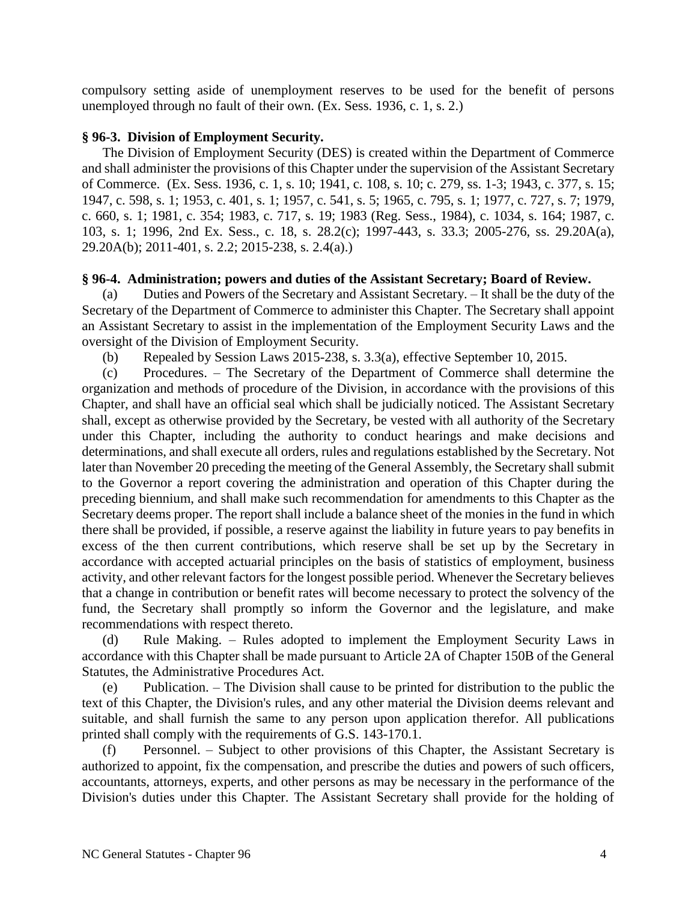compulsory setting aside of unemployment reserves to be used for the benefit of persons unemployed through no fault of their own. (Ex. Sess. 1936, c. 1, s. 2.)

# **§ 96-3. Division of Employment Security.**

The Division of Employment Security (DES) is created within the Department of Commerce and shall administer the provisions of this Chapter under the supervision of the Assistant Secretary of Commerce. (Ex. Sess. 1936, c. 1, s. 10; 1941, c. 108, s. 10; c. 279, ss. 1-3; 1943, c. 377, s. 15; 1947, c. 598, s. 1; 1953, c. 401, s. 1; 1957, c. 541, s. 5; 1965, c. 795, s. 1; 1977, c. 727, s. 7; 1979, c. 660, s. 1; 1981, c. 354; 1983, c. 717, s. 19; 1983 (Reg. Sess., 1984), c. 1034, s. 164; 1987, c. 103, s. 1; 1996, 2nd Ex. Sess., c. 18, s. 28.2(c); 1997-443, s. 33.3; 2005-276, ss. 29.20A(a), 29.20A(b); 2011-401, s. 2.2; 2015-238, s. 2.4(a).)

# **§ 96-4. Administration; powers and duties of the Assistant Secretary; Board of Review.**

(a) Duties and Powers of the Secretary and Assistant Secretary. – It shall be the duty of the Secretary of the Department of Commerce to administer this Chapter. The Secretary shall appoint an Assistant Secretary to assist in the implementation of the Employment Security Laws and the oversight of the Division of Employment Security.

(b) Repealed by Session Laws 2015-238, s. 3.3(a), effective September 10, 2015.

(c) Procedures. – The Secretary of the Department of Commerce shall determine the organization and methods of procedure of the Division, in accordance with the provisions of this Chapter, and shall have an official seal which shall be judicially noticed. The Assistant Secretary shall, except as otherwise provided by the Secretary, be vested with all authority of the Secretary under this Chapter, including the authority to conduct hearings and make decisions and determinations, and shall execute all orders, rules and regulations established by the Secretary. Not later than November 20 preceding the meeting of the General Assembly, the Secretary shall submit to the Governor a report covering the administration and operation of this Chapter during the preceding biennium, and shall make such recommendation for amendments to this Chapter as the Secretary deems proper. The report shall include a balance sheet of the monies in the fund in which there shall be provided, if possible, a reserve against the liability in future years to pay benefits in excess of the then current contributions, which reserve shall be set up by the Secretary in accordance with accepted actuarial principles on the basis of statistics of employment, business activity, and other relevant factors for the longest possible period. Whenever the Secretary believes that a change in contribution or benefit rates will become necessary to protect the solvency of the fund, the Secretary shall promptly so inform the Governor and the legislature, and make recommendations with respect thereto.

(d) Rule Making. – Rules adopted to implement the Employment Security Laws in accordance with this Chapter shall be made pursuant to Article 2A of Chapter 150B of the General Statutes, the Administrative Procedures Act.

(e) Publication. – The Division shall cause to be printed for distribution to the public the text of this Chapter, the Division's rules, and any other material the Division deems relevant and suitable, and shall furnish the same to any person upon application therefor. All publications printed shall comply with the requirements of G.S. 143-170.1.

(f) Personnel. – Subject to other provisions of this Chapter, the Assistant Secretary is authorized to appoint, fix the compensation, and prescribe the duties and powers of such officers, accountants, attorneys, experts, and other persons as may be necessary in the performance of the Division's duties under this Chapter. The Assistant Secretary shall provide for the holding of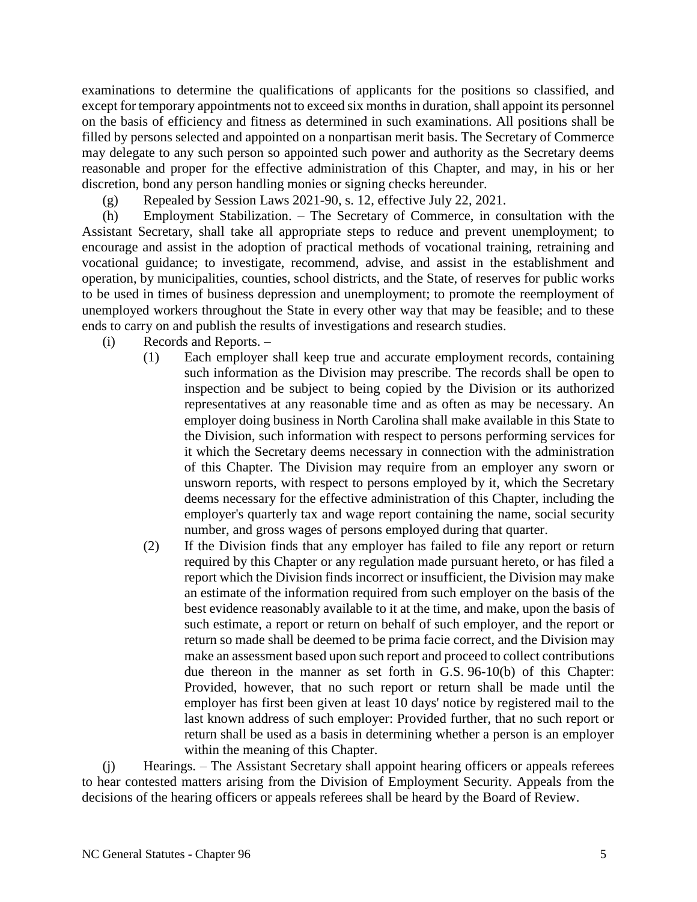examinations to determine the qualifications of applicants for the positions so classified, and except for temporary appointments not to exceed six months in duration, shall appoint its personnel on the basis of efficiency and fitness as determined in such examinations. All positions shall be filled by persons selected and appointed on a nonpartisan merit basis. The Secretary of Commerce may delegate to any such person so appointed such power and authority as the Secretary deems reasonable and proper for the effective administration of this Chapter, and may, in his or her discretion, bond any person handling monies or signing checks hereunder.

(g) Repealed by Session Laws 2021-90, s. 12, effective July 22, 2021.

(h) Employment Stabilization. – The Secretary of Commerce, in consultation with the Assistant Secretary, shall take all appropriate steps to reduce and prevent unemployment; to encourage and assist in the adoption of practical methods of vocational training, retraining and vocational guidance; to investigate, recommend, advise, and assist in the establishment and operation, by municipalities, counties, school districts, and the State, of reserves for public works to be used in times of business depression and unemployment; to promote the reemployment of unemployed workers throughout the State in every other way that may be feasible; and to these ends to carry on and publish the results of investigations and research studies.

- (i) Records and Reports.
	- (1) Each employer shall keep true and accurate employment records, containing such information as the Division may prescribe. The records shall be open to inspection and be subject to being copied by the Division or its authorized representatives at any reasonable time and as often as may be necessary. An employer doing business in North Carolina shall make available in this State to the Division, such information with respect to persons performing services for it which the Secretary deems necessary in connection with the administration of this Chapter. The Division may require from an employer any sworn or unsworn reports, with respect to persons employed by it, which the Secretary deems necessary for the effective administration of this Chapter, including the employer's quarterly tax and wage report containing the name, social security number, and gross wages of persons employed during that quarter.
	- (2) If the Division finds that any employer has failed to file any report or return required by this Chapter or any regulation made pursuant hereto, or has filed a report which the Division finds incorrect or insufficient, the Division may make an estimate of the information required from such employer on the basis of the best evidence reasonably available to it at the time, and make, upon the basis of such estimate, a report or return on behalf of such employer, and the report or return so made shall be deemed to be prima facie correct, and the Division may make an assessment based upon such report and proceed to collect contributions due thereon in the manner as set forth in G.S. 96-10(b) of this Chapter: Provided, however, that no such report or return shall be made until the employer has first been given at least 10 days' notice by registered mail to the last known address of such employer: Provided further, that no such report or return shall be used as a basis in determining whether a person is an employer within the meaning of this Chapter.

(j) Hearings. – The Assistant Secretary shall appoint hearing officers or appeals referees to hear contested matters arising from the Division of Employment Security. Appeals from the decisions of the hearing officers or appeals referees shall be heard by the Board of Review.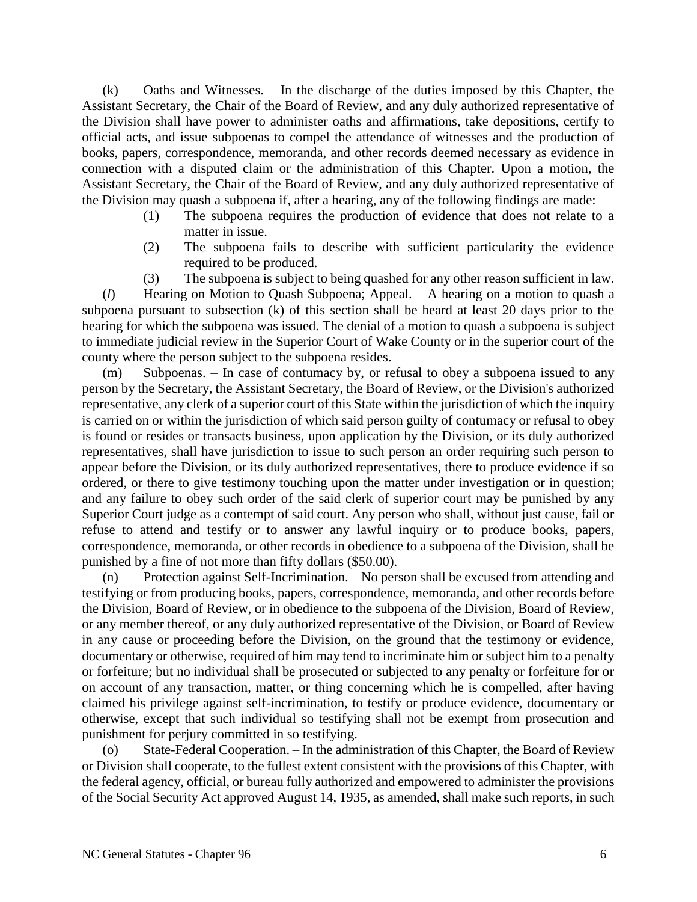(k) Oaths and Witnesses. – In the discharge of the duties imposed by this Chapter, the Assistant Secretary, the Chair of the Board of Review, and any duly authorized representative of the Division shall have power to administer oaths and affirmations, take depositions, certify to official acts, and issue subpoenas to compel the attendance of witnesses and the production of books, papers, correspondence, memoranda, and other records deemed necessary as evidence in connection with a disputed claim or the administration of this Chapter. Upon a motion, the Assistant Secretary, the Chair of the Board of Review, and any duly authorized representative of the Division may quash a subpoena if, after a hearing, any of the following findings are made:

- (1) The subpoena requires the production of evidence that does not relate to a matter in issue.
- (2) The subpoena fails to describe with sufficient particularity the evidence required to be produced.
- (3) The subpoena is subject to being quashed for any other reason sufficient in law.

(*l*) Hearing on Motion to Quash Subpoena; Appeal. – A hearing on a motion to quash a subpoena pursuant to subsection (k) of this section shall be heard at least 20 days prior to the hearing for which the subpoena was issued. The denial of a motion to quash a subpoena is subject to immediate judicial review in the Superior Court of Wake County or in the superior court of the county where the person subject to the subpoena resides.

(m) Subpoenas. – In case of contumacy by, or refusal to obey a subpoena issued to any person by the Secretary, the Assistant Secretary, the Board of Review, or the Division's authorized representative, any clerk of a superior court of this State within the jurisdiction of which the inquiry is carried on or within the jurisdiction of which said person guilty of contumacy or refusal to obey is found or resides or transacts business, upon application by the Division, or its duly authorized representatives, shall have jurisdiction to issue to such person an order requiring such person to appear before the Division, or its duly authorized representatives, there to produce evidence if so ordered, or there to give testimony touching upon the matter under investigation or in question; and any failure to obey such order of the said clerk of superior court may be punished by any Superior Court judge as a contempt of said court. Any person who shall, without just cause, fail or refuse to attend and testify or to answer any lawful inquiry or to produce books, papers, correspondence, memoranda, or other records in obedience to a subpoena of the Division, shall be punished by a fine of not more than fifty dollars (\$50.00).

(n) Protection against Self-Incrimination. – No person shall be excused from attending and testifying or from producing books, papers, correspondence, memoranda, and other records before the Division, Board of Review, or in obedience to the subpoena of the Division, Board of Review, or any member thereof, or any duly authorized representative of the Division, or Board of Review in any cause or proceeding before the Division, on the ground that the testimony or evidence, documentary or otherwise, required of him may tend to incriminate him or subject him to a penalty or forfeiture; but no individual shall be prosecuted or subjected to any penalty or forfeiture for or on account of any transaction, matter, or thing concerning which he is compelled, after having claimed his privilege against self-incrimination, to testify or produce evidence, documentary or otherwise, except that such individual so testifying shall not be exempt from prosecution and punishment for perjury committed in so testifying.

(o) State-Federal Cooperation. – In the administration of this Chapter, the Board of Review or Division shall cooperate, to the fullest extent consistent with the provisions of this Chapter, with the federal agency, official, or bureau fully authorized and empowered to administer the provisions of the Social Security Act approved August 14, 1935, as amended, shall make such reports, in such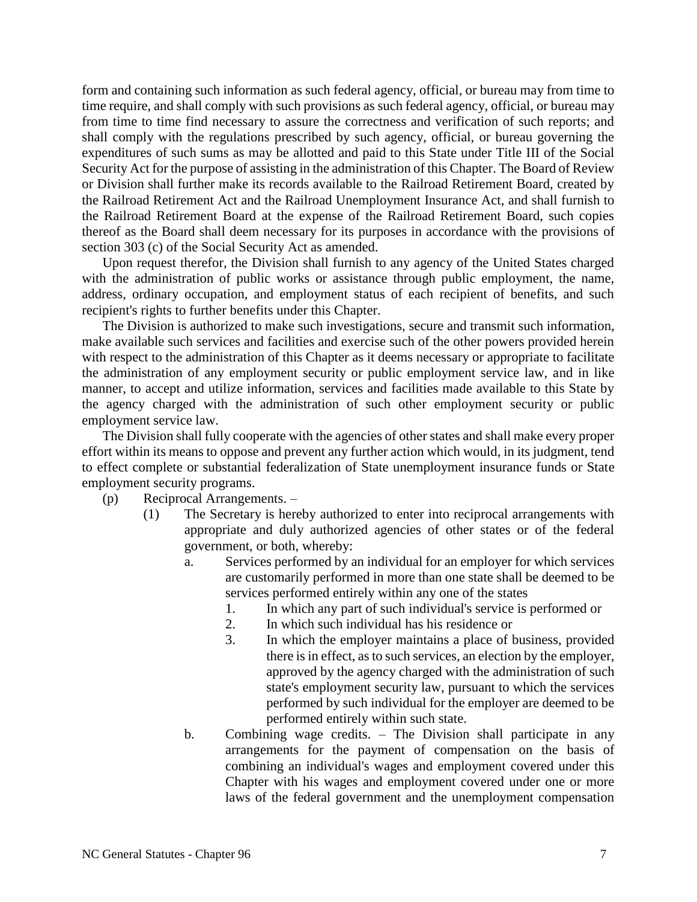form and containing such information as such federal agency, official, or bureau may from time to time require, and shall comply with such provisions as such federal agency, official, or bureau may from time to time find necessary to assure the correctness and verification of such reports; and shall comply with the regulations prescribed by such agency, official, or bureau governing the expenditures of such sums as may be allotted and paid to this State under Title III of the Social Security Act for the purpose of assisting in the administration of this Chapter. The Board of Review or Division shall further make its records available to the Railroad Retirement Board, created by the Railroad Retirement Act and the Railroad Unemployment Insurance Act, and shall furnish to the Railroad Retirement Board at the expense of the Railroad Retirement Board, such copies thereof as the Board shall deem necessary for its purposes in accordance with the provisions of section 303 (c) of the Social Security Act as amended.

Upon request therefor, the Division shall furnish to any agency of the United States charged with the administration of public works or assistance through public employment, the name, address, ordinary occupation, and employment status of each recipient of benefits, and such recipient's rights to further benefits under this Chapter.

The Division is authorized to make such investigations, secure and transmit such information, make available such services and facilities and exercise such of the other powers provided herein with respect to the administration of this Chapter as it deems necessary or appropriate to facilitate the administration of any employment security or public employment service law, and in like manner, to accept and utilize information, services and facilities made available to this State by the agency charged with the administration of such other employment security or public employment service law.

The Division shall fully cooperate with the agencies of other states and shall make every proper effort within its means to oppose and prevent any further action which would, in its judgment, tend to effect complete or substantial federalization of State unemployment insurance funds or State employment security programs.

- (p) Reciprocal Arrangements.
	- (1) The Secretary is hereby authorized to enter into reciprocal arrangements with appropriate and duly authorized agencies of other states or of the federal government, or both, whereby:
		- a. Services performed by an individual for an employer for which services are customarily performed in more than one state shall be deemed to be services performed entirely within any one of the states
			- 1. In which any part of such individual's service is performed or
			- 2. In which such individual has his residence or
			- 3. In which the employer maintains a place of business, provided there is in effect, as to such services, an election by the employer, approved by the agency charged with the administration of such state's employment security law, pursuant to which the services performed by such individual for the employer are deemed to be performed entirely within such state.
		- b. Combining wage credits. The Division shall participate in any arrangements for the payment of compensation on the basis of combining an individual's wages and employment covered under this Chapter with his wages and employment covered under one or more laws of the federal government and the unemployment compensation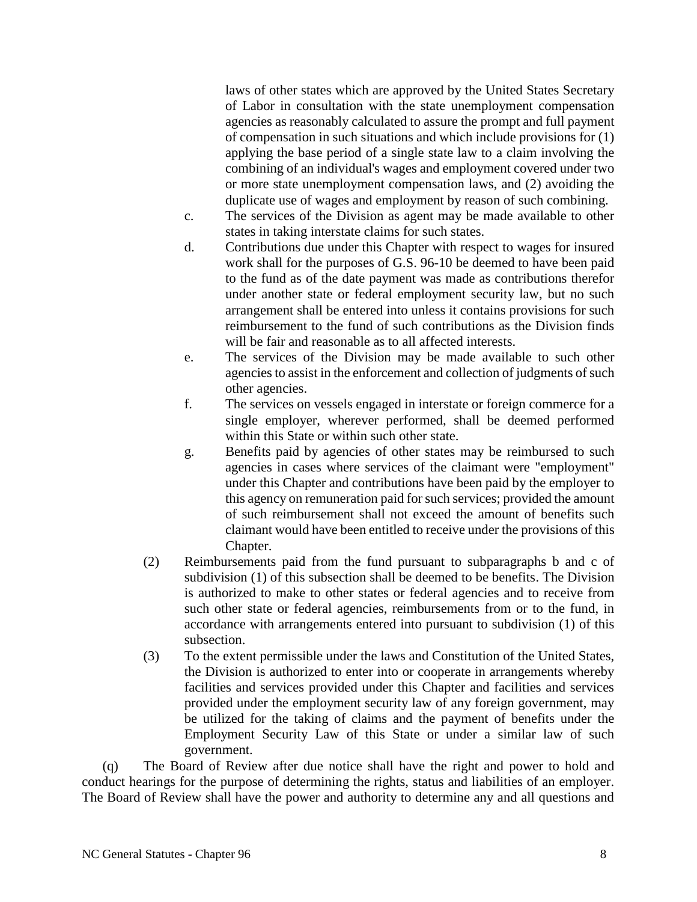laws of other states which are approved by the United States Secretary of Labor in consultation with the state unemployment compensation agencies as reasonably calculated to assure the prompt and full payment of compensation in such situations and which include provisions for (1) applying the base period of a single state law to a claim involving the combining of an individual's wages and employment covered under two or more state unemployment compensation laws, and (2) avoiding the duplicate use of wages and employment by reason of such combining.

- c. The services of the Division as agent may be made available to other states in taking interstate claims for such states.
- d. Contributions due under this Chapter with respect to wages for insured work shall for the purposes of G.S. 96-10 be deemed to have been paid to the fund as of the date payment was made as contributions therefor under another state or federal employment security law, but no such arrangement shall be entered into unless it contains provisions for such reimbursement to the fund of such contributions as the Division finds will be fair and reasonable as to all affected interests.
- e. The services of the Division may be made available to such other agencies to assist in the enforcement and collection of judgments of such other agencies.
- f. The services on vessels engaged in interstate or foreign commerce for a single employer, wherever performed, shall be deemed performed within this State or within such other state.
- g. Benefits paid by agencies of other states may be reimbursed to such agencies in cases where services of the claimant were "employment" under this Chapter and contributions have been paid by the employer to this agency on remuneration paid for such services; provided the amount of such reimbursement shall not exceed the amount of benefits such claimant would have been entitled to receive under the provisions of this Chapter.
- (2) Reimbursements paid from the fund pursuant to subparagraphs b and c of subdivision (1) of this subsection shall be deemed to be benefits. The Division is authorized to make to other states or federal agencies and to receive from such other state or federal agencies, reimbursements from or to the fund, in accordance with arrangements entered into pursuant to subdivision (1) of this subsection.
- (3) To the extent permissible under the laws and Constitution of the United States, the Division is authorized to enter into or cooperate in arrangements whereby facilities and services provided under this Chapter and facilities and services provided under the employment security law of any foreign government, may be utilized for the taking of claims and the payment of benefits under the Employment Security Law of this State or under a similar law of such government.

(q) The Board of Review after due notice shall have the right and power to hold and conduct hearings for the purpose of determining the rights, status and liabilities of an employer. The Board of Review shall have the power and authority to determine any and all questions and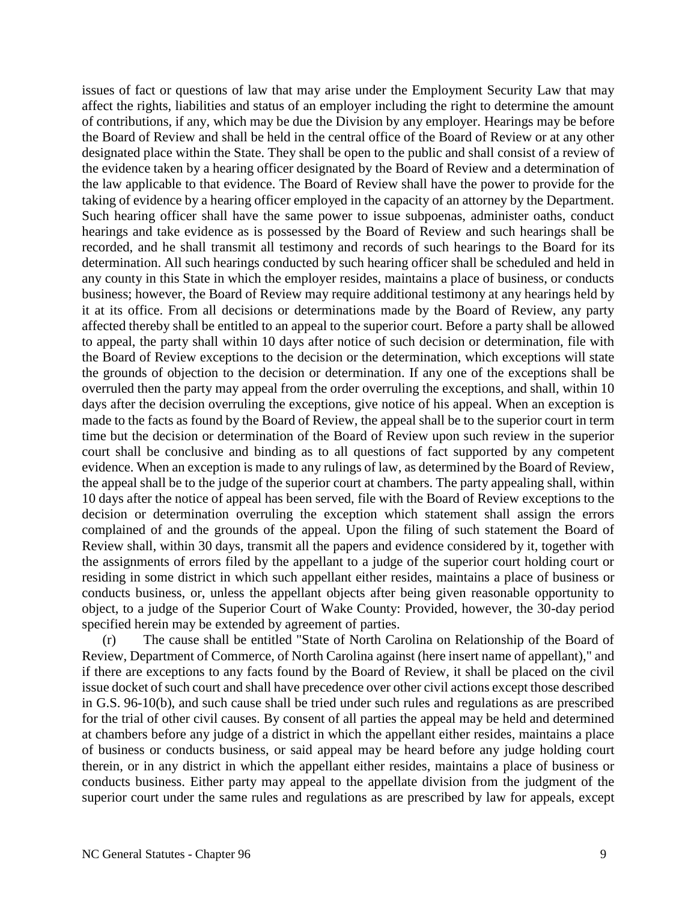issues of fact or questions of law that may arise under the Employment Security Law that may affect the rights, liabilities and status of an employer including the right to determine the amount of contributions, if any, which may be due the Division by any employer. Hearings may be before the Board of Review and shall be held in the central office of the Board of Review or at any other designated place within the State. They shall be open to the public and shall consist of a review of the evidence taken by a hearing officer designated by the Board of Review and a determination of the law applicable to that evidence. The Board of Review shall have the power to provide for the taking of evidence by a hearing officer employed in the capacity of an attorney by the Department. Such hearing officer shall have the same power to issue subpoenas, administer oaths, conduct hearings and take evidence as is possessed by the Board of Review and such hearings shall be recorded, and he shall transmit all testimony and records of such hearings to the Board for its determination. All such hearings conducted by such hearing officer shall be scheduled and held in any county in this State in which the employer resides, maintains a place of business, or conducts business; however, the Board of Review may require additional testimony at any hearings held by it at its office. From all decisions or determinations made by the Board of Review, any party affected thereby shall be entitled to an appeal to the superior court. Before a party shall be allowed to appeal, the party shall within 10 days after notice of such decision or determination, file with the Board of Review exceptions to the decision or the determination, which exceptions will state the grounds of objection to the decision or determination. If any one of the exceptions shall be overruled then the party may appeal from the order overruling the exceptions, and shall, within 10 days after the decision overruling the exceptions, give notice of his appeal. When an exception is made to the facts as found by the Board of Review, the appeal shall be to the superior court in term time but the decision or determination of the Board of Review upon such review in the superior court shall be conclusive and binding as to all questions of fact supported by any competent evidence. When an exception is made to any rulings of law, as determined by the Board of Review, the appeal shall be to the judge of the superior court at chambers. The party appealing shall, within 10 days after the notice of appeal has been served, file with the Board of Review exceptions to the decision or determination overruling the exception which statement shall assign the errors complained of and the grounds of the appeal. Upon the filing of such statement the Board of Review shall, within 30 days, transmit all the papers and evidence considered by it, together with the assignments of errors filed by the appellant to a judge of the superior court holding court or residing in some district in which such appellant either resides, maintains a place of business or conducts business, or, unless the appellant objects after being given reasonable opportunity to object, to a judge of the Superior Court of Wake County: Provided, however, the 30-day period specified herein may be extended by agreement of parties.

The cause shall be entitled "State of North Carolina on Relationship of the Board of Review, Department of Commerce, of North Carolina against (here insert name of appellant)," and if there are exceptions to any facts found by the Board of Review, it shall be placed on the civil issue docket of such court and shall have precedence over other civil actions except those described in G.S. 96-10(b), and such cause shall be tried under such rules and regulations as are prescribed for the trial of other civil causes. By consent of all parties the appeal may be held and determined at chambers before any judge of a district in which the appellant either resides, maintains a place of business or conducts business, or said appeal may be heard before any judge holding court therein, or in any district in which the appellant either resides, maintains a place of business or conducts business. Either party may appeal to the appellate division from the judgment of the superior court under the same rules and regulations as are prescribed by law for appeals, except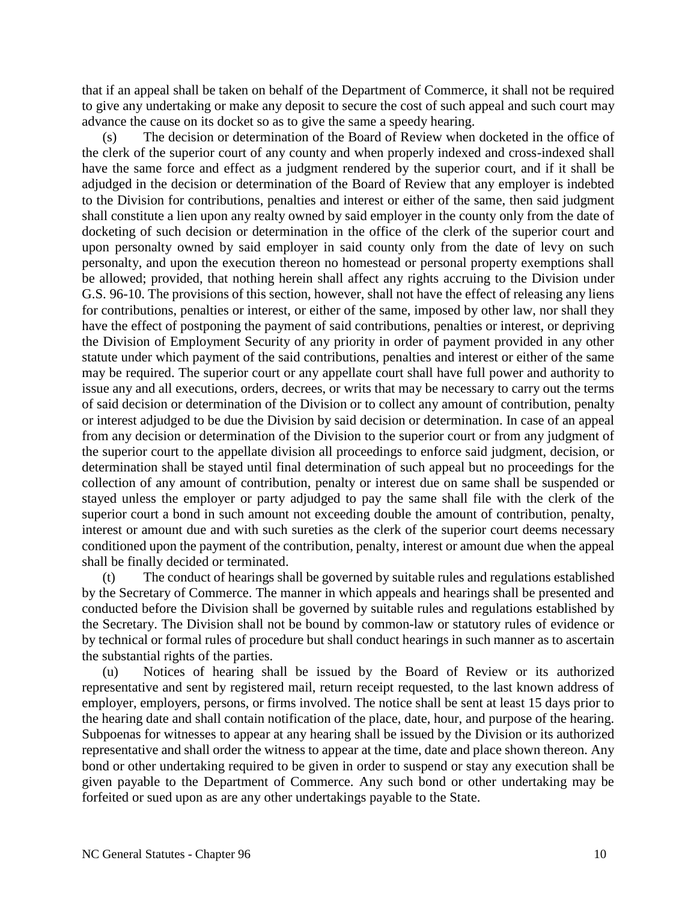that if an appeal shall be taken on behalf of the Department of Commerce, it shall not be required to give any undertaking or make any deposit to secure the cost of such appeal and such court may advance the cause on its docket so as to give the same a speedy hearing.

The decision or determination of the Board of Review when docketed in the office of the clerk of the superior court of any county and when properly indexed and cross-indexed shall have the same force and effect as a judgment rendered by the superior court, and if it shall be adjudged in the decision or determination of the Board of Review that any employer is indebted to the Division for contributions, penalties and interest or either of the same, then said judgment shall constitute a lien upon any realty owned by said employer in the county only from the date of docketing of such decision or determination in the office of the clerk of the superior court and upon personalty owned by said employer in said county only from the date of levy on such personalty, and upon the execution thereon no homestead or personal property exemptions shall be allowed; provided, that nothing herein shall affect any rights accruing to the Division under G.S. 96-10. The provisions of this section, however, shall not have the effect of releasing any liens for contributions, penalties or interest, or either of the same, imposed by other law, nor shall they have the effect of postponing the payment of said contributions, penalties or interest, or depriving the Division of Employment Security of any priority in order of payment provided in any other statute under which payment of the said contributions, penalties and interest or either of the same may be required. The superior court or any appellate court shall have full power and authority to issue any and all executions, orders, decrees, or writs that may be necessary to carry out the terms of said decision or determination of the Division or to collect any amount of contribution, penalty or interest adjudged to be due the Division by said decision or determination. In case of an appeal from any decision or determination of the Division to the superior court or from any judgment of the superior court to the appellate division all proceedings to enforce said judgment, decision, or determination shall be stayed until final determination of such appeal but no proceedings for the collection of any amount of contribution, penalty or interest due on same shall be suspended or stayed unless the employer or party adjudged to pay the same shall file with the clerk of the superior court a bond in such amount not exceeding double the amount of contribution, penalty, interest or amount due and with such sureties as the clerk of the superior court deems necessary conditioned upon the payment of the contribution, penalty, interest or amount due when the appeal shall be finally decided or terminated.

(t) The conduct of hearings shall be governed by suitable rules and regulations established by the Secretary of Commerce. The manner in which appeals and hearings shall be presented and conducted before the Division shall be governed by suitable rules and regulations established by the Secretary. The Division shall not be bound by common-law or statutory rules of evidence or by technical or formal rules of procedure but shall conduct hearings in such manner as to ascertain the substantial rights of the parties.

(u) Notices of hearing shall be issued by the Board of Review or its authorized representative and sent by registered mail, return receipt requested, to the last known address of employer, employers, persons, or firms involved. The notice shall be sent at least 15 days prior to the hearing date and shall contain notification of the place, date, hour, and purpose of the hearing. Subpoenas for witnesses to appear at any hearing shall be issued by the Division or its authorized representative and shall order the witness to appear at the time, date and place shown thereon. Any bond or other undertaking required to be given in order to suspend or stay any execution shall be given payable to the Department of Commerce. Any such bond or other undertaking may be forfeited or sued upon as are any other undertakings payable to the State.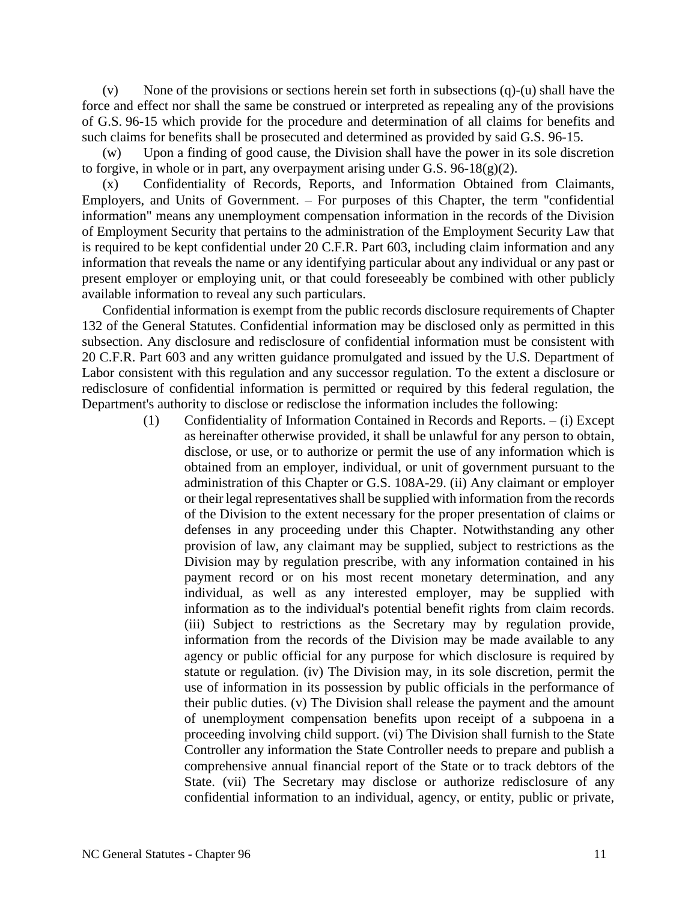(v) None of the provisions or sections herein set forth in subsections  $(q)-(u)$  shall have the force and effect nor shall the same be construed or interpreted as repealing any of the provisions of G.S. 96-15 which provide for the procedure and determination of all claims for benefits and such claims for benefits shall be prosecuted and determined as provided by said G.S. 96-15.

(w) Upon a finding of good cause, the Division shall have the power in its sole discretion to forgive, in whole or in part, any overpayment arising under G.S.  $96-18(g)(2)$ .

(x) Confidentiality of Records, Reports, and Information Obtained from Claimants, Employers, and Units of Government. – For purposes of this Chapter, the term "confidential information" means any unemployment compensation information in the records of the Division of Employment Security that pertains to the administration of the Employment Security Law that is required to be kept confidential under 20 C.F.R. Part 603, including claim information and any information that reveals the name or any identifying particular about any individual or any past or present employer or employing unit, or that could foreseeably be combined with other publicly available information to reveal any such particulars.

Confidential information is exempt from the public records disclosure requirements of Chapter 132 of the General Statutes. Confidential information may be disclosed only as permitted in this subsection. Any disclosure and redisclosure of confidential information must be consistent with 20 C.F.R. Part 603 and any written guidance promulgated and issued by the U.S. Department of Labor consistent with this regulation and any successor regulation. To the extent a disclosure or redisclosure of confidential information is permitted or required by this federal regulation, the Department's authority to disclose or redisclose the information includes the following:

> (1) Confidentiality of Information Contained in Records and Reports. – (i) Except as hereinafter otherwise provided, it shall be unlawful for any person to obtain, disclose, or use, or to authorize or permit the use of any information which is obtained from an employer, individual, or unit of government pursuant to the administration of this Chapter or G.S. 108A-29. (ii) Any claimant or employer or their legal representatives shall be supplied with information from the records of the Division to the extent necessary for the proper presentation of claims or defenses in any proceeding under this Chapter. Notwithstanding any other provision of law, any claimant may be supplied, subject to restrictions as the Division may by regulation prescribe, with any information contained in his payment record or on his most recent monetary determination, and any individual, as well as any interested employer, may be supplied with information as to the individual's potential benefit rights from claim records. (iii) Subject to restrictions as the Secretary may by regulation provide, information from the records of the Division may be made available to any agency or public official for any purpose for which disclosure is required by statute or regulation. (iv) The Division may, in its sole discretion, permit the use of information in its possession by public officials in the performance of their public duties. (v) The Division shall release the payment and the amount of unemployment compensation benefits upon receipt of a subpoena in a proceeding involving child support. (vi) The Division shall furnish to the State Controller any information the State Controller needs to prepare and publish a comprehensive annual financial report of the State or to track debtors of the State. (vii) The Secretary may disclose or authorize redisclosure of any confidential information to an individual, agency, or entity, public or private,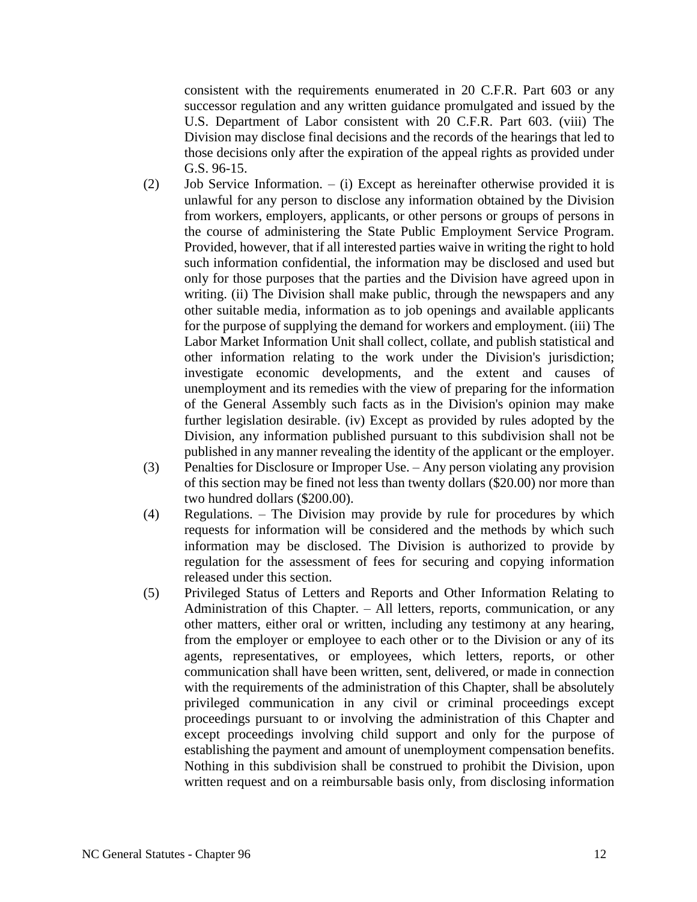consistent with the requirements enumerated in 20 C.F.R. Part 603 or any successor regulation and any written guidance promulgated and issued by the U.S. Department of Labor consistent with 20 C.F.R. Part 603. (viii) The Division may disclose final decisions and the records of the hearings that led to those decisions only after the expiration of the appeal rights as provided under G.S. 96-15.

- (2) Job Service Information. (i) Except as hereinafter otherwise provided it is unlawful for any person to disclose any information obtained by the Division from workers, employers, applicants, or other persons or groups of persons in the course of administering the State Public Employment Service Program. Provided, however, that if all interested parties waive in writing the right to hold such information confidential, the information may be disclosed and used but only for those purposes that the parties and the Division have agreed upon in writing. (ii) The Division shall make public, through the newspapers and any other suitable media, information as to job openings and available applicants for the purpose of supplying the demand for workers and employment. (iii) The Labor Market Information Unit shall collect, collate, and publish statistical and other information relating to the work under the Division's jurisdiction; investigate economic developments, and the extent and causes of unemployment and its remedies with the view of preparing for the information of the General Assembly such facts as in the Division's opinion may make further legislation desirable. (iv) Except as provided by rules adopted by the Division, any information published pursuant to this subdivision shall not be published in any manner revealing the identity of the applicant or the employer.
- (3) Penalties for Disclosure or Improper Use. Any person violating any provision of this section may be fined not less than twenty dollars (\$20.00) nor more than two hundred dollars (\$200.00).
- (4) Regulations. The Division may provide by rule for procedures by which requests for information will be considered and the methods by which such information may be disclosed. The Division is authorized to provide by regulation for the assessment of fees for securing and copying information released under this section.
- (5) Privileged Status of Letters and Reports and Other Information Relating to Administration of this Chapter. – All letters, reports, communication, or any other matters, either oral or written, including any testimony at any hearing, from the employer or employee to each other or to the Division or any of its agents, representatives, or employees, which letters, reports, or other communication shall have been written, sent, delivered, or made in connection with the requirements of the administration of this Chapter, shall be absolutely privileged communication in any civil or criminal proceedings except proceedings pursuant to or involving the administration of this Chapter and except proceedings involving child support and only for the purpose of establishing the payment and amount of unemployment compensation benefits. Nothing in this subdivision shall be construed to prohibit the Division, upon written request and on a reimbursable basis only, from disclosing information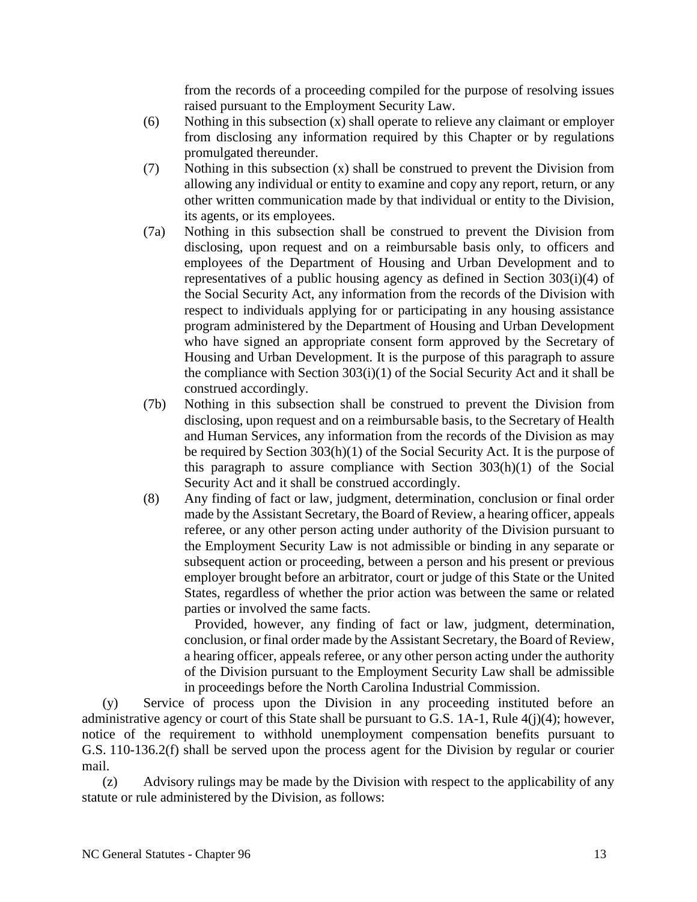from the records of a proceeding compiled for the purpose of resolving issues raised pursuant to the Employment Security Law.

- (6) Nothing in this subsection (x) shall operate to relieve any claimant or employer from disclosing any information required by this Chapter or by regulations promulgated thereunder.
- (7) Nothing in this subsection (x) shall be construed to prevent the Division from allowing any individual or entity to examine and copy any report, return, or any other written communication made by that individual or entity to the Division, its agents, or its employees.
- (7a) Nothing in this subsection shall be construed to prevent the Division from disclosing, upon request and on a reimbursable basis only, to officers and employees of the Department of Housing and Urban Development and to representatives of a public housing agency as defined in Section 303(i)(4) of the Social Security Act, any information from the records of the Division with respect to individuals applying for or participating in any housing assistance program administered by the Department of Housing and Urban Development who have signed an appropriate consent form approved by the Secretary of Housing and Urban Development. It is the purpose of this paragraph to assure the compliance with Section 303(i)(1) of the Social Security Act and it shall be construed accordingly.
- (7b) Nothing in this subsection shall be construed to prevent the Division from disclosing, upon request and on a reimbursable basis, to the Secretary of Health and Human Services, any information from the records of the Division as may be required by Section 303(h)(1) of the Social Security Act. It is the purpose of this paragraph to assure compliance with Section 303(h)(1) of the Social Security Act and it shall be construed accordingly.
- (8) Any finding of fact or law, judgment, determination, conclusion or final order made by the Assistant Secretary, the Board of Review, a hearing officer, appeals referee, or any other person acting under authority of the Division pursuant to the Employment Security Law is not admissible or binding in any separate or subsequent action or proceeding, between a person and his present or previous employer brought before an arbitrator, court or judge of this State or the United States, regardless of whether the prior action was between the same or related parties or involved the same facts.

Provided, however, any finding of fact or law, judgment, determination, conclusion, or final order made by the Assistant Secretary, the Board of Review, a hearing officer, appeals referee, or any other person acting under the authority of the Division pursuant to the Employment Security Law shall be admissible in proceedings before the North Carolina Industrial Commission.

(y) Service of process upon the Division in any proceeding instituted before an administrative agency or court of this State shall be pursuant to G.S. 1A-1, Rule 4(j)(4); however, notice of the requirement to withhold unemployment compensation benefits pursuant to G.S. 110-136.2(f) shall be served upon the process agent for the Division by regular or courier mail.

(z) Advisory rulings may be made by the Division with respect to the applicability of any statute or rule administered by the Division, as follows: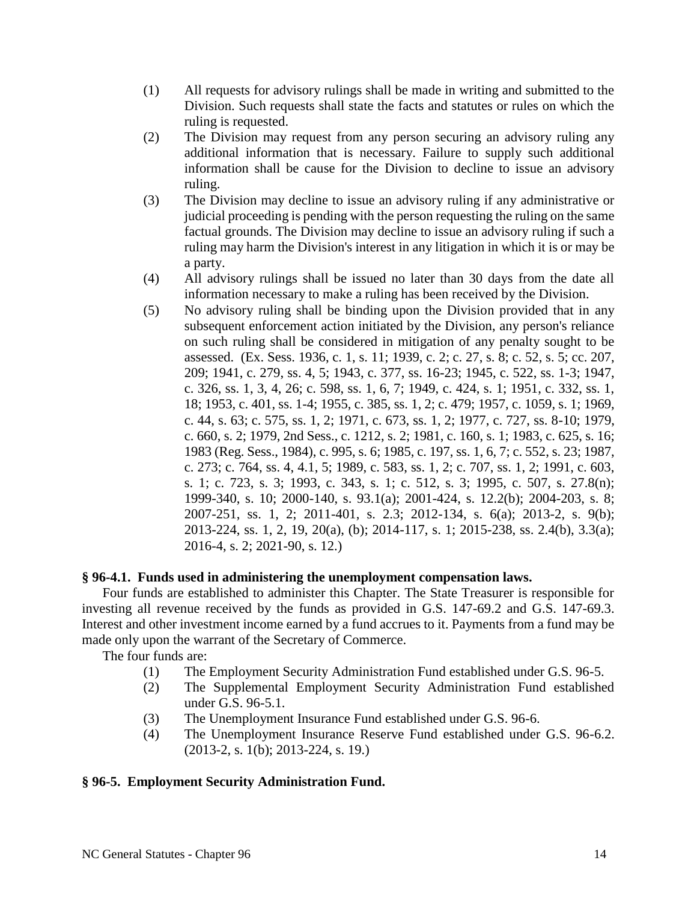- (1) All requests for advisory rulings shall be made in writing and submitted to the Division. Such requests shall state the facts and statutes or rules on which the ruling is requested.
- (2) The Division may request from any person securing an advisory ruling any additional information that is necessary. Failure to supply such additional information shall be cause for the Division to decline to issue an advisory ruling.
- (3) The Division may decline to issue an advisory ruling if any administrative or judicial proceeding is pending with the person requesting the ruling on the same factual grounds. The Division may decline to issue an advisory ruling if such a ruling may harm the Division's interest in any litigation in which it is or may be a party.
- (4) All advisory rulings shall be issued no later than 30 days from the date all information necessary to make a ruling has been received by the Division.
- (5) No advisory ruling shall be binding upon the Division provided that in any subsequent enforcement action initiated by the Division, any person's reliance on such ruling shall be considered in mitigation of any penalty sought to be assessed. (Ex. Sess. 1936, c. 1, s. 11; 1939, c. 2; c. 27, s. 8; c. 52, s. 5; cc. 207, 209; 1941, c. 279, ss. 4, 5; 1943, c. 377, ss. 16-23; 1945, c. 522, ss. 1-3; 1947, c. 326, ss. 1, 3, 4, 26; c. 598, ss. 1, 6, 7; 1949, c. 424, s. 1; 1951, c. 332, ss. 1, 18; 1953, c. 401, ss. 1-4; 1955, c. 385, ss. 1, 2; c. 479; 1957, c. 1059, s. 1; 1969, c. 44, s. 63; c. 575, ss. 1, 2; 1971, c. 673, ss. 1, 2; 1977, c. 727, ss. 8-10; 1979, c. 660, s. 2; 1979, 2nd Sess., c. 1212, s. 2; 1981, c. 160, s. 1; 1983, c. 625, s. 16; 1983 (Reg. Sess., 1984), c. 995, s. 6; 1985, c. 197, ss. 1, 6, 7; c. 552, s. 23; 1987, c. 273; c. 764, ss. 4, 4.1, 5; 1989, c. 583, ss. 1, 2; c. 707, ss. 1, 2; 1991, c. 603, s. 1; c. 723, s. 3; 1993, c. 343, s. 1; c. 512, s. 3; 1995, c. 507, s. 27.8(n); 1999-340, s. 10; 2000-140, s. 93.1(a); 2001-424, s. 12.2(b); 2004-203, s. 8; 2007-251, ss. 1, 2; 2011-401, s. 2.3; 2012-134, s. 6(a); 2013-2, s. 9(b); 2013-224, ss. 1, 2, 19, 20(a), (b); 2014-117, s. 1; 2015-238, ss. 2.4(b), 3.3(a); 2016-4, s. 2; 2021-90, s. 12.)

### **§ 96-4.1. Funds used in administering the unemployment compensation laws.**

Four funds are established to administer this Chapter. The State Treasurer is responsible for investing all revenue received by the funds as provided in G.S. 147-69.2 and G.S. 147-69.3. Interest and other investment income earned by a fund accrues to it. Payments from a fund may be made only upon the warrant of the Secretary of Commerce.

The four funds are:

- (1) The Employment Security Administration Fund established under G.S. 96-5.
- (2) The Supplemental Employment Security Administration Fund established under G.S. 96-5.1.
- (3) The Unemployment Insurance Fund established under G.S. 96-6.
- (4) The Unemployment Insurance Reserve Fund established under G.S. 96-6.2. (2013-2, s. 1(b); 2013-224, s. 19.)

# **§ 96-5. Employment Security Administration Fund.**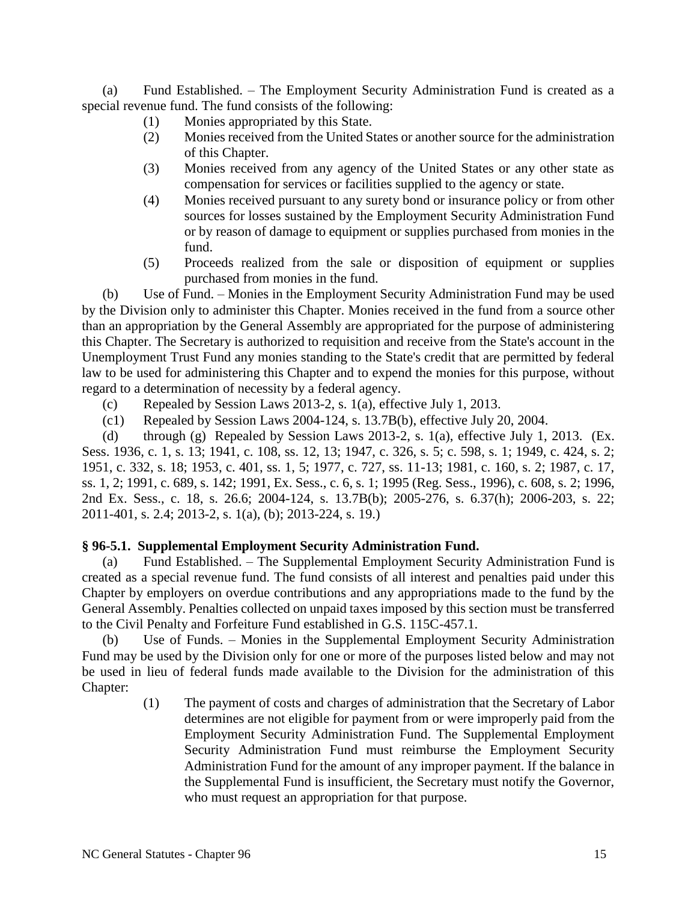(a) Fund Established. – The Employment Security Administration Fund is created as a special revenue fund. The fund consists of the following:

- (1) Monies appropriated by this State.
- (2) Monies received from the United States or another source for the administration of this Chapter.
- (3) Monies received from any agency of the United States or any other state as compensation for services or facilities supplied to the agency or state.
- (4) Monies received pursuant to any surety bond or insurance policy or from other sources for losses sustained by the Employment Security Administration Fund or by reason of damage to equipment or supplies purchased from monies in the fund.
- (5) Proceeds realized from the sale or disposition of equipment or supplies purchased from monies in the fund.

(b) Use of Fund. – Monies in the Employment Security Administration Fund may be used by the Division only to administer this Chapter. Monies received in the fund from a source other than an appropriation by the General Assembly are appropriated for the purpose of administering this Chapter. The Secretary is authorized to requisition and receive from the State's account in the Unemployment Trust Fund any monies standing to the State's credit that are permitted by federal law to be used for administering this Chapter and to expend the monies for this purpose, without regard to a determination of necessity by a federal agency.

- (c) Repealed by Session Laws 2013-2, s. 1(a), effective July 1, 2013.
- (c1) Repealed by Session Laws 2004-124, s. 13.7B(b), effective July 20, 2004.

(d) through (g) Repealed by Session Laws 2013-2, s. 1(a), effective July 1, 2013. (Ex. Sess. 1936, c. 1, s. 13; 1941, c. 108, ss. 12, 13; 1947, c. 326, s. 5; c. 598, s. 1; 1949, c. 424, s. 2; 1951, c. 332, s. 18; 1953, c. 401, ss. 1, 5; 1977, c. 727, ss. 11-13; 1981, c. 160, s. 2; 1987, c. 17, ss. 1, 2; 1991, c. 689, s. 142; 1991, Ex. Sess., c. 6, s. 1; 1995 (Reg. Sess., 1996), c. 608, s. 2; 1996, 2nd Ex. Sess., c. 18, s. 26.6; 2004-124, s. 13.7B(b); 2005-276, s. 6.37(h); 2006-203, s. 22; 2011-401, s. 2.4; 2013-2, s. 1(a), (b); 2013-224, s. 19.)

### **§ 96-5.1. Supplemental Employment Security Administration Fund.**

(a) Fund Established. – The Supplemental Employment Security Administration Fund is created as a special revenue fund. The fund consists of all interest and penalties paid under this Chapter by employers on overdue contributions and any appropriations made to the fund by the General Assembly. Penalties collected on unpaid taxes imposed by this section must be transferred to the Civil Penalty and Forfeiture Fund established in G.S. 115C-457.1.

Use of Funds. – Monies in the Supplemental Employment Security Administration Fund may be used by the Division only for one or more of the purposes listed below and may not be used in lieu of federal funds made available to the Division for the administration of this Chapter:

> (1) The payment of costs and charges of administration that the Secretary of Labor determines are not eligible for payment from or were improperly paid from the Employment Security Administration Fund. The Supplemental Employment Security Administration Fund must reimburse the Employment Security Administration Fund for the amount of any improper payment. If the balance in the Supplemental Fund is insufficient, the Secretary must notify the Governor, who must request an appropriation for that purpose.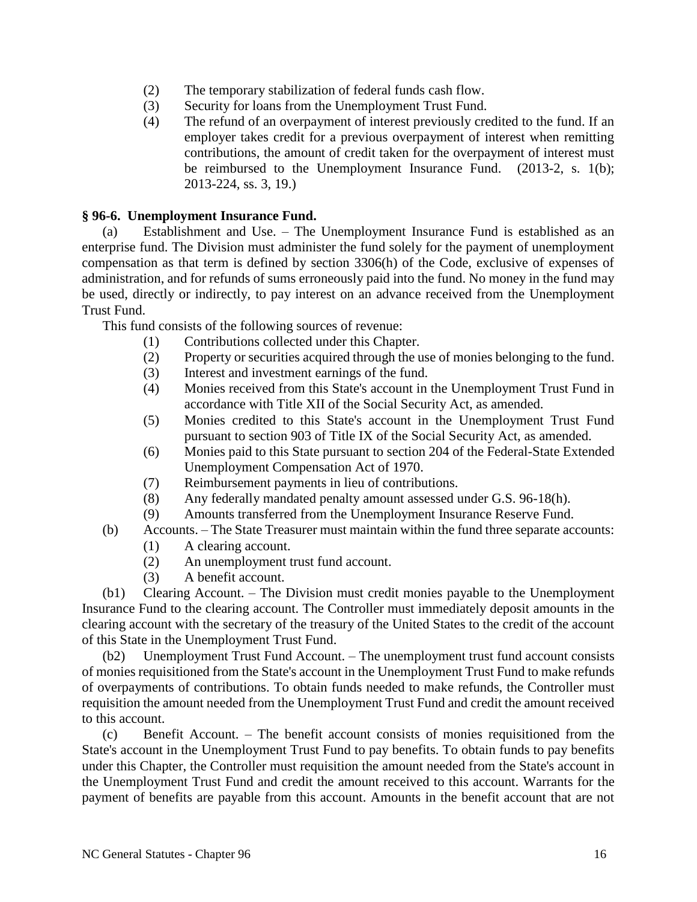- (2) The temporary stabilization of federal funds cash flow.
- (3) Security for loans from the Unemployment Trust Fund.
- (4) The refund of an overpayment of interest previously credited to the fund. If an employer takes credit for a previous overpayment of interest when remitting contributions, the amount of credit taken for the overpayment of interest must be reimbursed to the Unemployment Insurance Fund. (2013-2, s. 1(b); 2013-224, ss. 3, 19.)

# **§ 96-6. Unemployment Insurance Fund.**

(a) Establishment and Use. – The Unemployment Insurance Fund is established as an enterprise fund. The Division must administer the fund solely for the payment of unemployment compensation as that term is defined by section 3306(h) of the Code, exclusive of expenses of administration, and for refunds of sums erroneously paid into the fund. No money in the fund may be used, directly or indirectly, to pay interest on an advance received from the Unemployment Trust Fund.

This fund consists of the following sources of revenue:

- (1) Contributions collected under this Chapter.
- (2) Property or securities acquired through the use of monies belonging to the fund.
- (3) Interest and investment earnings of the fund.
- (4) Monies received from this State's account in the Unemployment Trust Fund in accordance with Title XII of the Social Security Act, as amended.
- (5) Monies credited to this State's account in the Unemployment Trust Fund pursuant to section 903 of Title IX of the Social Security Act, as amended.
- (6) Monies paid to this State pursuant to section 204 of the Federal-State Extended Unemployment Compensation Act of 1970.
- (7) Reimbursement payments in lieu of contributions.
- (8) Any federally mandated penalty amount assessed under G.S. 96-18(h).
- (9) Amounts transferred from the Unemployment Insurance Reserve Fund.
- (b) Accounts. The State Treasurer must maintain within the fund three separate accounts:
	- (1) A clearing account.
	- (2) An unemployment trust fund account.
	- (3) A benefit account.

(b1) Clearing Account. – The Division must credit monies payable to the Unemployment Insurance Fund to the clearing account. The Controller must immediately deposit amounts in the clearing account with the secretary of the treasury of the United States to the credit of the account of this State in the Unemployment Trust Fund.

(b2) Unemployment Trust Fund Account. – The unemployment trust fund account consists of monies requisitioned from the State's account in the Unemployment Trust Fund to make refunds of overpayments of contributions. To obtain funds needed to make refunds, the Controller must requisition the amount needed from the Unemployment Trust Fund and credit the amount received to this account.

(c) Benefit Account. – The benefit account consists of monies requisitioned from the State's account in the Unemployment Trust Fund to pay benefits. To obtain funds to pay benefits under this Chapter, the Controller must requisition the amount needed from the State's account in the Unemployment Trust Fund and credit the amount received to this account. Warrants for the payment of benefits are payable from this account. Amounts in the benefit account that are not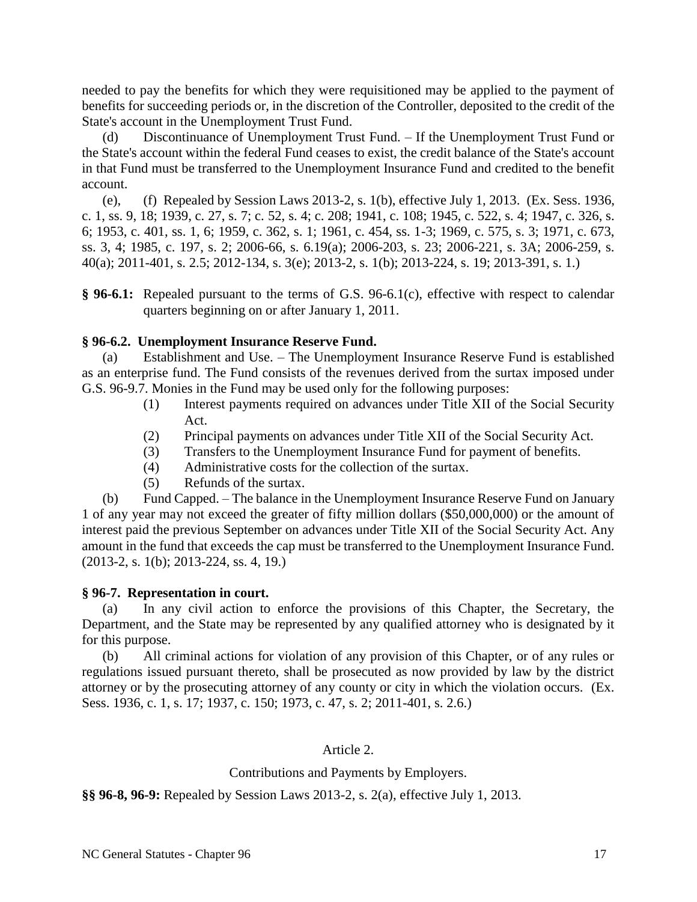needed to pay the benefits for which they were requisitioned may be applied to the payment of benefits for succeeding periods or, in the discretion of the Controller, deposited to the credit of the State's account in the Unemployment Trust Fund.

(d) Discontinuance of Unemployment Trust Fund. – If the Unemployment Trust Fund or the State's account within the federal Fund ceases to exist, the credit balance of the State's account in that Fund must be transferred to the Unemployment Insurance Fund and credited to the benefit account.

(e), (f) Repealed by Session Laws 2013-2, s. 1(b), effective July 1, 2013. (Ex. Sess. 1936, c. 1, ss. 9, 18; 1939, c. 27, s. 7; c. 52, s. 4; c. 208; 1941, c. 108; 1945, c. 522, s. 4; 1947, c. 326, s. 6; 1953, c. 401, ss. 1, 6; 1959, c. 362, s. 1; 1961, c. 454, ss. 1-3; 1969, c. 575, s. 3; 1971, c. 673, ss. 3, 4; 1985, c. 197, s. 2; 2006-66, s. 6.19(a); 2006-203, s. 23; 2006-221, s. 3A; 2006-259, s. 40(a); 2011-401, s. 2.5; 2012-134, s. 3(e); 2013-2, s. 1(b); 2013-224, s. 19; 2013-391, s. 1.)

**§ 96-6.1:** Repealed pursuant to the terms of G.S. 96-6.1(c), effective with respect to calendar quarters beginning on or after January 1, 2011.

### **§ 96-6.2. Unemployment Insurance Reserve Fund.**

(a) Establishment and Use. – The Unemployment Insurance Reserve Fund is established as an enterprise fund. The Fund consists of the revenues derived from the surtax imposed under G.S. 96-9.7. Monies in the Fund may be used only for the following purposes:

- (1) Interest payments required on advances under Title XII of the Social Security Act.
- (2) Principal payments on advances under Title XII of the Social Security Act.
- (3) Transfers to the Unemployment Insurance Fund for payment of benefits.
- (4) Administrative costs for the collection of the surtax.
- (5) Refunds of the surtax.

(b) Fund Capped. – The balance in the Unemployment Insurance Reserve Fund on January 1 of any year may not exceed the greater of fifty million dollars (\$50,000,000) or the amount of interest paid the previous September on advances under Title XII of the Social Security Act. Any amount in the fund that exceeds the cap must be transferred to the Unemployment Insurance Fund. (2013-2, s. 1(b); 2013-224, ss. 4, 19.)

### **§ 96-7. Representation in court.**

(a) In any civil action to enforce the provisions of this Chapter, the Secretary, the Department, and the State may be represented by any qualified attorney who is designated by it for this purpose.

(b) All criminal actions for violation of any provision of this Chapter, or of any rules or regulations issued pursuant thereto, shall be prosecuted as now provided by law by the district attorney or by the prosecuting attorney of any county or city in which the violation occurs. (Ex. Sess. 1936, c. 1, s. 17; 1937, c. 150; 1973, c. 47, s. 2; 2011-401, s. 2.6.)

### Article 2.

### Contributions and Payments by Employers.

**§§ 96-8, 96-9:** Repealed by Session Laws 2013-2, s. 2(a), effective July 1, 2013.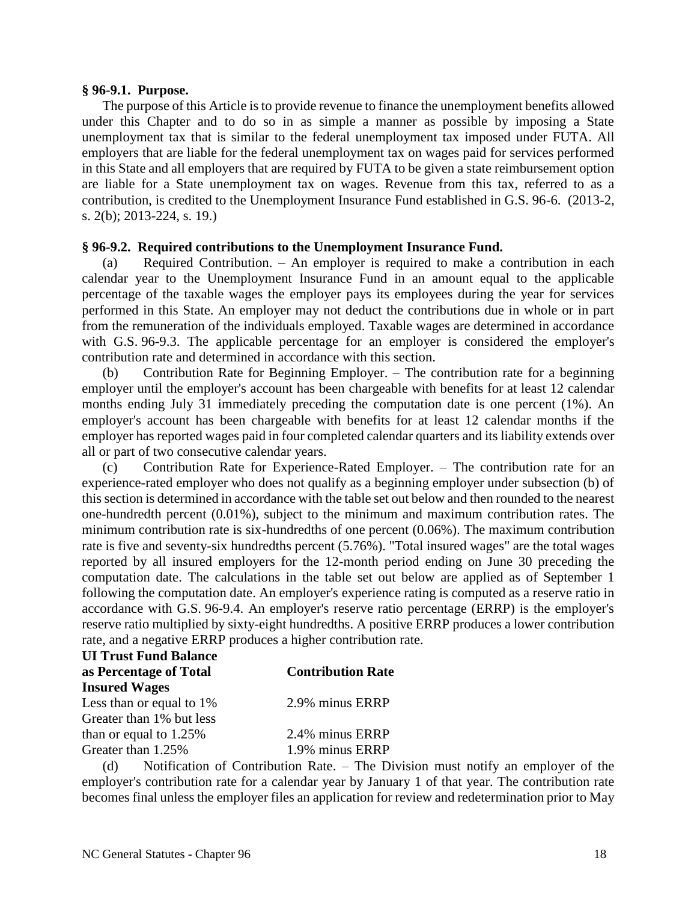#### **§ 96-9.1. Purpose.**

The purpose of this Article is to provide revenue to finance the unemployment benefits allowed under this Chapter and to do so in as simple a manner as possible by imposing a State unemployment tax that is similar to the federal unemployment tax imposed under FUTA. All employers that are liable for the federal unemployment tax on wages paid for services performed in this State and all employers that are required by FUTA to be given a state reimbursement option are liable for a State unemployment tax on wages. Revenue from this tax, referred to as a contribution, is credited to the Unemployment Insurance Fund established in G.S. 96-6. (2013-2, s. 2(b); 2013-224, s. 19.)

#### **§ 96-9.2. Required contributions to the Unemployment Insurance Fund.**

(a) Required Contribution. – An employer is required to make a contribution in each calendar year to the Unemployment Insurance Fund in an amount equal to the applicable percentage of the taxable wages the employer pays its employees during the year for services performed in this State. An employer may not deduct the contributions due in whole or in part from the remuneration of the individuals employed. Taxable wages are determined in accordance with G.S. 96-9.3. The applicable percentage for an employer is considered the employer's contribution rate and determined in accordance with this section.

(b) Contribution Rate for Beginning Employer. – The contribution rate for a beginning employer until the employer's account has been chargeable with benefits for at least 12 calendar months ending July 31 immediately preceding the computation date is one percent (1%). An employer's account has been chargeable with benefits for at least 12 calendar months if the employer has reported wages paid in four completed calendar quarters and its liability extends over all or part of two consecutive calendar years.

(c) Contribution Rate for Experience-Rated Employer. – The contribution rate for an experience-rated employer who does not qualify as a beginning employer under subsection (b) of this section is determined in accordance with the table set out below and then rounded to the nearest one-hundredth percent (0.01%), subject to the minimum and maximum contribution rates. The minimum contribution rate is six-hundredths of one percent (0.06%). The maximum contribution rate is five and seventy-six hundredths percent (5.76%). "Total insured wages" are the total wages reported by all insured employers for the 12-month period ending on June 30 preceding the computation date. The calculations in the table set out below are applied as of September 1 following the computation date. An employer's experience rating is computed as a reserve ratio in accordance with G.S. 96-9.4. An employer's reserve ratio percentage (ERRP) is the employer's reserve ratio multiplied by sixty-eight hundredths. A positive ERRP produces a lower contribution rate, and a negative ERRP produces a higher contribution rate.

| <b>UI Trust Fund Balance</b> |                          |
|------------------------------|--------------------------|
| as Percentage of Total       | <b>Contribution Rate</b> |
| <b>Insured Wages</b>         |                          |
| Less than or equal to 1%     | 2.9% minus ERRP          |
| Greater than 1% but less     |                          |
| than or equal to $1.25\%$    | 2.4% minus ERRP          |
| Greater than 1.25%           | 1.9% minus ERRP          |

(d) Notification of Contribution Rate. – The Division must notify an employer of the employer's contribution rate for a calendar year by January 1 of that year. The contribution rate becomes final unless the employer files an application for review and redetermination prior to May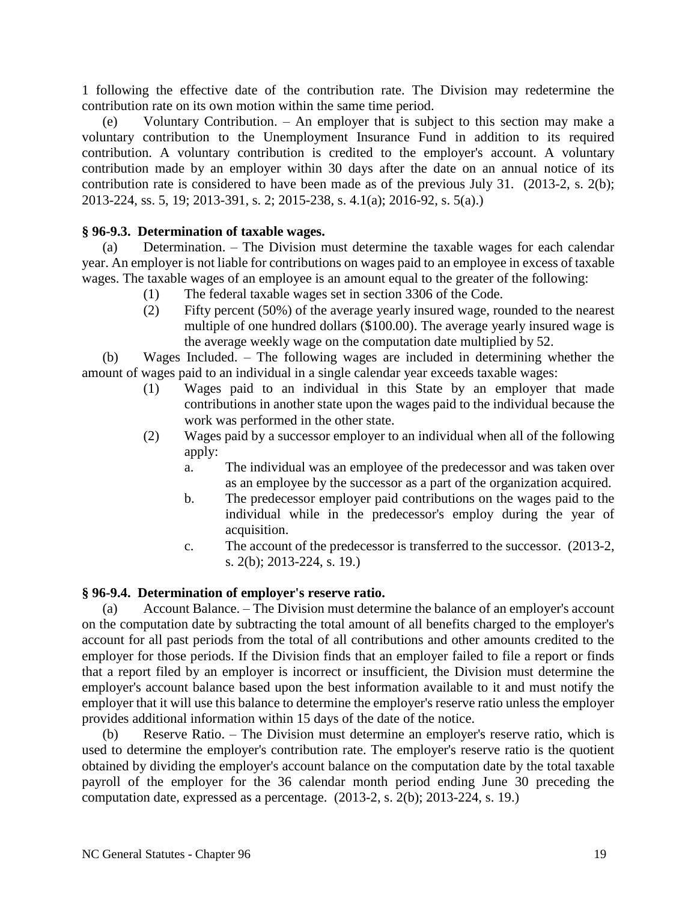1 following the effective date of the contribution rate. The Division may redetermine the contribution rate on its own motion within the same time period.

(e) Voluntary Contribution. – An employer that is subject to this section may make a voluntary contribution to the Unemployment Insurance Fund in addition to its required contribution. A voluntary contribution is credited to the employer's account. A voluntary contribution made by an employer within 30 days after the date on an annual notice of its contribution rate is considered to have been made as of the previous July 31. (2013-2, s. 2(b); 2013-224, ss. 5, 19; 2013-391, s. 2; 2015-238, s. 4.1(a); 2016-92, s. 5(a).)

# **§ 96-9.3. Determination of taxable wages.**

(a) Determination. – The Division must determine the taxable wages for each calendar year. An employer is not liable for contributions on wages paid to an employee in excess of taxable wages. The taxable wages of an employee is an amount equal to the greater of the following:

- (1) The federal taxable wages set in section 3306 of the Code.
- (2) Fifty percent (50%) of the average yearly insured wage, rounded to the nearest multiple of one hundred dollars (\$100.00). The average yearly insured wage is the average weekly wage on the computation date multiplied by 52.

(b) Wages Included. – The following wages are included in determining whether the amount of wages paid to an individual in a single calendar year exceeds taxable wages:

- (1) Wages paid to an individual in this State by an employer that made contributions in another state upon the wages paid to the individual because the work was performed in the other state.
- (2) Wages paid by a successor employer to an individual when all of the following apply:
	- a. The individual was an employee of the predecessor and was taken over as an employee by the successor as a part of the organization acquired.
	- b. The predecessor employer paid contributions on the wages paid to the individual while in the predecessor's employ during the year of acquisition.
	- c. The account of the predecessor is transferred to the successor. (2013-2, s. 2(b); 2013-224, s. 19.)

### **§ 96-9.4. Determination of employer's reserve ratio.**

(a) Account Balance. – The Division must determine the balance of an employer's account on the computation date by subtracting the total amount of all benefits charged to the employer's account for all past periods from the total of all contributions and other amounts credited to the employer for those periods. If the Division finds that an employer failed to file a report or finds that a report filed by an employer is incorrect or insufficient, the Division must determine the employer's account balance based upon the best information available to it and must notify the employer that it will use this balance to determine the employer's reserve ratio unless the employer provides additional information within 15 days of the date of the notice.

(b) Reserve Ratio. – The Division must determine an employer's reserve ratio, which is used to determine the employer's contribution rate. The employer's reserve ratio is the quotient obtained by dividing the employer's account balance on the computation date by the total taxable payroll of the employer for the 36 calendar month period ending June 30 preceding the computation date, expressed as a percentage. (2013-2, s. 2(b); 2013-224, s. 19.)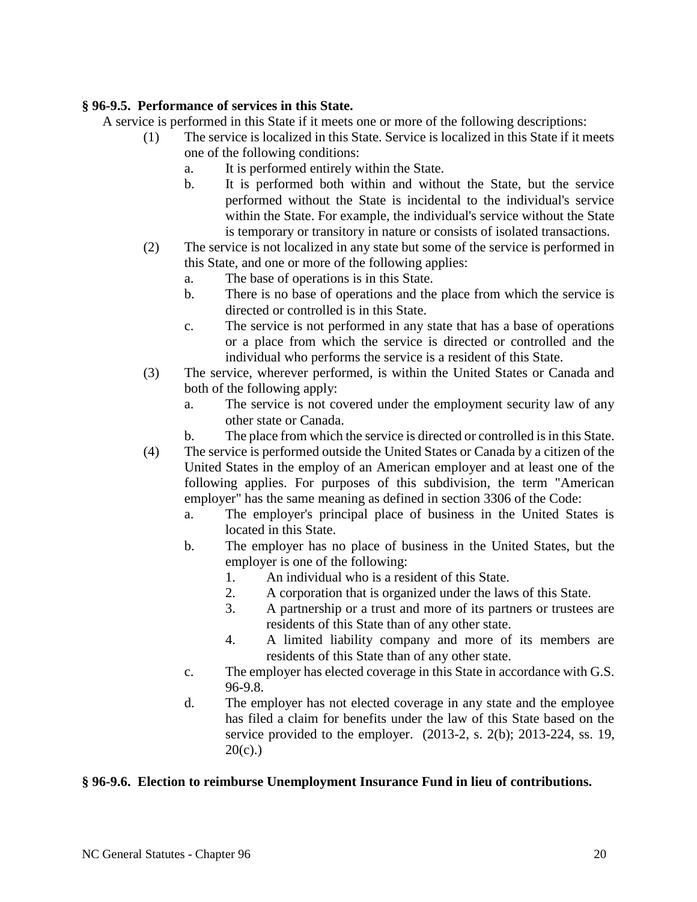# **§ 96-9.5. Performance of services in this State.**

A service is performed in this State if it meets one or more of the following descriptions:

- (1) The service is localized in this State. Service is localized in this State if it meets one of the following conditions:
	- a. It is performed entirely within the State.
	- b. It is performed both within and without the State, but the service performed without the State is incidental to the individual's service within the State. For example, the individual's service without the State is temporary or transitory in nature or consists of isolated transactions.
- (2) The service is not localized in any state but some of the service is performed in this State, and one or more of the following applies:
	- a. The base of operations is in this State.
	- b. There is no base of operations and the place from which the service is directed or controlled is in this State.
	- c. The service is not performed in any state that has a base of operations or a place from which the service is directed or controlled and the individual who performs the service is a resident of this State.
- (3) The service, wherever performed, is within the United States or Canada and both of the following apply:
	- a. The service is not covered under the employment security law of any other state or Canada.
	- b. The place from which the service is directed or controlled is in this State.
- (4) The service is performed outside the United States or Canada by a citizen of the United States in the employ of an American employer and at least one of the following applies. For purposes of this subdivision, the term "American employer" has the same meaning as defined in section 3306 of the Code:
	- a. The employer's principal place of business in the United States is located in this State.
	- b. The employer has no place of business in the United States, but the employer is one of the following:
		- 1. An individual who is a resident of this State.
		- 2. A corporation that is organized under the laws of this State.
		- 3. A partnership or a trust and more of its partners or trustees are residents of this State than of any other state.
		- 4. A limited liability company and more of its members are residents of this State than of any other state.
	- c. The employer has elected coverage in this State in accordance with G.S. 96-9.8.
	- d. The employer has not elected coverage in any state and the employee has filed a claim for benefits under the law of this State based on the service provided to the employer. (2013-2, s. 2(b); 2013-224, ss. 19,  $20(c)$ .)

### **§ 96-9.6. Election to reimburse Unemployment Insurance Fund in lieu of contributions.**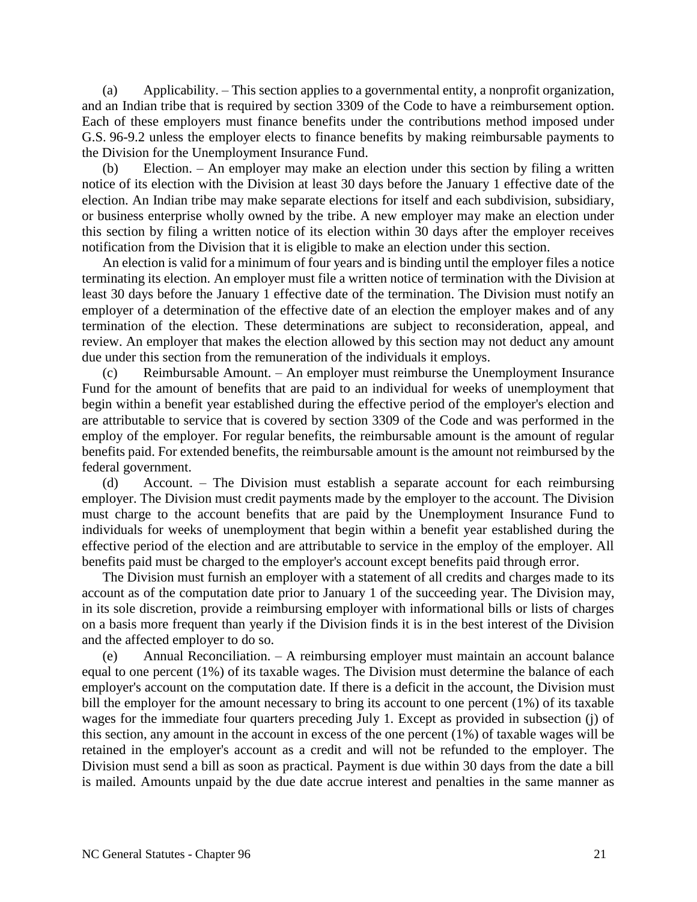(a) Applicability. – This section applies to a governmental entity, a nonprofit organization, and an Indian tribe that is required by section 3309 of the Code to have a reimbursement option. Each of these employers must finance benefits under the contributions method imposed under G.S. 96-9.2 unless the employer elects to finance benefits by making reimbursable payments to the Division for the Unemployment Insurance Fund.

(b) Election. – An employer may make an election under this section by filing a written notice of its election with the Division at least 30 days before the January 1 effective date of the election. An Indian tribe may make separate elections for itself and each subdivision, subsidiary, or business enterprise wholly owned by the tribe. A new employer may make an election under this section by filing a written notice of its election within 30 days after the employer receives notification from the Division that it is eligible to make an election under this section.

An election is valid for a minimum of four years and is binding until the employer files a notice terminating its election. An employer must file a written notice of termination with the Division at least 30 days before the January 1 effective date of the termination. The Division must notify an employer of a determination of the effective date of an election the employer makes and of any termination of the election. These determinations are subject to reconsideration, appeal, and review. An employer that makes the election allowed by this section may not deduct any amount due under this section from the remuneration of the individuals it employs.

(c) Reimbursable Amount. – An employer must reimburse the Unemployment Insurance Fund for the amount of benefits that are paid to an individual for weeks of unemployment that begin within a benefit year established during the effective period of the employer's election and are attributable to service that is covered by section 3309 of the Code and was performed in the employ of the employer. For regular benefits, the reimbursable amount is the amount of regular benefits paid. For extended benefits, the reimbursable amount is the amount not reimbursed by the federal government.

(d) Account. – The Division must establish a separate account for each reimbursing employer. The Division must credit payments made by the employer to the account. The Division must charge to the account benefits that are paid by the Unemployment Insurance Fund to individuals for weeks of unemployment that begin within a benefit year established during the effective period of the election and are attributable to service in the employ of the employer. All benefits paid must be charged to the employer's account except benefits paid through error.

The Division must furnish an employer with a statement of all credits and charges made to its account as of the computation date prior to January 1 of the succeeding year. The Division may, in its sole discretion, provide a reimbursing employer with informational bills or lists of charges on a basis more frequent than yearly if the Division finds it is in the best interest of the Division and the affected employer to do so.

(e) Annual Reconciliation. – A reimbursing employer must maintain an account balance equal to one percent (1%) of its taxable wages. The Division must determine the balance of each employer's account on the computation date. If there is a deficit in the account, the Division must bill the employer for the amount necessary to bring its account to one percent (1%) of its taxable wages for the immediate four quarters preceding July 1. Except as provided in subsection (j) of this section, any amount in the account in excess of the one percent (1%) of taxable wages will be retained in the employer's account as a credit and will not be refunded to the employer. The Division must send a bill as soon as practical. Payment is due within 30 days from the date a bill is mailed. Amounts unpaid by the due date accrue interest and penalties in the same manner as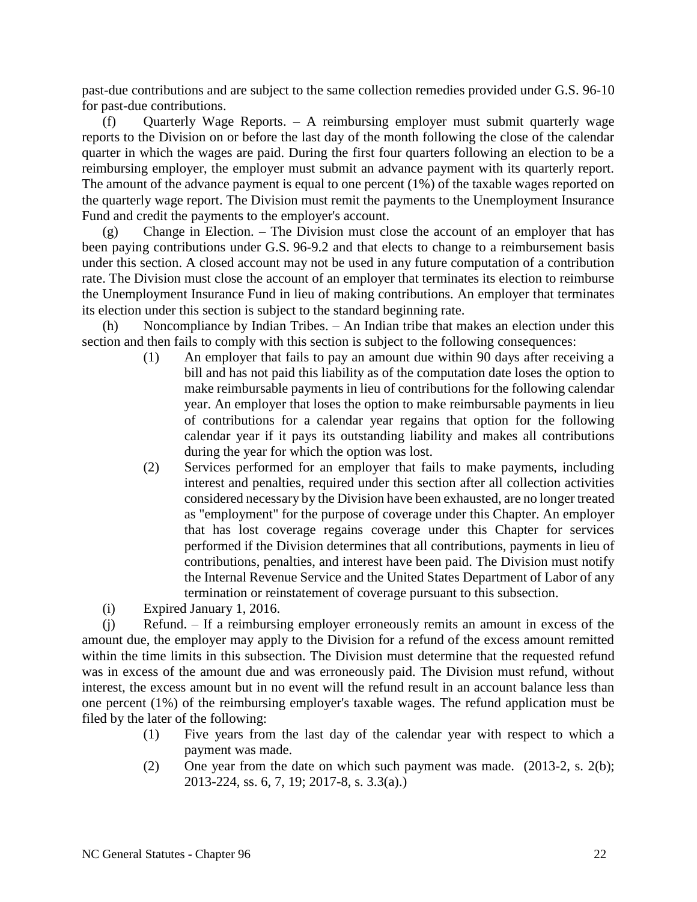past-due contributions and are subject to the same collection remedies provided under G.S. 96-10 for past-due contributions.

(f) Quarterly Wage Reports. – A reimbursing employer must submit quarterly wage reports to the Division on or before the last day of the month following the close of the calendar quarter in which the wages are paid. During the first four quarters following an election to be a reimbursing employer, the employer must submit an advance payment with its quarterly report. The amount of the advance payment is equal to one percent (1%) of the taxable wages reported on the quarterly wage report. The Division must remit the payments to the Unemployment Insurance Fund and credit the payments to the employer's account.

(g) Change in Election. – The Division must close the account of an employer that has been paying contributions under G.S. 96-9.2 and that elects to change to a reimbursement basis under this section. A closed account may not be used in any future computation of a contribution rate. The Division must close the account of an employer that terminates its election to reimburse the Unemployment Insurance Fund in lieu of making contributions. An employer that terminates its election under this section is subject to the standard beginning rate.

Noncompliance by Indian Tribes.  $-$  An Indian tribe that makes an election under this section and then fails to comply with this section is subject to the following consequences:

- (1) An employer that fails to pay an amount due within 90 days after receiving a bill and has not paid this liability as of the computation date loses the option to make reimbursable payments in lieu of contributions for the following calendar year. An employer that loses the option to make reimbursable payments in lieu of contributions for a calendar year regains that option for the following calendar year if it pays its outstanding liability and makes all contributions during the year for which the option was lost.
- (2) Services performed for an employer that fails to make payments, including interest and penalties, required under this section after all collection activities considered necessary by the Division have been exhausted, are no longer treated as "employment" for the purpose of coverage under this Chapter. An employer that has lost coverage regains coverage under this Chapter for services performed if the Division determines that all contributions, payments in lieu of contributions, penalties, and interest have been paid. The Division must notify the Internal Revenue Service and the United States Department of Labor of any termination or reinstatement of coverage pursuant to this subsection.

(i) Expired January 1, 2016.

(j) Refund. – If a reimbursing employer erroneously remits an amount in excess of the amount due, the employer may apply to the Division for a refund of the excess amount remitted within the time limits in this subsection. The Division must determine that the requested refund was in excess of the amount due and was erroneously paid. The Division must refund, without interest, the excess amount but in no event will the refund result in an account balance less than one percent (1%) of the reimbursing employer's taxable wages. The refund application must be filed by the later of the following:

- (1) Five years from the last day of the calendar year with respect to which a payment was made.
- (2) One year from the date on which such payment was made. (2013-2, s. 2(b); 2013-224, ss. 6, 7, 19; 2017-8, s. 3.3(a).)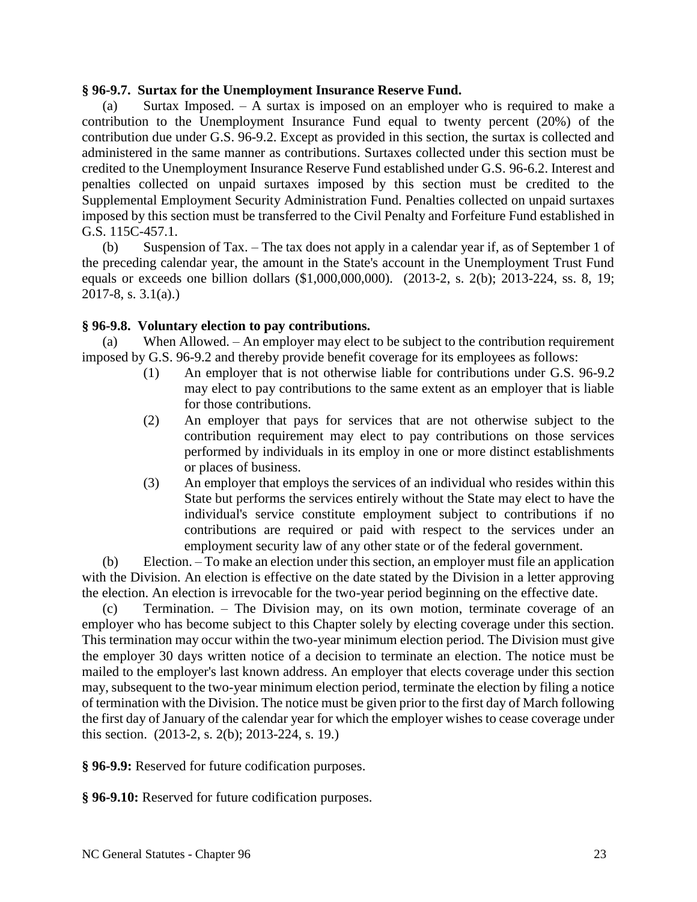#### **§ 96-9.7. Surtax for the Unemployment Insurance Reserve Fund.**

(a) Surtax Imposed. – A surtax is imposed on an employer who is required to make a contribution to the Unemployment Insurance Fund equal to twenty percent (20%) of the contribution due under G.S. 96-9.2. Except as provided in this section, the surtax is collected and administered in the same manner as contributions. Surtaxes collected under this section must be credited to the Unemployment Insurance Reserve Fund established under G.S. 96-6.2. Interest and penalties collected on unpaid surtaxes imposed by this section must be credited to the Supplemental Employment Security Administration Fund. Penalties collected on unpaid surtaxes imposed by this section must be transferred to the Civil Penalty and Forfeiture Fund established in G.S. 115C-457.1.

(b) Suspension of Tax. – The tax does not apply in a calendar year if, as of September 1 of the preceding calendar year, the amount in the State's account in the Unemployment Trust Fund equals or exceeds one billion dollars (\$1,000,000,000). (2013-2, s. 2(b); 2013-224, ss. 8, 19; 2017-8, s. 3.1(a).)

### **§ 96-9.8. Voluntary election to pay contributions.**

(a) When Allowed. – An employer may elect to be subject to the contribution requirement imposed by G.S. 96-9.2 and thereby provide benefit coverage for its employees as follows:

- (1) An employer that is not otherwise liable for contributions under G.S. 96-9.2 may elect to pay contributions to the same extent as an employer that is liable for those contributions.
- (2) An employer that pays for services that are not otherwise subject to the contribution requirement may elect to pay contributions on those services performed by individuals in its employ in one or more distinct establishments or places of business.
- (3) An employer that employs the services of an individual who resides within this State but performs the services entirely without the State may elect to have the individual's service constitute employment subject to contributions if no contributions are required or paid with respect to the services under an employment security law of any other state or of the federal government.

(b) Election. – To make an election under this section, an employer must file an application with the Division. An election is effective on the date stated by the Division in a letter approving the election. An election is irrevocable for the two-year period beginning on the effective date.

(c) Termination. – The Division may, on its own motion, terminate coverage of an employer who has become subject to this Chapter solely by electing coverage under this section. This termination may occur within the two-year minimum election period. The Division must give the employer 30 days written notice of a decision to terminate an election. The notice must be mailed to the employer's last known address. An employer that elects coverage under this section may, subsequent to the two-year minimum election period, terminate the election by filing a notice of termination with the Division. The notice must be given prior to the first day of March following the first day of January of the calendar year for which the employer wishes to cease coverage under this section. (2013-2, s. 2(b); 2013-224, s. 19.)

**§ 96-9.9:** Reserved for future codification purposes.

**§ 96-9.10:** Reserved for future codification purposes.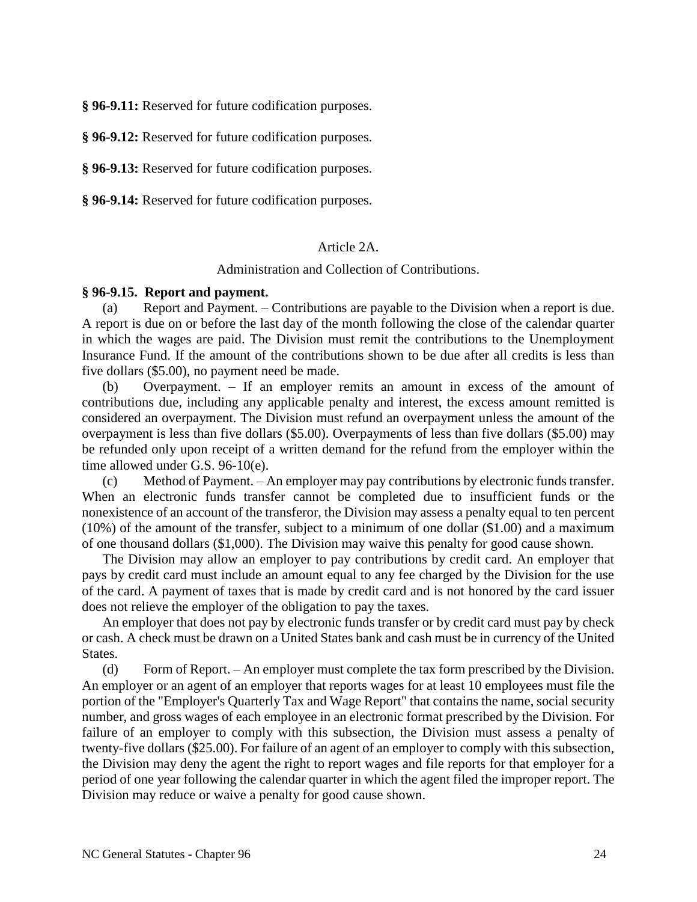**§ 96-9.11:** Reserved for future codification purposes.

**§ 96-9.12:** Reserved for future codification purposes.

**§ 96-9.13:** Reserved for future codification purposes.

**§ 96-9.14:** Reserved for future codification purposes.

#### Article 2A.

Administration and Collection of Contributions.

#### **§ 96-9.15. Report and payment.**

(a) Report and Payment. – Contributions are payable to the Division when a report is due. A report is due on or before the last day of the month following the close of the calendar quarter in which the wages are paid. The Division must remit the contributions to the Unemployment Insurance Fund. If the amount of the contributions shown to be due after all credits is less than five dollars (\$5.00), no payment need be made.

(b) Overpayment. – If an employer remits an amount in excess of the amount of contributions due, including any applicable penalty and interest, the excess amount remitted is considered an overpayment. The Division must refund an overpayment unless the amount of the overpayment is less than five dollars (\$5.00). Overpayments of less than five dollars (\$5.00) may be refunded only upon receipt of a written demand for the refund from the employer within the time allowed under G.S. 96-10(e).

(c) Method of Payment. – An employer may pay contributions by electronic funds transfer. When an electronic funds transfer cannot be completed due to insufficient funds or the nonexistence of an account of the transferor, the Division may assess a penalty equal to ten percent (10%) of the amount of the transfer, subject to a minimum of one dollar (\$1.00) and a maximum of one thousand dollars (\$1,000). The Division may waive this penalty for good cause shown.

The Division may allow an employer to pay contributions by credit card. An employer that pays by credit card must include an amount equal to any fee charged by the Division for the use of the card. A payment of taxes that is made by credit card and is not honored by the card issuer does not relieve the employer of the obligation to pay the taxes.

An employer that does not pay by electronic funds transfer or by credit card must pay by check or cash. A check must be drawn on a United States bank and cash must be in currency of the United States.

(d) Form of Report. – An employer must complete the tax form prescribed by the Division. An employer or an agent of an employer that reports wages for at least 10 employees must file the portion of the "Employer's Quarterly Tax and Wage Report" that contains the name, social security number, and gross wages of each employee in an electronic format prescribed by the Division. For failure of an employer to comply with this subsection, the Division must assess a penalty of twenty-five dollars (\$25.00). For failure of an agent of an employer to comply with this subsection, the Division may deny the agent the right to report wages and file reports for that employer for a period of one year following the calendar quarter in which the agent filed the improper report. The Division may reduce or waive a penalty for good cause shown.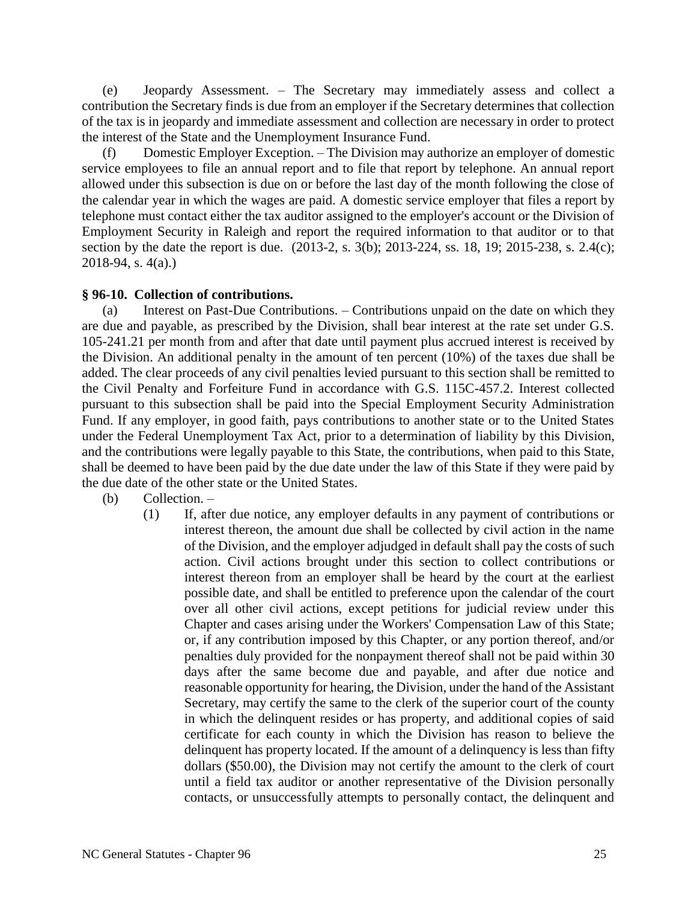(e) Jeopardy Assessment. – The Secretary may immediately assess and collect a contribution the Secretary finds is due from an employer if the Secretary determines that collection of the tax is in jeopardy and immediate assessment and collection are necessary in order to protect the interest of the State and the Unemployment Insurance Fund.

(f) Domestic Employer Exception. – The Division may authorize an employer of domestic service employees to file an annual report and to file that report by telephone. An annual report allowed under this subsection is due on or before the last day of the month following the close of the calendar year in which the wages are paid. A domestic service employer that files a report by telephone must contact either the tax auditor assigned to the employer's account or the Division of Employment Security in Raleigh and report the required information to that auditor or to that section by the date the report is due. (2013-2, s. 3(b); 2013-224, ss. 18, 19; 2015-238, s. 2.4(c); 2018-94, s. 4(a).)

### **§ 96-10. Collection of contributions.**

(a) Interest on Past-Due Contributions. – Contributions unpaid on the date on which they are due and payable, as prescribed by the Division, shall bear interest at the rate set under G.S. 105-241.21 per month from and after that date until payment plus accrued interest is received by the Division. An additional penalty in the amount of ten percent (10%) of the taxes due shall be added. The clear proceeds of any civil penalties levied pursuant to this section shall be remitted to the Civil Penalty and Forfeiture Fund in accordance with G.S. 115C-457.2. Interest collected pursuant to this subsection shall be paid into the Special Employment Security Administration Fund. If any employer, in good faith, pays contributions to another state or to the United States under the Federal Unemployment Tax Act, prior to a determination of liability by this Division, and the contributions were legally payable to this State, the contributions, when paid to this State, shall be deemed to have been paid by the due date under the law of this State if they were paid by the due date of the other state or the United States.

- (b) Collection.
	- (1) If, after due notice, any employer defaults in any payment of contributions or interest thereon, the amount due shall be collected by civil action in the name of the Division, and the employer adjudged in default shall pay the costs of such action. Civil actions brought under this section to collect contributions or interest thereon from an employer shall be heard by the court at the earliest possible date, and shall be entitled to preference upon the calendar of the court over all other civil actions, except petitions for judicial review under this Chapter and cases arising under the Workers' Compensation Law of this State; or, if any contribution imposed by this Chapter, or any portion thereof, and/or penalties duly provided for the nonpayment thereof shall not be paid within 30 days after the same become due and payable, and after due notice and reasonable opportunity for hearing, the Division, under the hand of the Assistant Secretary, may certify the same to the clerk of the superior court of the county in which the delinquent resides or has property, and additional copies of said certificate for each county in which the Division has reason to believe the delinquent has property located. If the amount of a delinquency is less than fifty dollars (\$50.00), the Division may not certify the amount to the clerk of court until a field tax auditor or another representative of the Division personally contacts, or unsuccessfully attempts to personally contact, the delinquent and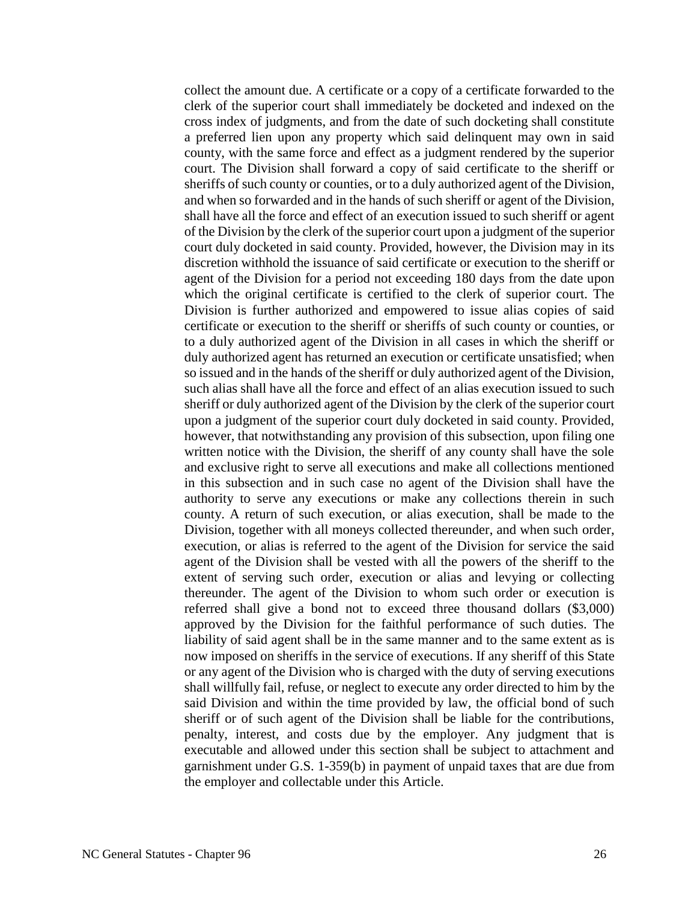collect the amount due. A certificate or a copy of a certificate forwarded to the clerk of the superior court shall immediately be docketed and indexed on the cross index of judgments, and from the date of such docketing shall constitute a preferred lien upon any property which said delinquent may own in said county, with the same force and effect as a judgment rendered by the superior court. The Division shall forward a copy of said certificate to the sheriff or sheriffs of such county or counties, or to a duly authorized agent of the Division, and when so forwarded and in the hands of such sheriff or agent of the Division, shall have all the force and effect of an execution issued to such sheriff or agent of the Division by the clerk of the superior court upon a judgment of the superior court duly docketed in said county. Provided, however, the Division may in its discretion withhold the issuance of said certificate or execution to the sheriff or agent of the Division for a period not exceeding 180 days from the date upon which the original certificate is certified to the clerk of superior court. The Division is further authorized and empowered to issue alias copies of said certificate or execution to the sheriff or sheriffs of such county or counties, or to a duly authorized agent of the Division in all cases in which the sheriff or duly authorized agent has returned an execution or certificate unsatisfied; when so issued and in the hands of the sheriff or duly authorized agent of the Division, such alias shall have all the force and effect of an alias execution issued to such sheriff or duly authorized agent of the Division by the clerk of the superior court upon a judgment of the superior court duly docketed in said county. Provided, however, that notwithstanding any provision of this subsection, upon filing one written notice with the Division, the sheriff of any county shall have the sole and exclusive right to serve all executions and make all collections mentioned in this subsection and in such case no agent of the Division shall have the authority to serve any executions or make any collections therein in such county. A return of such execution, or alias execution, shall be made to the Division, together with all moneys collected thereunder, and when such order, execution, or alias is referred to the agent of the Division for service the said agent of the Division shall be vested with all the powers of the sheriff to the extent of serving such order, execution or alias and levying or collecting thereunder. The agent of the Division to whom such order or execution is referred shall give a bond not to exceed three thousand dollars (\$3,000) approved by the Division for the faithful performance of such duties. The liability of said agent shall be in the same manner and to the same extent as is now imposed on sheriffs in the service of executions. If any sheriff of this State or any agent of the Division who is charged with the duty of serving executions shall willfully fail, refuse, or neglect to execute any order directed to him by the said Division and within the time provided by law, the official bond of such sheriff or of such agent of the Division shall be liable for the contributions, penalty, interest, and costs due by the employer. Any judgment that is executable and allowed under this section shall be subject to attachment and garnishment under G.S. 1-359(b) in payment of unpaid taxes that are due from the employer and collectable under this Article.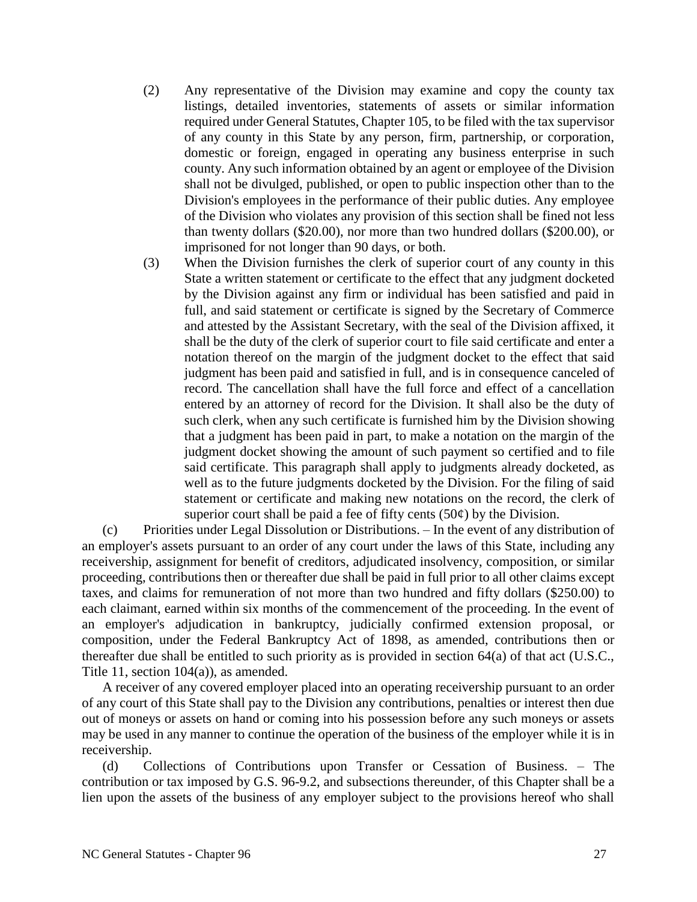- (2) Any representative of the Division may examine and copy the county tax listings, detailed inventories, statements of assets or similar information required under General Statutes, Chapter 105, to be filed with the tax supervisor of any county in this State by any person, firm, partnership, or corporation, domestic or foreign, engaged in operating any business enterprise in such county. Any such information obtained by an agent or employee of the Division shall not be divulged, published, or open to public inspection other than to the Division's employees in the performance of their public duties. Any employee of the Division who violates any provision of this section shall be fined not less than twenty dollars (\$20.00), nor more than two hundred dollars (\$200.00), or imprisoned for not longer than 90 days, or both.
- (3) When the Division furnishes the clerk of superior court of any county in this State a written statement or certificate to the effect that any judgment docketed by the Division against any firm or individual has been satisfied and paid in full, and said statement or certificate is signed by the Secretary of Commerce and attested by the Assistant Secretary, with the seal of the Division affixed, it shall be the duty of the clerk of superior court to file said certificate and enter a notation thereof on the margin of the judgment docket to the effect that said judgment has been paid and satisfied in full, and is in consequence canceled of record. The cancellation shall have the full force and effect of a cancellation entered by an attorney of record for the Division. It shall also be the duty of such clerk, when any such certificate is furnished him by the Division showing that a judgment has been paid in part, to make a notation on the margin of the judgment docket showing the amount of such payment so certified and to file said certificate. This paragraph shall apply to judgments already docketed, as well as to the future judgments docketed by the Division. For the filing of said statement or certificate and making new notations on the record, the clerk of superior court shall be paid a fee of fifty cents  $(50¢)$  by the Division.

(c) Priorities under Legal Dissolution or Distributions. – In the event of any distribution of an employer's assets pursuant to an order of any court under the laws of this State, including any receivership, assignment for benefit of creditors, adjudicated insolvency, composition, or similar proceeding, contributions then or thereafter due shall be paid in full prior to all other claims except taxes, and claims for remuneration of not more than two hundred and fifty dollars (\$250.00) to each claimant, earned within six months of the commencement of the proceeding. In the event of an employer's adjudication in bankruptcy, judicially confirmed extension proposal, or composition, under the Federal Bankruptcy Act of 1898, as amended, contributions then or thereafter due shall be entitled to such priority as is provided in section 64(a) of that act (U.S.C., Title 11, section 104(a)), as amended.

A receiver of any covered employer placed into an operating receivership pursuant to an order of any court of this State shall pay to the Division any contributions, penalties or interest then due out of moneys or assets on hand or coming into his possession before any such moneys or assets may be used in any manner to continue the operation of the business of the employer while it is in receivership.

(d) Collections of Contributions upon Transfer or Cessation of Business. – The contribution or tax imposed by G.S. 96-9.2, and subsections thereunder, of this Chapter shall be a lien upon the assets of the business of any employer subject to the provisions hereof who shall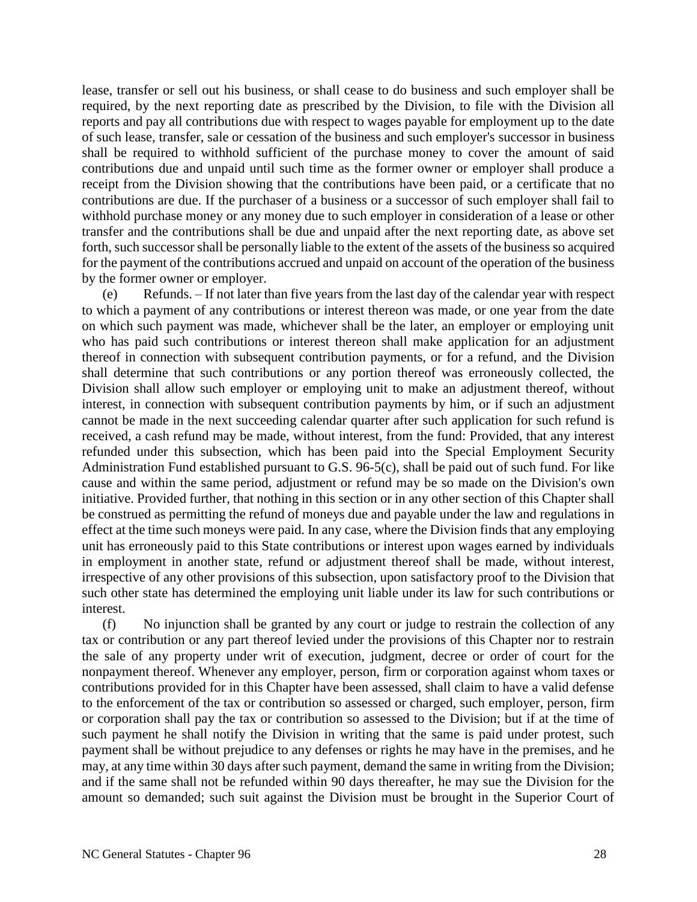lease, transfer or sell out his business, or shall cease to do business and such employer shall be required, by the next reporting date as prescribed by the Division, to file with the Division all reports and pay all contributions due with respect to wages payable for employment up to the date of such lease, transfer, sale or cessation of the business and such employer's successor in business shall be required to withhold sufficient of the purchase money to cover the amount of said contributions due and unpaid until such time as the former owner or employer shall produce a receipt from the Division showing that the contributions have been paid, or a certificate that no contributions are due. If the purchaser of a business or a successor of such employer shall fail to withhold purchase money or any money due to such employer in consideration of a lease or other transfer and the contributions shall be due and unpaid after the next reporting date, as above set forth, such successor shall be personally liable to the extent of the assets of the business so acquired for the payment of the contributions accrued and unpaid on account of the operation of the business by the former owner or employer.

(e) Refunds. – If not later than five years from the last day of the calendar year with respect to which a payment of any contributions or interest thereon was made, or one year from the date on which such payment was made, whichever shall be the later, an employer or employing unit who has paid such contributions or interest thereon shall make application for an adjustment thereof in connection with subsequent contribution payments, or for a refund, and the Division shall determine that such contributions or any portion thereof was erroneously collected, the Division shall allow such employer or employing unit to make an adjustment thereof, without interest, in connection with subsequent contribution payments by him, or if such an adjustment cannot be made in the next succeeding calendar quarter after such application for such refund is received, a cash refund may be made, without interest, from the fund: Provided, that any interest refunded under this subsection, which has been paid into the Special Employment Security Administration Fund established pursuant to G.S. 96-5(c), shall be paid out of such fund. For like cause and within the same period, adjustment or refund may be so made on the Division's own initiative. Provided further, that nothing in this section or in any other section of this Chapter shall be construed as permitting the refund of moneys due and payable under the law and regulations in effect at the time such moneys were paid. In any case, where the Division finds that any employing unit has erroneously paid to this State contributions or interest upon wages earned by individuals in employment in another state, refund or adjustment thereof shall be made, without interest, irrespective of any other provisions of this subsection, upon satisfactory proof to the Division that such other state has determined the employing unit liable under its law for such contributions or interest.

(f) No injunction shall be granted by any court or judge to restrain the collection of any tax or contribution or any part thereof levied under the provisions of this Chapter nor to restrain the sale of any property under writ of execution, judgment, decree or order of court for the nonpayment thereof. Whenever any employer, person, firm or corporation against whom taxes or contributions provided for in this Chapter have been assessed, shall claim to have a valid defense to the enforcement of the tax or contribution so assessed or charged, such employer, person, firm or corporation shall pay the tax or contribution so assessed to the Division; but if at the time of such payment he shall notify the Division in writing that the same is paid under protest, such payment shall be without prejudice to any defenses or rights he may have in the premises, and he may, at any time within 30 days after such payment, demand the same in writing from the Division; and if the same shall not be refunded within 90 days thereafter, he may sue the Division for the amount so demanded; such suit against the Division must be brought in the Superior Court of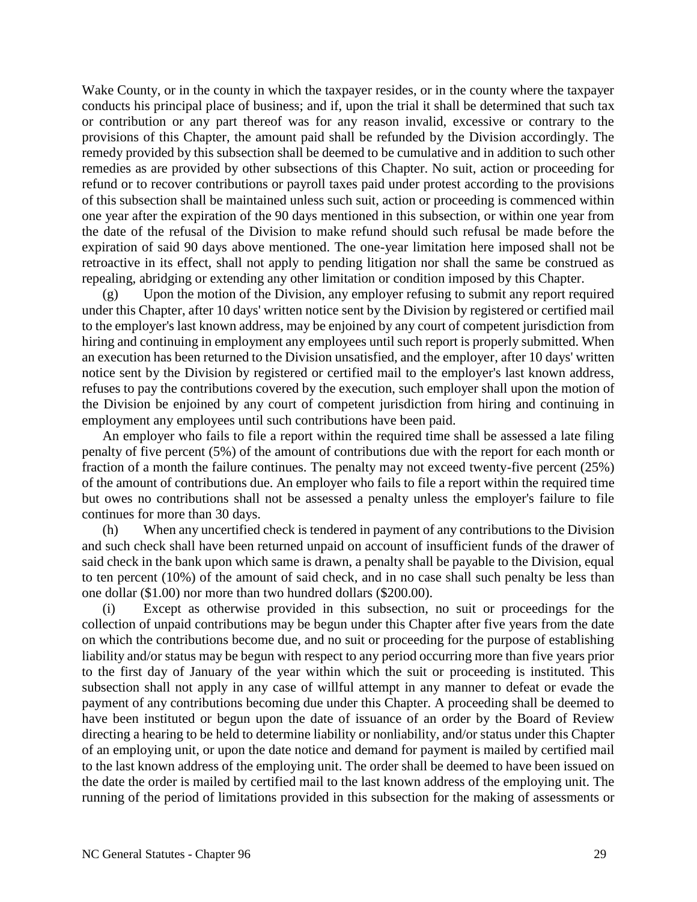Wake County, or in the county in which the taxpayer resides, or in the county where the taxpayer conducts his principal place of business; and if, upon the trial it shall be determined that such tax or contribution or any part thereof was for any reason invalid, excessive or contrary to the provisions of this Chapter, the amount paid shall be refunded by the Division accordingly. The remedy provided by this subsection shall be deemed to be cumulative and in addition to such other remedies as are provided by other subsections of this Chapter. No suit, action or proceeding for refund or to recover contributions or payroll taxes paid under protest according to the provisions of this subsection shall be maintained unless such suit, action or proceeding is commenced within one year after the expiration of the 90 days mentioned in this subsection, or within one year from the date of the refusal of the Division to make refund should such refusal be made before the expiration of said 90 days above mentioned. The one-year limitation here imposed shall not be retroactive in its effect, shall not apply to pending litigation nor shall the same be construed as repealing, abridging or extending any other limitation or condition imposed by this Chapter.

(g) Upon the motion of the Division, any employer refusing to submit any report required under this Chapter, after 10 days' written notice sent by the Division by registered or certified mail to the employer's last known address, may be enjoined by any court of competent jurisdiction from hiring and continuing in employment any employees until such report is properly submitted. When an execution has been returned to the Division unsatisfied, and the employer, after 10 days' written notice sent by the Division by registered or certified mail to the employer's last known address, refuses to pay the contributions covered by the execution, such employer shall upon the motion of the Division be enjoined by any court of competent jurisdiction from hiring and continuing in employment any employees until such contributions have been paid.

An employer who fails to file a report within the required time shall be assessed a late filing penalty of five percent (5%) of the amount of contributions due with the report for each month or fraction of a month the failure continues. The penalty may not exceed twenty-five percent (25%) of the amount of contributions due. An employer who fails to file a report within the required time but owes no contributions shall not be assessed a penalty unless the employer's failure to file continues for more than 30 days.

(h) When any uncertified check is tendered in payment of any contributions to the Division and such check shall have been returned unpaid on account of insufficient funds of the drawer of said check in the bank upon which same is drawn, a penalty shall be payable to the Division, equal to ten percent (10%) of the amount of said check, and in no case shall such penalty be less than one dollar (\$1.00) nor more than two hundred dollars (\$200.00).

(i) Except as otherwise provided in this subsection, no suit or proceedings for the collection of unpaid contributions may be begun under this Chapter after five years from the date on which the contributions become due, and no suit or proceeding for the purpose of establishing liability and/or status may be begun with respect to any period occurring more than five years prior to the first day of January of the year within which the suit or proceeding is instituted. This subsection shall not apply in any case of willful attempt in any manner to defeat or evade the payment of any contributions becoming due under this Chapter. A proceeding shall be deemed to have been instituted or begun upon the date of issuance of an order by the Board of Review directing a hearing to be held to determine liability or nonliability, and/or status under this Chapter of an employing unit, or upon the date notice and demand for payment is mailed by certified mail to the last known address of the employing unit. The order shall be deemed to have been issued on the date the order is mailed by certified mail to the last known address of the employing unit. The running of the period of limitations provided in this subsection for the making of assessments or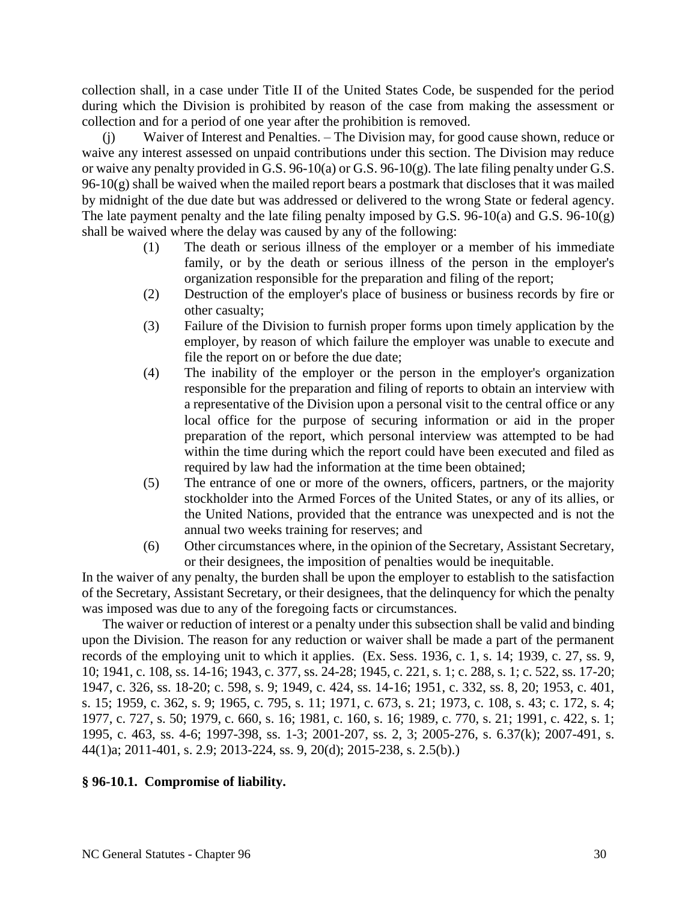collection shall, in a case under Title II of the United States Code, be suspended for the period during which the Division is prohibited by reason of the case from making the assessment or collection and for a period of one year after the prohibition is removed.

Waiver of Interest and Penalties. – The Division may, for good cause shown, reduce or waive any interest assessed on unpaid contributions under this section. The Division may reduce or waive any penalty provided in G.S. 96-10(a) or G.S. 96-10(g). The late filing penalty under G.S.  $96-10(g)$  shall be waived when the mailed report bears a postmark that discloses that it was mailed by midnight of the due date but was addressed or delivered to the wrong State or federal agency. The late payment penalty and the late filing penalty imposed by G.S. 96-10(a) and G.S. 96-10(g) shall be waived where the delay was caused by any of the following:

- (1) The death or serious illness of the employer or a member of his immediate family, or by the death or serious illness of the person in the employer's organization responsible for the preparation and filing of the report;
- (2) Destruction of the employer's place of business or business records by fire or other casualty;
- (3) Failure of the Division to furnish proper forms upon timely application by the employer, by reason of which failure the employer was unable to execute and file the report on or before the due date;
- (4) The inability of the employer or the person in the employer's organization responsible for the preparation and filing of reports to obtain an interview with a representative of the Division upon a personal visit to the central office or any local office for the purpose of securing information or aid in the proper preparation of the report, which personal interview was attempted to be had within the time during which the report could have been executed and filed as required by law had the information at the time been obtained;
- (5) The entrance of one or more of the owners, officers, partners, or the majority stockholder into the Armed Forces of the United States, or any of its allies, or the United Nations, provided that the entrance was unexpected and is not the annual two weeks training for reserves; and
- (6) Other circumstances where, in the opinion of the Secretary, Assistant Secretary, or their designees, the imposition of penalties would be inequitable.

In the waiver of any penalty, the burden shall be upon the employer to establish to the satisfaction of the Secretary, Assistant Secretary, or their designees, that the delinquency for which the penalty was imposed was due to any of the foregoing facts or circumstances.

The waiver or reduction of interest or a penalty under this subsection shall be valid and binding upon the Division. The reason for any reduction or waiver shall be made a part of the permanent records of the employing unit to which it applies. (Ex. Sess. 1936, c. 1, s. 14; 1939, c. 27, ss. 9, 10; 1941, c. 108, ss. 14-16; 1943, c. 377, ss. 24-28; 1945, c. 221, s. 1; c. 288, s. 1; c. 522, ss. 17-20; 1947, c. 326, ss. 18-20; c. 598, s. 9; 1949, c. 424, ss. 14-16; 1951, c. 332, ss. 8, 20; 1953, c. 401, s. 15; 1959, c. 362, s. 9; 1965, c. 795, s. 11; 1971, c. 673, s. 21; 1973, c. 108, s. 43; c. 172, s. 4; 1977, c. 727, s. 50; 1979, c. 660, s. 16; 1981, c. 160, s. 16; 1989, c. 770, s. 21; 1991, c. 422, s. 1; 1995, c. 463, ss. 4-6; 1997-398, ss. 1-3; 2001-207, ss. 2, 3; 2005-276, s. 6.37(k); 2007-491, s. 44(1)a; 2011-401, s. 2.9; 2013-224, ss. 9, 20(d); 2015-238, s. 2.5(b).)

### **§ 96-10.1. Compromise of liability.**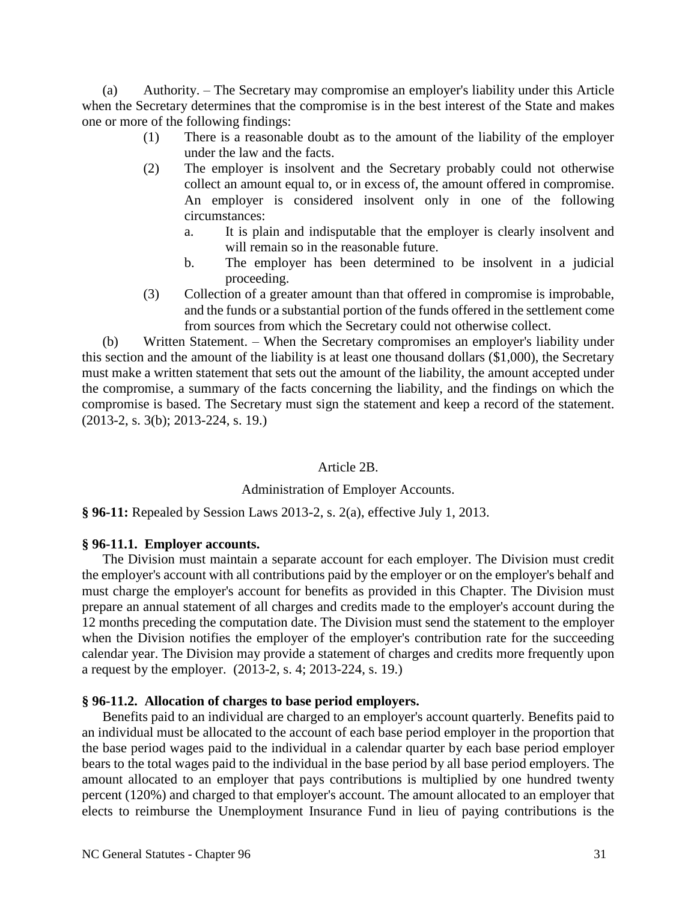(a) Authority. – The Secretary may compromise an employer's liability under this Article when the Secretary determines that the compromise is in the best interest of the State and makes one or more of the following findings:

- (1) There is a reasonable doubt as to the amount of the liability of the employer under the law and the facts.
- (2) The employer is insolvent and the Secretary probably could not otherwise collect an amount equal to, or in excess of, the amount offered in compromise. An employer is considered insolvent only in one of the following circumstances:
	- a. It is plain and indisputable that the employer is clearly insolvent and will remain so in the reasonable future.
	- b. The employer has been determined to be insolvent in a judicial proceeding.
- (3) Collection of a greater amount than that offered in compromise is improbable, and the funds or a substantial portion of the funds offered in the settlement come from sources from which the Secretary could not otherwise collect.

(b) Written Statement. – When the Secretary compromises an employer's liability under this section and the amount of the liability is at least one thousand dollars (\$1,000), the Secretary must make a written statement that sets out the amount of the liability, the amount accepted under the compromise, a summary of the facts concerning the liability, and the findings on which the compromise is based. The Secretary must sign the statement and keep a record of the statement. (2013-2, s. 3(b); 2013-224, s. 19.)

### Article 2B.

# Administration of Employer Accounts.

**§ 96-11:** Repealed by Session Laws 2013-2, s. 2(a), effective July 1, 2013.

# **§ 96-11.1. Employer accounts.**

The Division must maintain a separate account for each employer. The Division must credit the employer's account with all contributions paid by the employer or on the employer's behalf and must charge the employer's account for benefits as provided in this Chapter. The Division must prepare an annual statement of all charges and credits made to the employer's account during the 12 months preceding the computation date. The Division must send the statement to the employer when the Division notifies the employer of the employer's contribution rate for the succeeding calendar year. The Division may provide a statement of charges and credits more frequently upon a request by the employer. (2013-2, s. 4; 2013-224, s. 19.)

# **§ 96-11.2. Allocation of charges to base period employers.**

Benefits paid to an individual are charged to an employer's account quarterly. Benefits paid to an individual must be allocated to the account of each base period employer in the proportion that the base period wages paid to the individual in a calendar quarter by each base period employer bears to the total wages paid to the individual in the base period by all base period employers. The amount allocated to an employer that pays contributions is multiplied by one hundred twenty percent (120%) and charged to that employer's account. The amount allocated to an employer that elects to reimburse the Unemployment Insurance Fund in lieu of paying contributions is the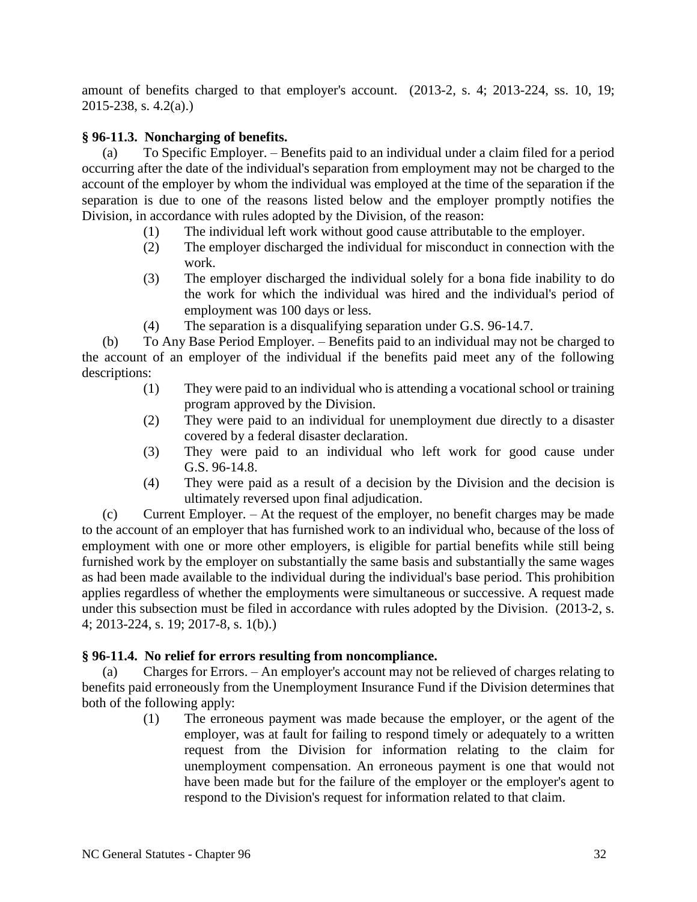amount of benefits charged to that employer's account. (2013-2, s. 4; 2013-224, ss. 10, 19; 2015-238, s. 4.2(a).)

# **§ 96-11.3. Noncharging of benefits.**

(a) To Specific Employer. – Benefits paid to an individual under a claim filed for a period occurring after the date of the individual's separation from employment may not be charged to the account of the employer by whom the individual was employed at the time of the separation if the separation is due to one of the reasons listed below and the employer promptly notifies the Division, in accordance with rules adopted by the Division, of the reason:

- (1) The individual left work without good cause attributable to the employer.
- (2) The employer discharged the individual for misconduct in connection with the work.
- (3) The employer discharged the individual solely for a bona fide inability to do the work for which the individual was hired and the individual's period of employment was 100 days or less.
- (4) The separation is a disqualifying separation under G.S. 96-14.7.

(b) To Any Base Period Employer. – Benefits paid to an individual may not be charged to the account of an employer of the individual if the benefits paid meet any of the following descriptions:

- (1) They were paid to an individual who is attending a vocational school or training program approved by the Division.
- (2) They were paid to an individual for unemployment due directly to a disaster covered by a federal disaster declaration.
- (3) They were paid to an individual who left work for good cause under G.S. 96-14.8.
- (4) They were paid as a result of a decision by the Division and the decision is ultimately reversed upon final adjudication.

(c) Current Employer. – At the request of the employer, no benefit charges may be made to the account of an employer that has furnished work to an individual who, because of the loss of employment with one or more other employers, is eligible for partial benefits while still being furnished work by the employer on substantially the same basis and substantially the same wages as had been made available to the individual during the individual's base period. This prohibition applies regardless of whether the employments were simultaneous or successive. A request made under this subsection must be filed in accordance with rules adopted by the Division. (2013-2, s. 4; 2013-224, s. 19; 2017-8, s. 1(b).)

### **§ 96-11.4. No relief for errors resulting from noncompliance.**

(a) Charges for Errors. – An employer's account may not be relieved of charges relating to benefits paid erroneously from the Unemployment Insurance Fund if the Division determines that both of the following apply:

> (1) The erroneous payment was made because the employer, or the agent of the employer, was at fault for failing to respond timely or adequately to a written request from the Division for information relating to the claim for unemployment compensation. An erroneous payment is one that would not have been made but for the failure of the employer or the employer's agent to respond to the Division's request for information related to that claim.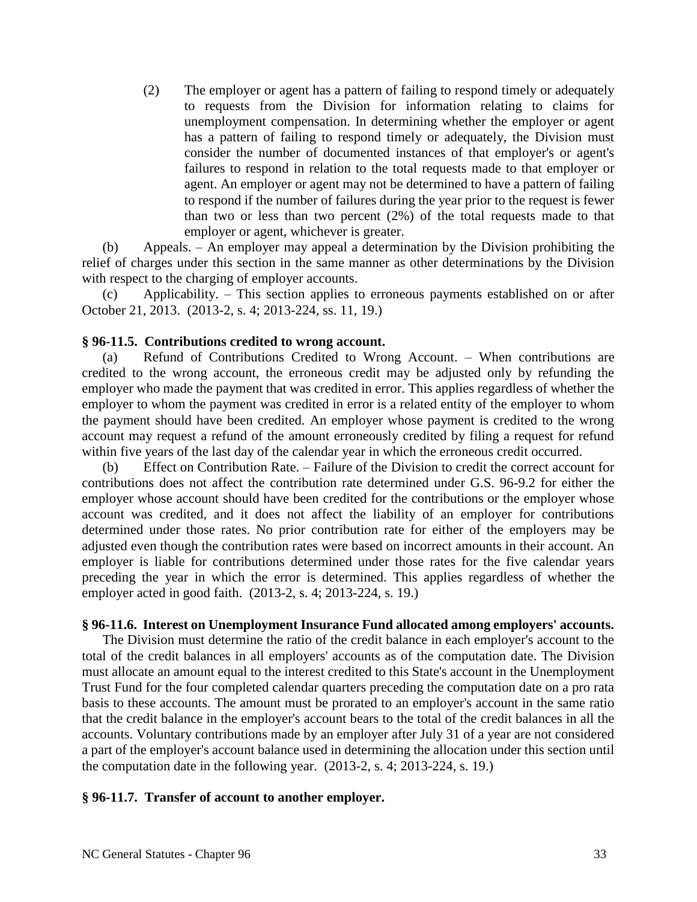(2) The employer or agent has a pattern of failing to respond timely or adequately to requests from the Division for information relating to claims for unemployment compensation. In determining whether the employer or agent has a pattern of failing to respond timely or adequately, the Division must consider the number of documented instances of that employer's or agent's failures to respond in relation to the total requests made to that employer or agent. An employer or agent may not be determined to have a pattern of failing to respond if the number of failures during the year prior to the request is fewer than two or less than two percent (2%) of the total requests made to that employer or agent, whichever is greater.

(b) Appeals. – An employer may appeal a determination by the Division prohibiting the relief of charges under this section in the same manner as other determinations by the Division with respect to the charging of employer accounts.

(c) Applicability. – This section applies to erroneous payments established on or after October 21, 2013. (2013-2, s. 4; 2013-224, ss. 11, 19.)

### **§ 96-11.5. Contributions credited to wrong account.**

(a) Refund of Contributions Credited to Wrong Account. – When contributions are credited to the wrong account, the erroneous credit may be adjusted only by refunding the employer who made the payment that was credited in error. This applies regardless of whether the employer to whom the payment was credited in error is a related entity of the employer to whom the payment should have been credited. An employer whose payment is credited to the wrong account may request a refund of the amount erroneously credited by filing a request for refund within five years of the last day of the calendar year in which the erroneous credit occurred.

(b) Effect on Contribution Rate. – Failure of the Division to credit the correct account for contributions does not affect the contribution rate determined under G.S. 96-9.2 for either the employer whose account should have been credited for the contributions or the employer whose account was credited, and it does not affect the liability of an employer for contributions determined under those rates. No prior contribution rate for either of the employers may be adjusted even though the contribution rates were based on incorrect amounts in their account. An employer is liable for contributions determined under those rates for the five calendar years preceding the year in which the error is determined. This applies regardless of whether the employer acted in good faith. (2013-2, s. 4; 2013-224, s. 19.)

#### **§ 96-11.6. Interest on Unemployment Insurance Fund allocated among employers' accounts.**

The Division must determine the ratio of the credit balance in each employer's account to the total of the credit balances in all employers' accounts as of the computation date. The Division must allocate an amount equal to the interest credited to this State's account in the Unemployment Trust Fund for the four completed calendar quarters preceding the computation date on a pro rata basis to these accounts. The amount must be prorated to an employer's account in the same ratio that the credit balance in the employer's account bears to the total of the credit balances in all the accounts. Voluntary contributions made by an employer after July 31 of a year are not considered a part of the employer's account balance used in determining the allocation under this section until the computation date in the following year. (2013-2, s. 4; 2013-224, s. 19.)

#### **§ 96-11.7. Transfer of account to another employer.**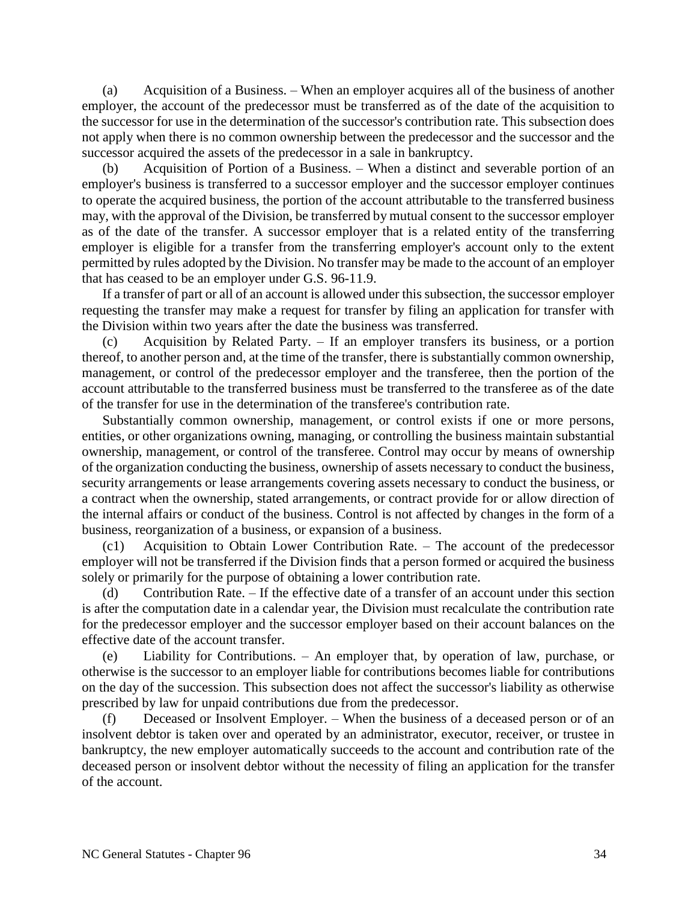(a) Acquisition of a Business. – When an employer acquires all of the business of another employer, the account of the predecessor must be transferred as of the date of the acquisition to the successor for use in the determination of the successor's contribution rate. This subsection does not apply when there is no common ownership between the predecessor and the successor and the successor acquired the assets of the predecessor in a sale in bankruptcy.

(b) Acquisition of Portion of a Business. – When a distinct and severable portion of an employer's business is transferred to a successor employer and the successor employer continues to operate the acquired business, the portion of the account attributable to the transferred business may, with the approval of the Division, be transferred by mutual consent to the successor employer as of the date of the transfer. A successor employer that is a related entity of the transferring employer is eligible for a transfer from the transferring employer's account only to the extent permitted by rules adopted by the Division. No transfer may be made to the account of an employer that has ceased to be an employer under G.S. 96-11.9.

If a transfer of part or all of an account is allowed under this subsection, the successor employer requesting the transfer may make a request for transfer by filing an application for transfer with the Division within two years after the date the business was transferred.

(c) Acquisition by Related Party. – If an employer transfers its business, or a portion thereof, to another person and, at the time of the transfer, there is substantially common ownership, management, or control of the predecessor employer and the transferee, then the portion of the account attributable to the transferred business must be transferred to the transferee as of the date of the transfer for use in the determination of the transferee's contribution rate.

Substantially common ownership, management, or control exists if one or more persons, entities, or other organizations owning, managing, or controlling the business maintain substantial ownership, management, or control of the transferee. Control may occur by means of ownership of the organization conducting the business, ownership of assets necessary to conduct the business, security arrangements or lease arrangements covering assets necessary to conduct the business, or a contract when the ownership, stated arrangements, or contract provide for or allow direction of the internal affairs or conduct of the business. Control is not affected by changes in the form of a business, reorganization of a business, or expansion of a business.

(c1) Acquisition to Obtain Lower Contribution Rate. – The account of the predecessor employer will not be transferred if the Division finds that a person formed or acquired the business solely or primarily for the purpose of obtaining a lower contribution rate.

Contribution Rate. – If the effective date of a transfer of an account under this section is after the computation date in a calendar year, the Division must recalculate the contribution rate for the predecessor employer and the successor employer based on their account balances on the effective date of the account transfer.

(e) Liability for Contributions. – An employer that, by operation of law, purchase, or otherwise is the successor to an employer liable for contributions becomes liable for contributions on the day of the succession. This subsection does not affect the successor's liability as otherwise prescribed by law for unpaid contributions due from the predecessor.

(f) Deceased or Insolvent Employer. – When the business of a deceased person or of an insolvent debtor is taken over and operated by an administrator, executor, receiver, or trustee in bankruptcy, the new employer automatically succeeds to the account and contribution rate of the deceased person or insolvent debtor without the necessity of filing an application for the transfer of the account.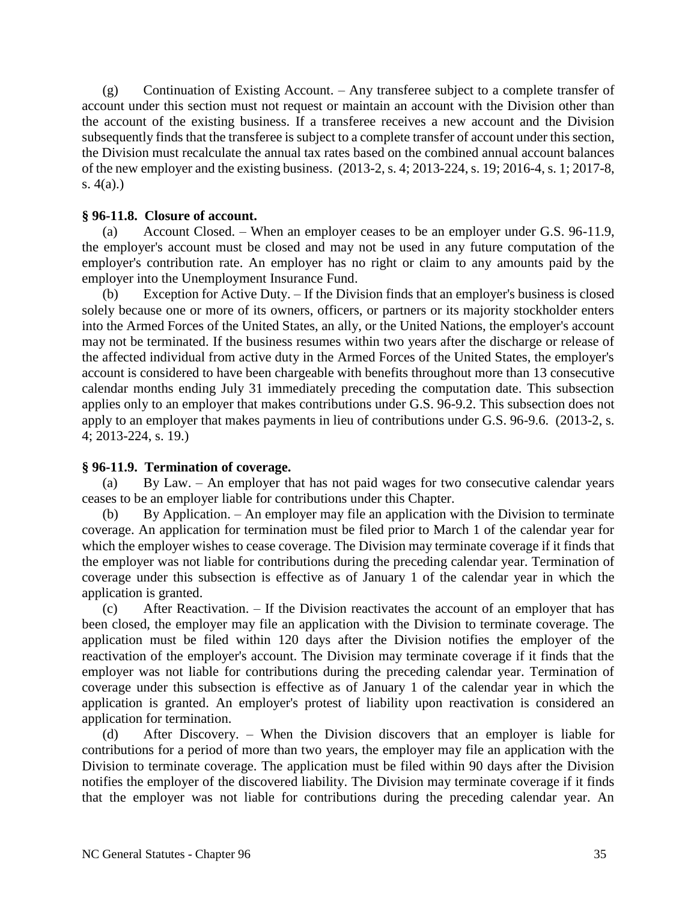(g) Continuation of Existing Account. – Any transferee subject to a complete transfer of account under this section must not request or maintain an account with the Division other than the account of the existing business. If a transferee receives a new account and the Division subsequently finds that the transferee is subject to a complete transfer of account under this section, the Division must recalculate the annual tax rates based on the combined annual account balances of the new employer and the existing business. (2013-2, s. 4; 2013-224, s. 19; 2016-4, s. 1; 2017-8, s. 4(a).)

## **§ 96-11.8. Closure of account.**

(a) Account Closed. – When an employer ceases to be an employer under G.S. 96-11.9, the employer's account must be closed and may not be used in any future computation of the employer's contribution rate. An employer has no right or claim to any amounts paid by the employer into the Unemployment Insurance Fund.

(b) Exception for Active Duty. – If the Division finds that an employer's business is closed solely because one or more of its owners, officers, or partners or its majority stockholder enters into the Armed Forces of the United States, an ally, or the United Nations, the employer's account may not be terminated. If the business resumes within two years after the discharge or release of the affected individual from active duty in the Armed Forces of the United States, the employer's account is considered to have been chargeable with benefits throughout more than 13 consecutive calendar months ending July 31 immediately preceding the computation date. This subsection applies only to an employer that makes contributions under G.S. 96-9.2. This subsection does not apply to an employer that makes payments in lieu of contributions under G.S. 96-9.6. (2013-2, s. 4; 2013-224, s. 19.)

### **§ 96-11.9. Termination of coverage.**

(a) By Law. – An employer that has not paid wages for two consecutive calendar years ceases to be an employer liable for contributions under this Chapter.

(b) By Application. – An employer may file an application with the Division to terminate coverage. An application for termination must be filed prior to March 1 of the calendar year for which the employer wishes to cease coverage. The Division may terminate coverage if it finds that the employer was not liable for contributions during the preceding calendar year. Termination of coverage under this subsection is effective as of January 1 of the calendar year in which the application is granted.

(c) After Reactivation. – If the Division reactivates the account of an employer that has been closed, the employer may file an application with the Division to terminate coverage. The application must be filed within 120 days after the Division notifies the employer of the reactivation of the employer's account. The Division may terminate coverage if it finds that the employer was not liable for contributions during the preceding calendar year. Termination of coverage under this subsection is effective as of January 1 of the calendar year in which the application is granted. An employer's protest of liability upon reactivation is considered an application for termination.

(d) After Discovery. – When the Division discovers that an employer is liable for contributions for a period of more than two years, the employer may file an application with the Division to terminate coverage. The application must be filed within 90 days after the Division notifies the employer of the discovered liability. The Division may terminate coverage if it finds that the employer was not liable for contributions during the preceding calendar year. An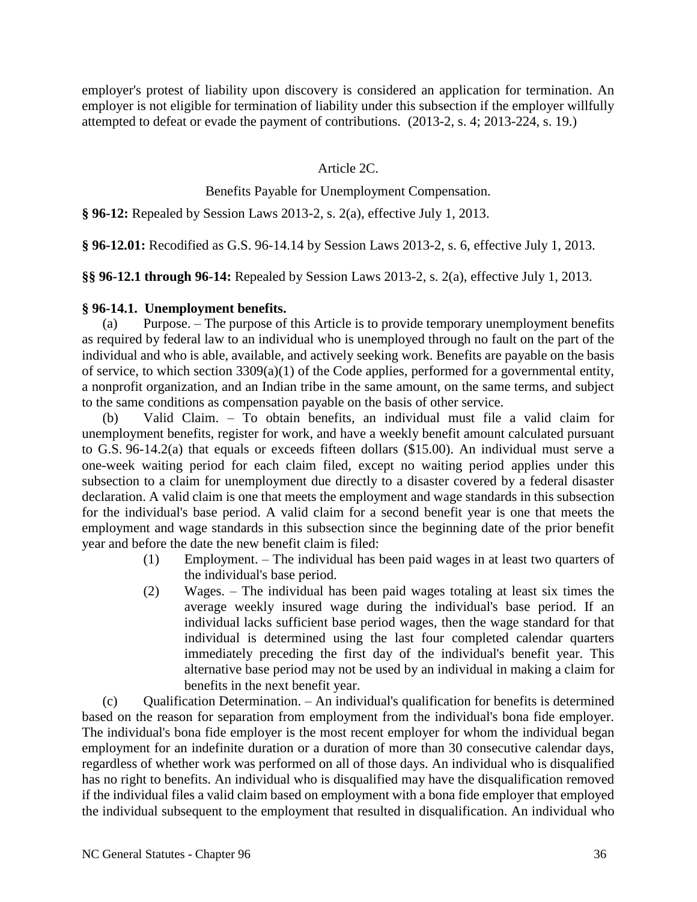employer's protest of liability upon discovery is considered an application for termination. An employer is not eligible for termination of liability under this subsection if the employer willfully attempted to defeat or evade the payment of contributions. (2013-2, s. 4; 2013-224, s. 19.)

# Article 2C.

# Benefits Payable for Unemployment Compensation.

**§ 96-12:** Repealed by Session Laws 2013-2, s. 2(a), effective July 1, 2013.

**§ 96-12.01:** Recodified as G.S. 96-14.14 by Session Laws 2013-2, s. 6, effective July 1, 2013.

**§§ 96-12.1 through 96-14:** Repealed by Session Laws 2013-2, s. 2(a), effective July 1, 2013.

#### **§ 96-14.1. Unemployment benefits.**

(a) Purpose. – The purpose of this Article is to provide temporary unemployment benefits as required by federal law to an individual who is unemployed through no fault on the part of the individual and who is able, available, and actively seeking work. Benefits are payable on the basis of service, to which section  $3309(a)(1)$  of the Code applies, performed for a governmental entity, a nonprofit organization, and an Indian tribe in the same amount, on the same terms, and subject to the same conditions as compensation payable on the basis of other service.

(b) Valid Claim. – To obtain benefits, an individual must file a valid claim for unemployment benefits, register for work, and have a weekly benefit amount calculated pursuant to G.S. 96-14.2(a) that equals or exceeds fifteen dollars (\$15.00). An individual must serve a one-week waiting period for each claim filed, except no waiting period applies under this subsection to a claim for unemployment due directly to a disaster covered by a federal disaster declaration. A valid claim is one that meets the employment and wage standards in this subsection for the individual's base period. A valid claim for a second benefit year is one that meets the employment and wage standards in this subsection since the beginning date of the prior benefit year and before the date the new benefit claim is filed:

- (1) Employment. The individual has been paid wages in at least two quarters of the individual's base period.
- (2) Wages. The individual has been paid wages totaling at least six times the average weekly insured wage during the individual's base period. If an individual lacks sufficient base period wages, then the wage standard for that individual is determined using the last four completed calendar quarters immediately preceding the first day of the individual's benefit year. This alternative base period may not be used by an individual in making a claim for benefits in the next benefit year.

(c) Qualification Determination. – An individual's qualification for benefits is determined based on the reason for separation from employment from the individual's bona fide employer. The individual's bona fide employer is the most recent employer for whom the individual began employment for an indefinite duration or a duration of more than 30 consecutive calendar days, regardless of whether work was performed on all of those days. An individual who is disqualified has no right to benefits. An individual who is disqualified may have the disqualification removed if the individual files a valid claim based on employment with a bona fide employer that employed the individual subsequent to the employment that resulted in disqualification. An individual who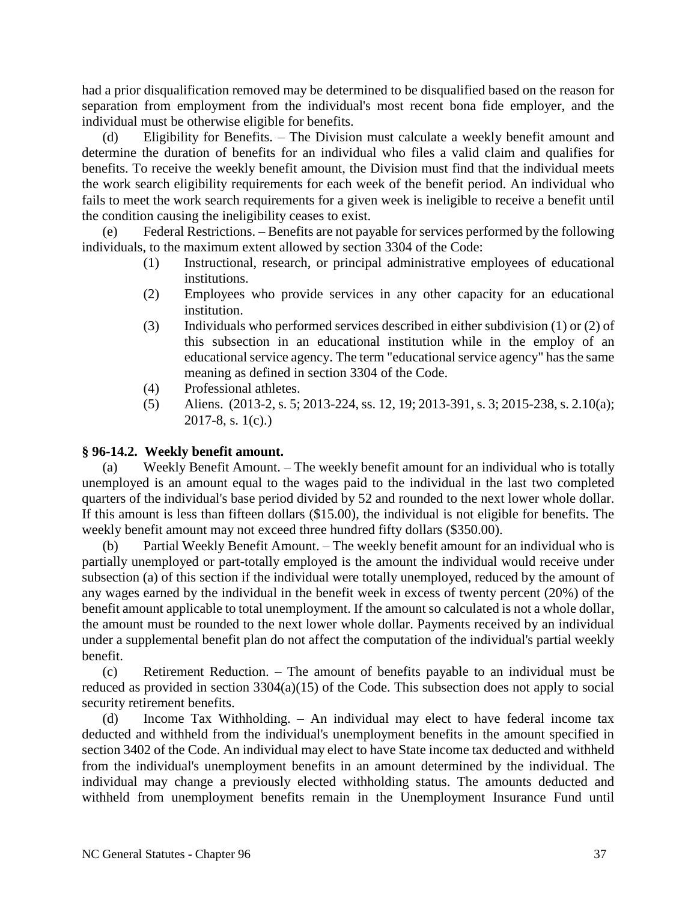had a prior disqualification removed may be determined to be disqualified based on the reason for separation from employment from the individual's most recent bona fide employer, and the individual must be otherwise eligible for benefits.

(d) Eligibility for Benefits. – The Division must calculate a weekly benefit amount and determine the duration of benefits for an individual who files a valid claim and qualifies for benefits. To receive the weekly benefit amount, the Division must find that the individual meets the work search eligibility requirements for each week of the benefit period. An individual who fails to meet the work search requirements for a given week is ineligible to receive a benefit until the condition causing the ineligibility ceases to exist.

Federal Restrictions. – Benefits are not payable for services performed by the following individuals, to the maximum extent allowed by section 3304 of the Code:

- (1) Instructional, research, or principal administrative employees of educational institutions.
- (2) Employees who provide services in any other capacity for an educational institution.
- (3) Individuals who performed services described in either subdivision (1) or (2) of this subsection in an educational institution while in the employ of an educational service agency. The term "educational service agency" has the same meaning as defined in section 3304 of the Code.
- (4) Professional athletes.
- (5) Aliens. (2013-2, s. 5; 2013-224, ss. 12, 19; 2013-391, s. 3; 2015-238, s. 2.10(a); 2017-8, s. 1(c).)

# **§ 96-14.2. Weekly benefit amount.**

(a) Weekly Benefit Amount. – The weekly benefit amount for an individual who is totally unemployed is an amount equal to the wages paid to the individual in the last two completed quarters of the individual's base period divided by 52 and rounded to the next lower whole dollar. If this amount is less than fifteen dollars (\$15.00), the individual is not eligible for benefits. The weekly benefit amount may not exceed three hundred fifty dollars (\$350.00).

(b) Partial Weekly Benefit Amount. – The weekly benefit amount for an individual who is partially unemployed or part-totally employed is the amount the individual would receive under subsection (a) of this section if the individual were totally unemployed, reduced by the amount of any wages earned by the individual in the benefit week in excess of twenty percent (20%) of the benefit amount applicable to total unemployment. If the amount so calculated is not a whole dollar, the amount must be rounded to the next lower whole dollar. Payments received by an individual under a supplemental benefit plan do not affect the computation of the individual's partial weekly benefit.

(c) Retirement Reduction. – The amount of benefits payable to an individual must be reduced as provided in section 3304(a)(15) of the Code. This subsection does not apply to social security retirement benefits.

(d) Income Tax Withholding. – An individual may elect to have federal income tax deducted and withheld from the individual's unemployment benefits in the amount specified in section 3402 of the Code. An individual may elect to have State income tax deducted and withheld from the individual's unemployment benefits in an amount determined by the individual. The individual may change a previously elected withholding status. The amounts deducted and withheld from unemployment benefits remain in the Unemployment Insurance Fund until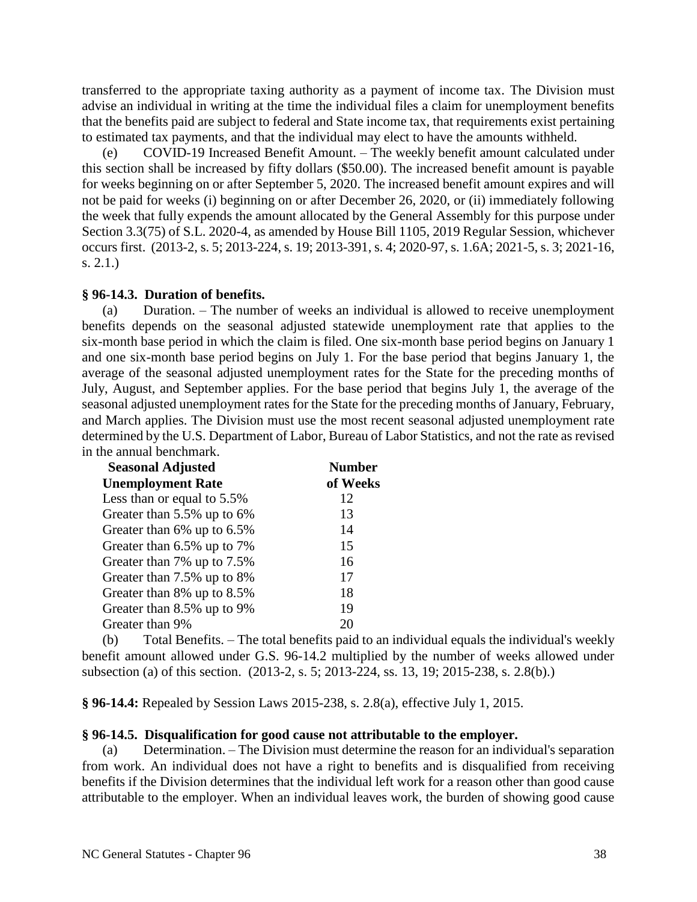transferred to the appropriate taxing authority as a payment of income tax. The Division must advise an individual in writing at the time the individual files a claim for unemployment benefits that the benefits paid are subject to federal and State income tax, that requirements exist pertaining to estimated tax payments, and that the individual may elect to have the amounts withheld.

(e) COVID-19 Increased Benefit Amount. – The weekly benefit amount calculated under this section shall be increased by fifty dollars (\$50.00). The increased benefit amount is payable for weeks beginning on or after September 5, 2020. The increased benefit amount expires and will not be paid for weeks (i) beginning on or after December 26, 2020, or (ii) immediately following the week that fully expends the amount allocated by the General Assembly for this purpose under Section 3.3(75) of S.L. 2020-4, as amended by House Bill 1105, 2019 Regular Session, whichever occurs first. (2013-2, s. 5; 2013-224, s. 19; 2013-391, s. 4; 2020-97, s. 1.6A; 2021-5, s. 3; 2021-16, s. 2.1.)

## **§ 96-14.3. Duration of benefits.**

(a) Duration. – The number of weeks an individual is allowed to receive unemployment benefits depends on the seasonal adjusted statewide unemployment rate that applies to the six-month base period in which the claim is filed. One six-month base period begins on January 1 and one six-month base period begins on July 1. For the base period that begins January 1, the average of the seasonal adjusted unemployment rates for the State for the preceding months of July, August, and September applies. For the base period that begins July 1, the average of the seasonal adjusted unemployment rates for the State for the preceding months of January, February, and March applies. The Division must use the most recent seasonal adjusted unemployment rate determined by the U.S. Department of Labor, Bureau of Labor Statistics, and not the rate as revised in the annual benchmark.

| <b>Seasonal Adjusted</b><br><b>Unemployment Rate</b> | <b>Number</b><br>of Weeks |
|------------------------------------------------------|---------------------------|
|                                                      |                           |
| Greater than 5.5% up to 6%                           | 13                        |
| Greater than 6% up to 6.5%                           | 14                        |
| Greater than 6.5% up to 7%                           | 15                        |
| Greater than 7% up to 7.5%                           | 16                        |
| Greater than 7.5% up to 8%                           | 17                        |
| Greater than 8% up to 8.5%                           | 18                        |
| Greater than 8.5% up to 9%                           | 19                        |
| Greater than 9%                                      |                           |

(b) Total Benefits. – The total benefits paid to an individual equals the individual's weekly benefit amount allowed under G.S. 96-14.2 multiplied by the number of weeks allowed under subsection (a) of this section. (2013-2, s. 5; 2013-224, ss. 13, 19; 2015-238, s. 2.8(b).)

**§ 96-14.4:** Repealed by Session Laws 2015-238, s. 2.8(a), effective July 1, 2015.

## **§ 96-14.5. Disqualification for good cause not attributable to the employer.**

(a) Determination. – The Division must determine the reason for an individual's separation from work. An individual does not have a right to benefits and is disqualified from receiving benefits if the Division determines that the individual left work for a reason other than good cause attributable to the employer. When an individual leaves work, the burden of showing good cause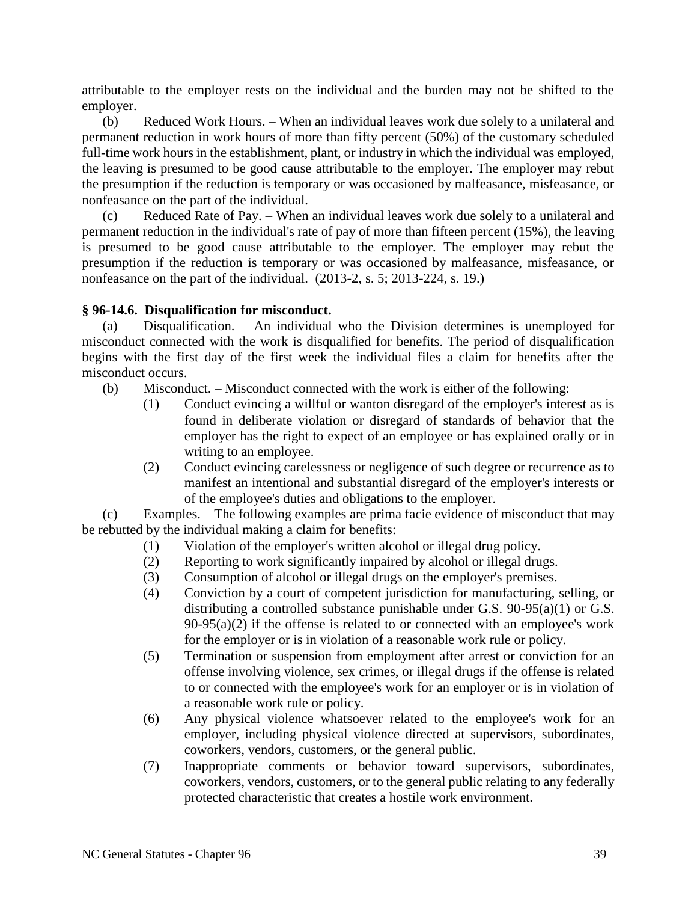attributable to the employer rests on the individual and the burden may not be shifted to the employer.

(b) Reduced Work Hours. – When an individual leaves work due solely to a unilateral and permanent reduction in work hours of more than fifty percent (50%) of the customary scheduled full-time work hours in the establishment, plant, or industry in which the individual was employed, the leaving is presumed to be good cause attributable to the employer. The employer may rebut the presumption if the reduction is temporary or was occasioned by malfeasance, misfeasance, or nonfeasance on the part of the individual.

(c) Reduced Rate of Pay. – When an individual leaves work due solely to a unilateral and permanent reduction in the individual's rate of pay of more than fifteen percent (15%), the leaving is presumed to be good cause attributable to the employer. The employer may rebut the presumption if the reduction is temporary or was occasioned by malfeasance, misfeasance, or nonfeasance on the part of the individual. (2013-2, s. 5; 2013-224, s. 19.)

## **§ 96-14.6. Disqualification for misconduct.**

(a) Disqualification. – An individual who the Division determines is unemployed for misconduct connected with the work is disqualified for benefits. The period of disqualification begins with the first day of the first week the individual files a claim for benefits after the misconduct occurs.

- (b) Misconduct. Misconduct connected with the work is either of the following:
	- (1) Conduct evincing a willful or wanton disregard of the employer's interest as is found in deliberate violation or disregard of standards of behavior that the employer has the right to expect of an employee or has explained orally or in writing to an employee.
	- (2) Conduct evincing carelessness or negligence of such degree or recurrence as to manifest an intentional and substantial disregard of the employer's interests or of the employee's duties and obligations to the employer.

(c) Examples. – The following examples are prima facie evidence of misconduct that may be rebutted by the individual making a claim for benefits:

- (1) Violation of the employer's written alcohol or illegal drug policy.
- (2) Reporting to work significantly impaired by alcohol or illegal drugs.
- (3) Consumption of alcohol or illegal drugs on the employer's premises.
- (4) Conviction by a court of competent jurisdiction for manufacturing, selling, or distributing a controlled substance punishable under G.S. 90-95(a)(1) or G.S.  $90-95(a)(2)$  if the offense is related to or connected with an employee's work for the employer or is in violation of a reasonable work rule or policy.
- (5) Termination or suspension from employment after arrest or conviction for an offense involving violence, sex crimes, or illegal drugs if the offense is related to or connected with the employee's work for an employer or is in violation of a reasonable work rule or policy.
- (6) Any physical violence whatsoever related to the employee's work for an employer, including physical violence directed at supervisors, subordinates, coworkers, vendors, customers, or the general public.
- (7) Inappropriate comments or behavior toward supervisors, subordinates, coworkers, vendors, customers, or to the general public relating to any federally protected characteristic that creates a hostile work environment.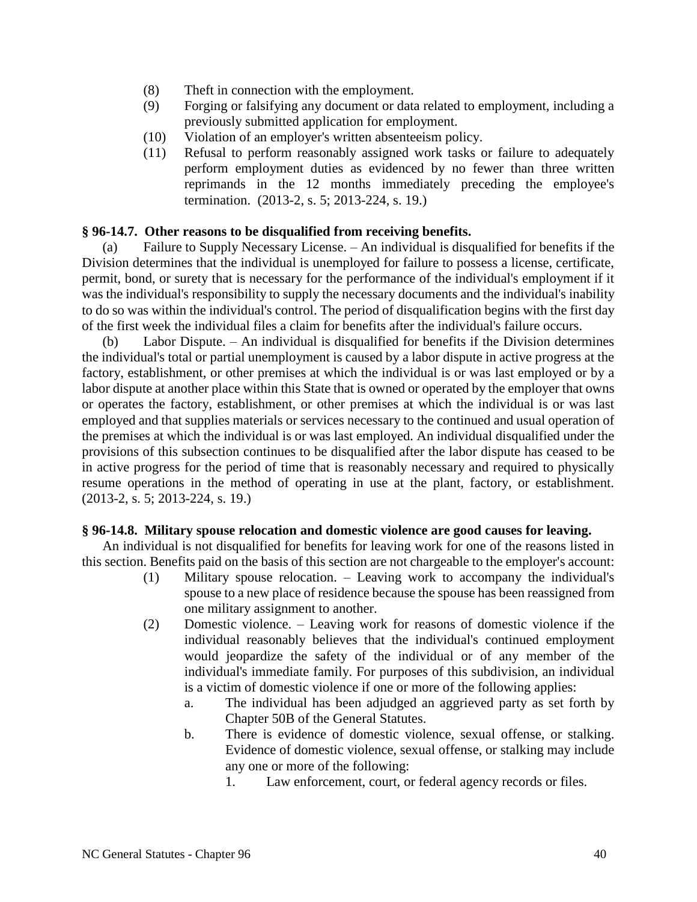- (8) Theft in connection with the employment.
- (9) Forging or falsifying any document or data related to employment, including a previously submitted application for employment.
- (10) Violation of an employer's written absenteeism policy.
- (11) Refusal to perform reasonably assigned work tasks or failure to adequately perform employment duties as evidenced by no fewer than three written reprimands in the 12 months immediately preceding the employee's termination. (2013-2, s. 5; 2013-224, s. 19.)

## **§ 96-14.7. Other reasons to be disqualified from receiving benefits.**

(a) Failure to Supply Necessary License. – An individual is disqualified for benefits if the Division determines that the individual is unemployed for failure to possess a license, certificate, permit, bond, or surety that is necessary for the performance of the individual's employment if it was the individual's responsibility to supply the necessary documents and the individual's inability to do so was within the individual's control. The period of disqualification begins with the first day of the first week the individual files a claim for benefits after the individual's failure occurs.

(b) Labor Dispute. – An individual is disqualified for benefits if the Division determines the individual's total or partial unemployment is caused by a labor dispute in active progress at the factory, establishment, or other premises at which the individual is or was last employed or by a labor dispute at another place within this State that is owned or operated by the employer that owns or operates the factory, establishment, or other premises at which the individual is or was last employed and that supplies materials or services necessary to the continued and usual operation of the premises at which the individual is or was last employed. An individual disqualified under the provisions of this subsection continues to be disqualified after the labor dispute has ceased to be in active progress for the period of time that is reasonably necessary and required to physically resume operations in the method of operating in use at the plant, factory, or establishment. (2013-2, s. 5; 2013-224, s. 19.)

## **§ 96-14.8. Military spouse relocation and domestic violence are good causes for leaving.**

An individual is not disqualified for benefits for leaving work for one of the reasons listed in this section. Benefits paid on the basis of this section are not chargeable to the employer's account:

- (1) Military spouse relocation. Leaving work to accompany the individual's spouse to a new place of residence because the spouse has been reassigned from one military assignment to another.
- (2) Domestic violence. Leaving work for reasons of domestic violence if the individual reasonably believes that the individual's continued employment would jeopardize the safety of the individual or of any member of the individual's immediate family. For purposes of this subdivision, an individual is a victim of domestic violence if one or more of the following applies:
	- a. The individual has been adjudged an aggrieved party as set forth by Chapter 50B of the General Statutes.
	- b. There is evidence of domestic violence, sexual offense, or stalking. Evidence of domestic violence, sexual offense, or stalking may include any one or more of the following:
		- 1. Law enforcement, court, or federal agency records or files.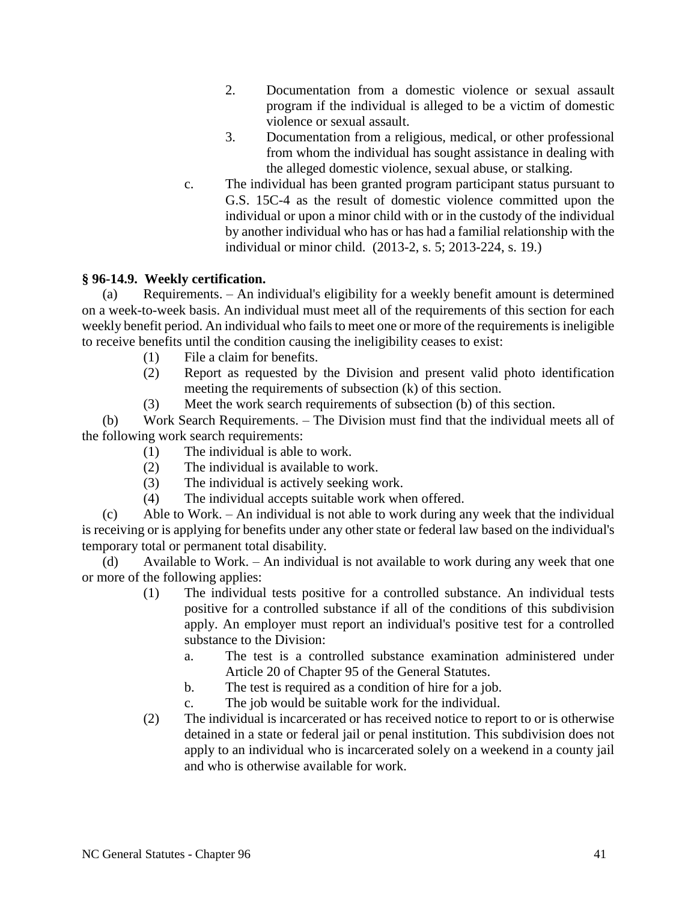- 2. Documentation from a domestic violence or sexual assault program if the individual is alleged to be a victim of domestic violence or sexual assault.
- 3. Documentation from a religious, medical, or other professional from whom the individual has sought assistance in dealing with the alleged domestic violence, sexual abuse, or stalking.
- c. The individual has been granted program participant status pursuant to G.S. 15C-4 as the result of domestic violence committed upon the individual or upon a minor child with or in the custody of the individual by another individual who has or has had a familial relationship with the individual or minor child. (2013-2, s. 5; 2013-224, s. 19.)

# **§ 96-14.9. Weekly certification.**

(a) Requirements. – An individual's eligibility for a weekly benefit amount is determined on a week-to-week basis. An individual must meet all of the requirements of this section for each weekly benefit period. An individual who fails to meet one or more of the requirements is ineligible to receive benefits until the condition causing the ineligibility ceases to exist:

- (1) File a claim for benefits.
- (2) Report as requested by the Division and present valid photo identification meeting the requirements of subsection (k) of this section.
- (3) Meet the work search requirements of subsection (b) of this section.

(b) Work Search Requirements. – The Division must find that the individual meets all of the following work search requirements:

- (1) The individual is able to work.
- (2) The individual is available to work.
- (3) The individual is actively seeking work.
- (4) The individual accepts suitable work when offered.

(c) Able to Work. – An individual is not able to work during any week that the individual is receiving or is applying for benefits under any other state or federal law based on the individual's temporary total or permanent total disability.

(d) Available to Work. – An individual is not available to work during any week that one or more of the following applies:

- (1) The individual tests positive for a controlled substance. An individual tests positive for a controlled substance if all of the conditions of this subdivision apply. An employer must report an individual's positive test for a controlled substance to the Division:
	- a. The test is a controlled substance examination administered under Article 20 of Chapter 95 of the General Statutes.
	- b. The test is required as a condition of hire for a job.
	- c. The job would be suitable work for the individual.
- (2) The individual is incarcerated or has received notice to report to or is otherwise detained in a state or federal jail or penal institution. This subdivision does not apply to an individual who is incarcerated solely on a weekend in a county jail and who is otherwise available for work.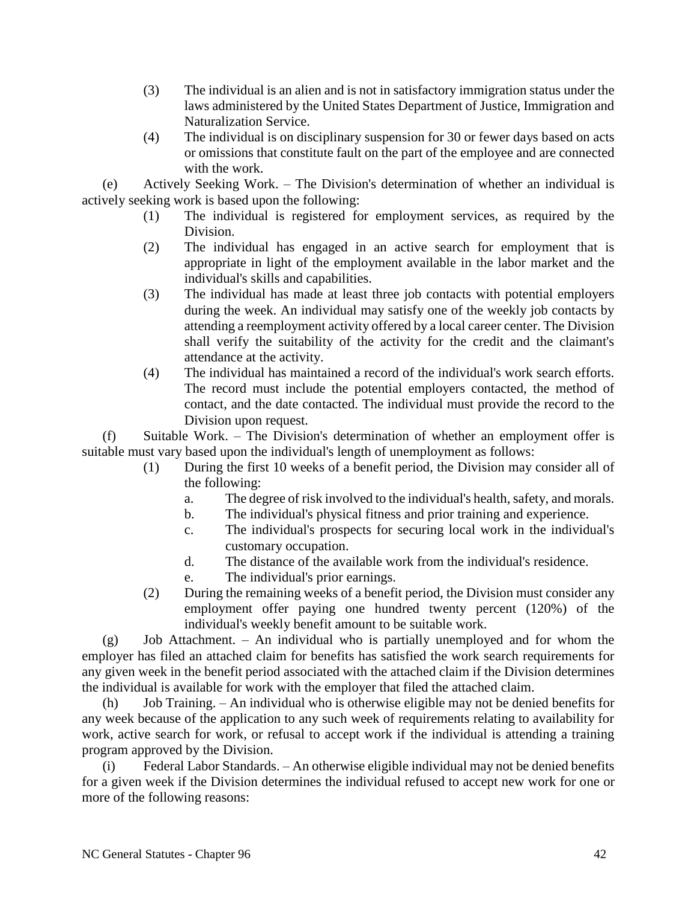- (3) The individual is an alien and is not in satisfactory immigration status under the laws administered by the United States Department of Justice, Immigration and Naturalization Service.
- (4) The individual is on disciplinary suspension for 30 or fewer days based on acts or omissions that constitute fault on the part of the employee and are connected with the work.

(e) Actively Seeking Work. – The Division's determination of whether an individual is actively seeking work is based upon the following:

- (1) The individual is registered for employment services, as required by the Division.
- (2) The individual has engaged in an active search for employment that is appropriate in light of the employment available in the labor market and the individual's skills and capabilities.
- (3) The individual has made at least three job contacts with potential employers during the week. An individual may satisfy one of the weekly job contacts by attending a reemployment activity offered by a local career center. The Division shall verify the suitability of the activity for the credit and the claimant's attendance at the activity.
- (4) The individual has maintained a record of the individual's work search efforts. The record must include the potential employers contacted, the method of contact, and the date contacted. The individual must provide the record to the Division upon request.

(f) Suitable Work. – The Division's determination of whether an employment offer is suitable must vary based upon the individual's length of unemployment as follows:

- (1) During the first 10 weeks of a benefit period, the Division may consider all of the following:
	- a. The degree of risk involved to the individual's health, safety, and morals.
	- b. The individual's physical fitness and prior training and experience.
	- c. The individual's prospects for securing local work in the individual's customary occupation.
	- d. The distance of the available work from the individual's residence.
	- e. The individual's prior earnings.
- (2) During the remaining weeks of a benefit period, the Division must consider any employment offer paying one hundred twenty percent (120%) of the individual's weekly benefit amount to be suitable work.

(g) Job Attachment. – An individual who is partially unemployed and for whom the employer has filed an attached claim for benefits has satisfied the work search requirements for any given week in the benefit period associated with the attached claim if the Division determines the individual is available for work with the employer that filed the attached claim.

(h) Job Training. – An individual who is otherwise eligible may not be denied benefits for any week because of the application to any such week of requirements relating to availability for work, active search for work, or refusal to accept work if the individual is attending a training program approved by the Division.

Federal Labor Standards. – An otherwise eligible individual may not be denied benefits for a given week if the Division determines the individual refused to accept new work for one or more of the following reasons: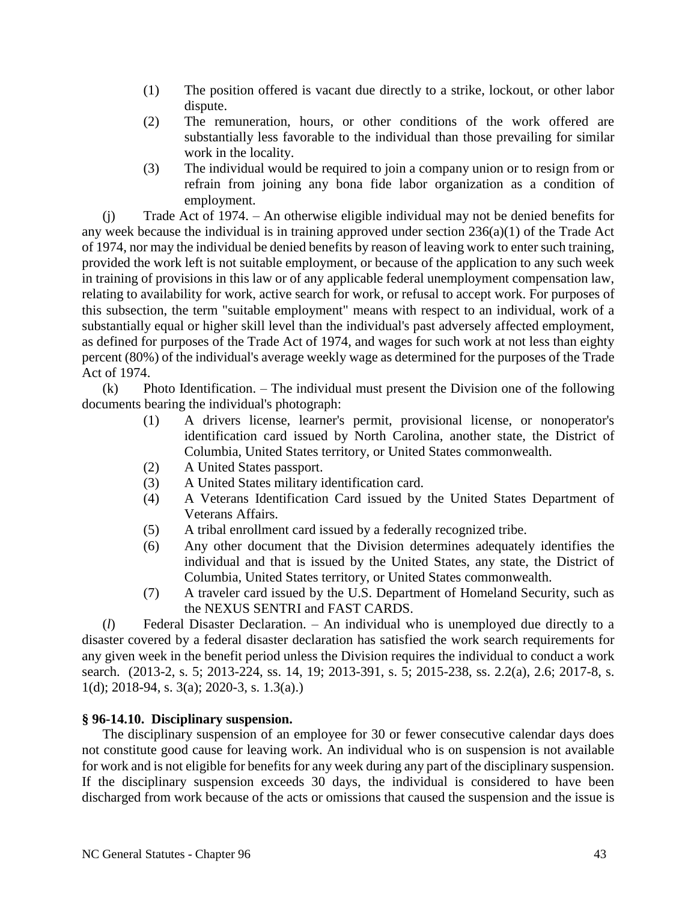- (1) The position offered is vacant due directly to a strike, lockout, or other labor dispute.
- (2) The remuneration, hours, or other conditions of the work offered are substantially less favorable to the individual than those prevailing for similar work in the locality.
- (3) The individual would be required to join a company union or to resign from or refrain from joining any bona fide labor organization as a condition of employment.

(j) Trade Act of 1974. – An otherwise eligible individual may not be denied benefits for any week because the individual is in training approved under section 236(a)(1) of the Trade Act of 1974, nor may the individual be denied benefits by reason of leaving work to enter such training, provided the work left is not suitable employment, or because of the application to any such week in training of provisions in this law or of any applicable federal unemployment compensation law, relating to availability for work, active search for work, or refusal to accept work. For purposes of this subsection, the term "suitable employment" means with respect to an individual, work of a substantially equal or higher skill level than the individual's past adversely affected employment, as defined for purposes of the Trade Act of 1974, and wages for such work at not less than eighty percent (80%) of the individual's average weekly wage as determined for the purposes of the Trade Act of 1974.

(k) Photo Identification. – The individual must present the Division one of the following documents bearing the individual's photograph:

- (1) A drivers license, learner's permit, provisional license, or nonoperator's identification card issued by North Carolina, another state, the District of Columbia, United States territory, or United States commonwealth.
- (2) A United States passport.
- (3) A United States military identification card.
- (4) A Veterans Identification Card issued by the United States Department of Veterans Affairs.
- (5) A tribal enrollment card issued by a federally recognized tribe.
- (6) Any other document that the Division determines adequately identifies the individual and that is issued by the United States, any state, the District of Columbia, United States territory, or United States commonwealth.
- (7) A traveler card issued by the U.S. Department of Homeland Security, such as the NEXUS SENTRI and FAST CARDS.

(*l*) Federal Disaster Declaration. – An individual who is unemployed due directly to a disaster covered by a federal disaster declaration has satisfied the work search requirements for any given week in the benefit period unless the Division requires the individual to conduct a work search. (2013-2, s. 5; 2013-224, ss. 14, 19; 2013-391, s. 5; 2015-238, ss. 2.2(a), 2.6; 2017-8, s. 1(d); 2018-94, s. 3(a); 2020-3, s. 1.3(a).)

## **§ 96-14.10. Disciplinary suspension.**

The disciplinary suspension of an employee for 30 or fewer consecutive calendar days does not constitute good cause for leaving work. An individual who is on suspension is not available for work and is not eligible for benefits for any week during any part of the disciplinary suspension. If the disciplinary suspension exceeds 30 days, the individual is considered to have been discharged from work because of the acts or omissions that caused the suspension and the issue is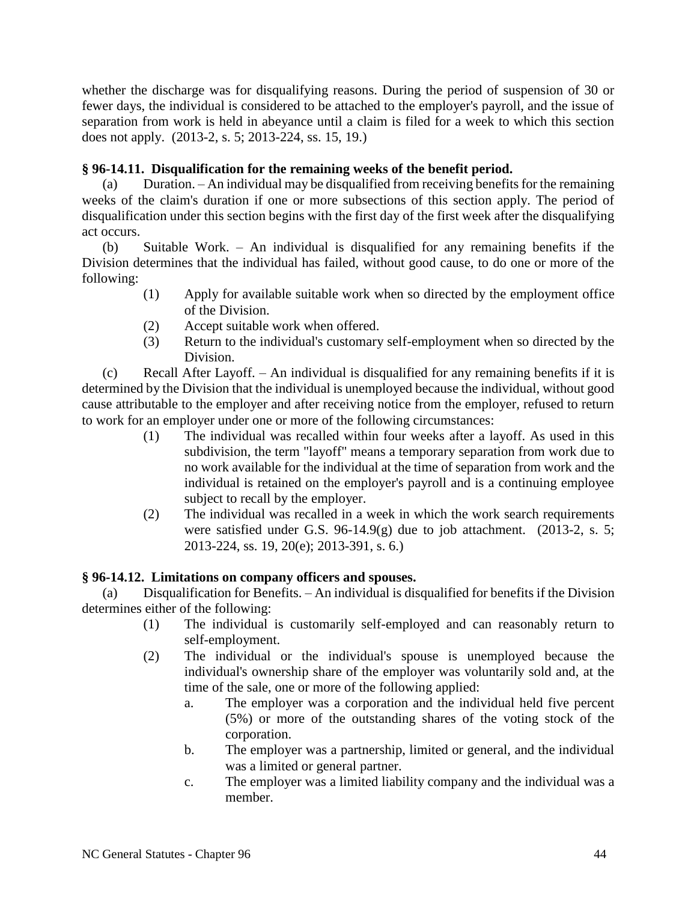whether the discharge was for disqualifying reasons. During the period of suspension of 30 or fewer days, the individual is considered to be attached to the employer's payroll, and the issue of separation from work is held in abeyance until a claim is filed for a week to which this section does not apply. (2013-2, s. 5; 2013-224, ss. 15, 19.)

# **§ 96-14.11. Disqualification for the remaining weeks of the benefit period.**

(a) Duration. – An individual may be disqualified from receiving benefits for the remaining weeks of the claim's duration if one or more subsections of this section apply. The period of disqualification under this section begins with the first day of the first week after the disqualifying act occurs.

(b) Suitable Work. – An individual is disqualified for any remaining benefits if the Division determines that the individual has failed, without good cause, to do one or more of the following:

- (1) Apply for available suitable work when so directed by the employment office of the Division.
- (2) Accept suitable work when offered.
- (3) Return to the individual's customary self-employment when so directed by the Division.

(c) Recall After Layoff. – An individual is disqualified for any remaining benefits if it is determined by the Division that the individual is unemployed because the individual, without good cause attributable to the employer and after receiving notice from the employer, refused to return to work for an employer under one or more of the following circumstances:

- (1) The individual was recalled within four weeks after a layoff. As used in this subdivision, the term "layoff" means a temporary separation from work due to no work available for the individual at the time of separation from work and the individual is retained on the employer's payroll and is a continuing employee subject to recall by the employer.
- (2) The individual was recalled in a week in which the work search requirements were satisfied under G.S. 96-14.9(g) due to job attachment. (2013-2, s. 5; 2013-224, ss. 19, 20(e); 2013-391, s. 6.)

# **§ 96-14.12. Limitations on company officers and spouses.**

(a) Disqualification for Benefits. – An individual is disqualified for benefits if the Division determines either of the following:

- (1) The individual is customarily self-employed and can reasonably return to self-employment.
- (2) The individual or the individual's spouse is unemployed because the individual's ownership share of the employer was voluntarily sold and, at the time of the sale, one or more of the following applied:
	- a. The employer was a corporation and the individual held five percent (5%) or more of the outstanding shares of the voting stock of the corporation.
	- b. The employer was a partnership, limited or general, and the individual was a limited or general partner.
	- c. The employer was a limited liability company and the individual was a member.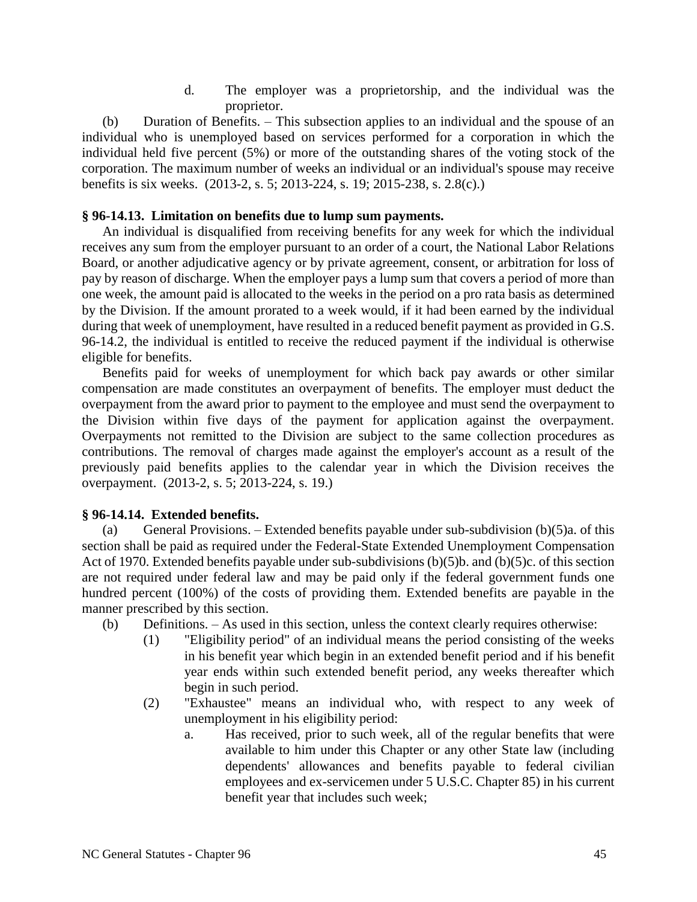d. The employer was a proprietorship, and the individual was the proprietor.

(b) Duration of Benefits. – This subsection applies to an individual and the spouse of an individual who is unemployed based on services performed for a corporation in which the individual held five percent (5%) or more of the outstanding shares of the voting stock of the corporation. The maximum number of weeks an individual or an individual's spouse may receive benefits is six weeks. (2013-2, s. 5; 2013-224, s. 19; 2015-238, s. 2.8(c).)

### **§ 96-14.13. Limitation on benefits due to lump sum payments.**

An individual is disqualified from receiving benefits for any week for which the individual receives any sum from the employer pursuant to an order of a court, the National Labor Relations Board, or another adjudicative agency or by private agreement, consent, or arbitration for loss of pay by reason of discharge. When the employer pays a lump sum that covers a period of more than one week, the amount paid is allocated to the weeks in the period on a pro rata basis as determined by the Division. If the amount prorated to a week would, if it had been earned by the individual during that week of unemployment, have resulted in a reduced benefit payment as provided in G.S. 96-14.2, the individual is entitled to receive the reduced payment if the individual is otherwise eligible for benefits.

Benefits paid for weeks of unemployment for which back pay awards or other similar compensation are made constitutes an overpayment of benefits. The employer must deduct the overpayment from the award prior to payment to the employee and must send the overpayment to the Division within five days of the payment for application against the overpayment. Overpayments not remitted to the Division are subject to the same collection procedures as contributions. The removal of charges made against the employer's account as a result of the previously paid benefits applies to the calendar year in which the Division receives the overpayment. (2013-2, s. 5; 2013-224, s. 19.)

## **§ 96-14.14. Extended benefits.**

(a) General Provisions. – Extended benefits payable under sub-subdivision  $(b)(5)a$ . of this section shall be paid as required under the Federal-State Extended Unemployment Compensation Act of 1970. Extended benefits payable under sub-subdivisions (b)(5)b. and (b)(5)c. of this section are not required under federal law and may be paid only if the federal government funds one hundred percent (100%) of the costs of providing them. Extended benefits are payable in the manner prescribed by this section.

- (b) Definitions. As used in this section, unless the context clearly requires otherwise:
	- (1) "Eligibility period" of an individual means the period consisting of the weeks in his benefit year which begin in an extended benefit period and if his benefit year ends within such extended benefit period, any weeks thereafter which begin in such period.
	- (2) "Exhaustee" means an individual who, with respect to any week of unemployment in his eligibility period:
		- a. Has received, prior to such week, all of the regular benefits that were available to him under this Chapter or any other State law (including dependents' allowances and benefits payable to federal civilian employees and ex-servicemen under 5 U.S.C. Chapter 85) in his current benefit year that includes such week;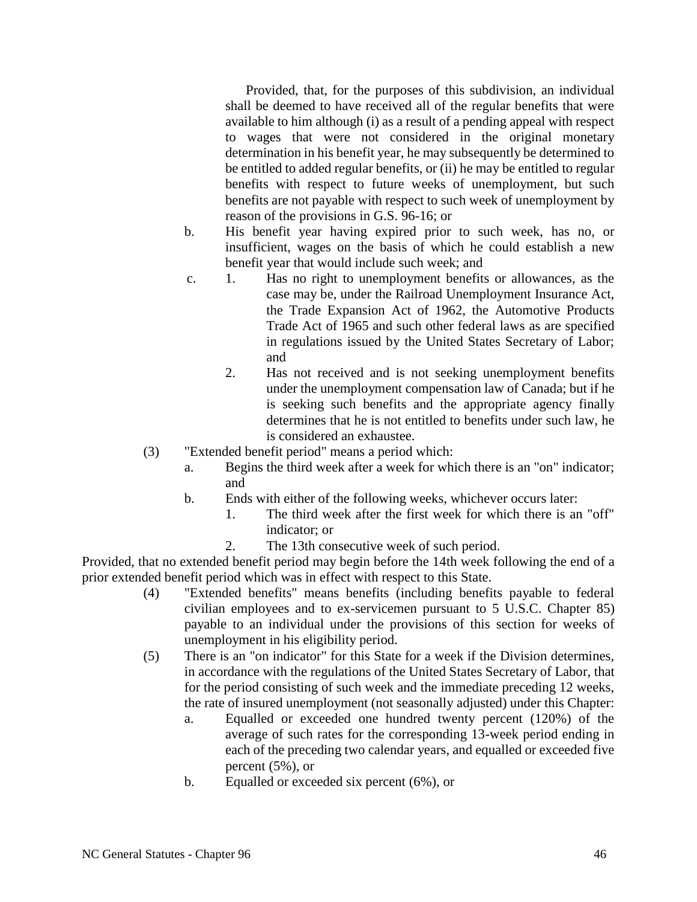Provided, that, for the purposes of this subdivision, an individual shall be deemed to have received all of the regular benefits that were available to him although (i) as a result of a pending appeal with respect to wages that were not considered in the original monetary determination in his benefit year, he may subsequently be determined to be entitled to added regular benefits, or (ii) he may be entitled to regular benefits with respect to future weeks of unemployment, but such benefits are not payable with respect to such week of unemployment by reason of the provisions in G.S. 96-16; or

- b. His benefit year having expired prior to such week, has no, or insufficient, wages on the basis of which he could establish a new benefit year that would include such week; and
- c. 1. Has no right to unemployment benefits or allowances, as the case may be, under the Railroad Unemployment Insurance Act, the Trade Expansion Act of 1962, the Automotive Products Trade Act of 1965 and such other federal laws as are specified in regulations issued by the United States Secretary of Labor; and
	- 2. Has not received and is not seeking unemployment benefits under the unemployment compensation law of Canada; but if he is seeking such benefits and the appropriate agency finally determines that he is not entitled to benefits under such law, he is considered an exhaustee.
- (3) "Extended benefit period" means a period which:
	- a. Begins the third week after a week for which there is an "on" indicator; and
	- b. Ends with either of the following weeks, whichever occurs later:
		- 1. The third week after the first week for which there is an "off" indicator; or
		- 2. The 13th consecutive week of such period.

Provided, that no extended benefit period may begin before the 14th week following the end of a prior extended benefit period which was in effect with respect to this State.

- (4) "Extended benefits" means benefits (including benefits payable to federal civilian employees and to ex-servicemen pursuant to 5 U.S.C. Chapter 85) payable to an individual under the provisions of this section for weeks of unemployment in his eligibility period.
- (5) There is an "on indicator" for this State for a week if the Division determines, in accordance with the regulations of the United States Secretary of Labor, that for the period consisting of such week and the immediate preceding 12 weeks, the rate of insured unemployment (not seasonally adjusted) under this Chapter:
	- a. Equalled or exceeded one hundred twenty percent (120%) of the average of such rates for the corresponding 13-week period ending in each of the preceding two calendar years, and equalled or exceeded five percent (5%), or
	- b. Equalled or exceeded six percent (6%), or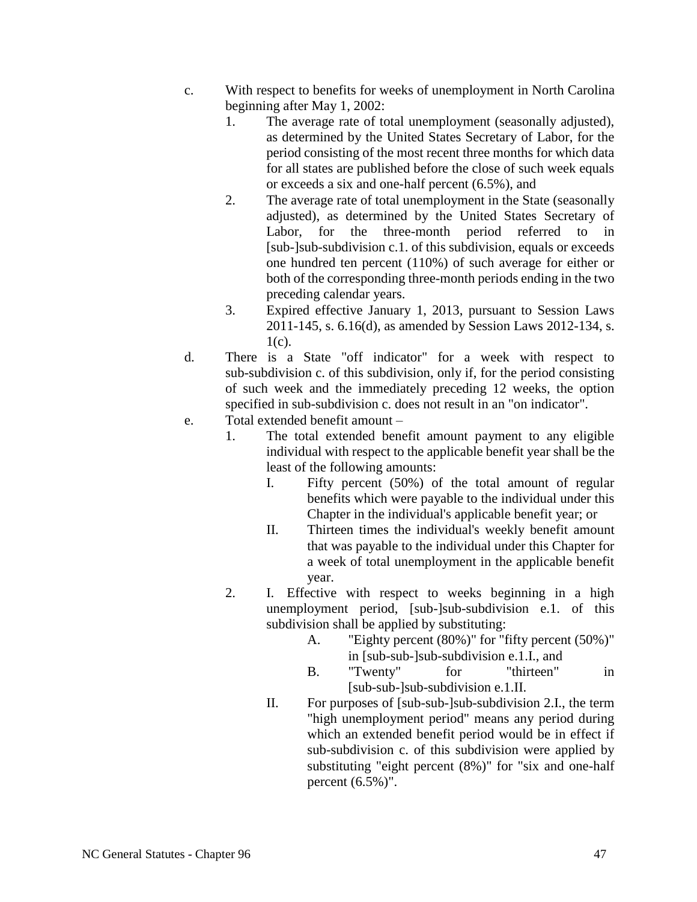- c. With respect to benefits for weeks of unemployment in North Carolina beginning after May 1, 2002:
	- 1. The average rate of total unemployment (seasonally adjusted), as determined by the United States Secretary of Labor, for the period consisting of the most recent three months for which data for all states are published before the close of such week equals or exceeds a six and one-half percent (6.5%), and
	- 2. The average rate of total unemployment in the State (seasonally adjusted), as determined by the United States Secretary of Labor, for the three-month period referred to in [sub-]sub-subdivision c.1. of this subdivision, equals or exceeds one hundred ten percent (110%) of such average for either or both of the corresponding three-month periods ending in the two preceding calendar years.
	- 3. Expired effective January 1, 2013, pursuant to Session Laws 2011-145, s. 6.16(d), as amended by Session Laws 2012-134, s.  $1(c)$ .
- d. There is a State "off indicator" for a week with respect to sub-subdivision c. of this subdivision, only if, for the period consisting of such week and the immediately preceding 12 weeks, the option specified in sub-subdivision c. does not result in an "on indicator".
- e. Total extended benefit amount
	- 1. The total extended benefit amount payment to any eligible individual with respect to the applicable benefit year shall be the least of the following amounts:
		- I. Fifty percent (50%) of the total amount of regular benefits which were payable to the individual under this Chapter in the individual's applicable benefit year; or
		- II. Thirteen times the individual's weekly benefit amount that was payable to the individual under this Chapter for a week of total unemployment in the applicable benefit year.
	- 2. I. Effective with respect to weeks beginning in a high unemployment period, [sub-]sub-subdivision e.1. of this subdivision shall be applied by substituting:
		- A. "Eighty percent (80%)" for "fifty percent (50%)" in [sub-sub-]sub-subdivision e.1.I., and
		- B. "Twenty" for "thirteen" in [sub-sub-]sub-subdivision e.1.II.
		- II. For purposes of [sub-sub-]sub-subdivision 2.I., the term "high unemployment period" means any period during which an extended benefit period would be in effect if sub-subdivision c. of this subdivision were applied by substituting "eight percent (8%)" for "six and one-half percent  $(6.5\%)$ ".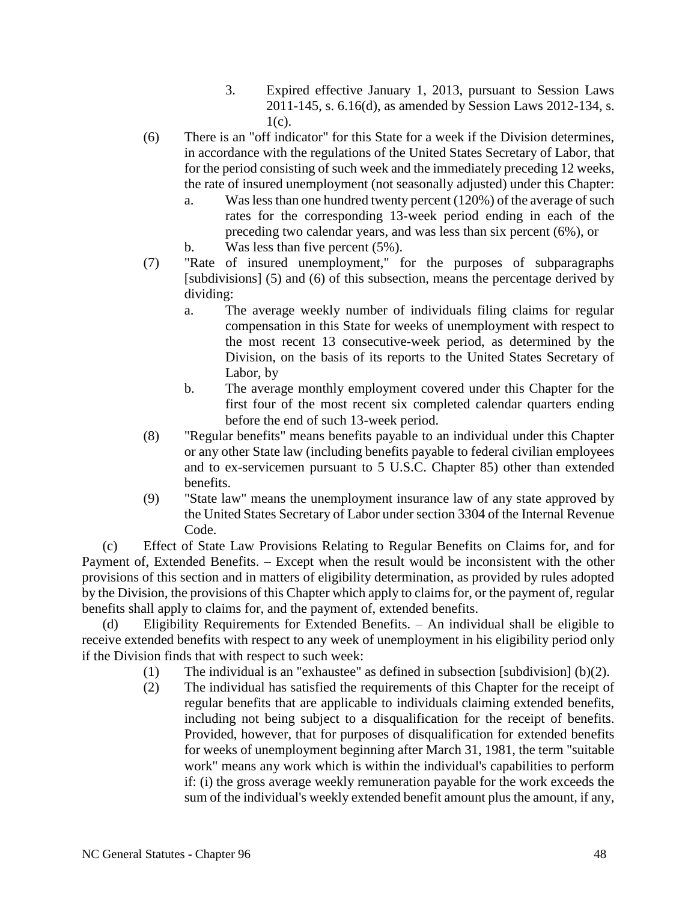- 3. Expired effective January 1, 2013, pursuant to Session Laws 2011-145, s. 6.16(d), as amended by Session Laws 2012-134, s.  $1(c)$ .
- (6) There is an "off indicator" for this State for a week if the Division determines, in accordance with the regulations of the United States Secretary of Labor, that for the period consisting of such week and the immediately preceding 12 weeks, the rate of insured unemployment (not seasonally adjusted) under this Chapter:
	- a. Was less than one hundred twenty percent (120%) of the average of such rates for the corresponding 13-week period ending in each of the preceding two calendar years, and was less than six percent (6%), or
	- b. Was less than five percent  $(5\%)$ .
- (7) "Rate of insured unemployment," for the purposes of subparagraphs [subdivisions] (5) and (6) of this subsection, means the percentage derived by dividing:
	- a. The average weekly number of individuals filing claims for regular compensation in this State for weeks of unemployment with respect to the most recent 13 consecutive-week period, as determined by the Division, on the basis of its reports to the United States Secretary of Labor, by
	- b. The average monthly employment covered under this Chapter for the first four of the most recent six completed calendar quarters ending before the end of such 13-week period.
- (8) "Regular benefits" means benefits payable to an individual under this Chapter or any other State law (including benefits payable to federal civilian employees and to ex-servicemen pursuant to 5 U.S.C. Chapter 85) other than extended benefits.
- (9) "State law" means the unemployment insurance law of any state approved by the United States Secretary of Labor under section 3304 of the Internal Revenue Code.

(c) Effect of State Law Provisions Relating to Regular Benefits on Claims for, and for Payment of, Extended Benefits. – Except when the result would be inconsistent with the other provisions of this section and in matters of eligibility determination, as provided by rules adopted by the Division, the provisions of this Chapter which apply to claims for, or the payment of, regular benefits shall apply to claims for, and the payment of, extended benefits.

(d) Eligibility Requirements for Extended Benefits. – An individual shall be eligible to receive extended benefits with respect to any week of unemployment in his eligibility period only if the Division finds that with respect to such week:

- (1) The individual is an "exhaustee" as defined in subsection [subdivision] (b)(2).
- (2) The individual has satisfied the requirements of this Chapter for the receipt of regular benefits that are applicable to individuals claiming extended benefits, including not being subject to a disqualification for the receipt of benefits. Provided, however, that for purposes of disqualification for extended benefits for weeks of unemployment beginning after March 31, 1981, the term "suitable work" means any work which is within the individual's capabilities to perform if: (i) the gross average weekly remuneration payable for the work exceeds the sum of the individual's weekly extended benefit amount plus the amount, if any,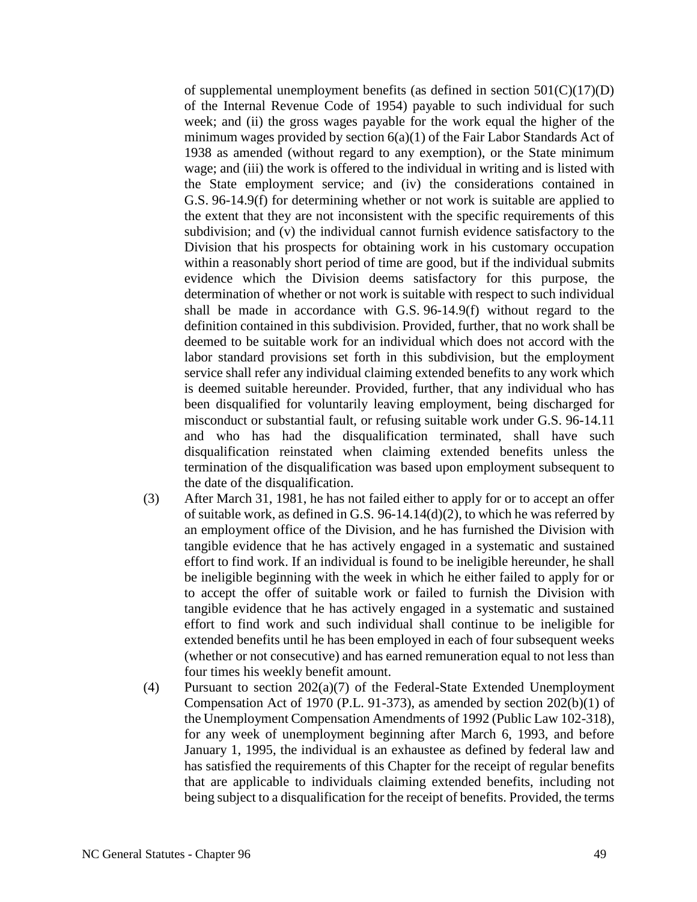of supplemental unemployment benefits (as defined in section  $501(C)(17)(D)$ ) of the Internal Revenue Code of 1954) payable to such individual for such week; and (ii) the gross wages payable for the work equal the higher of the minimum wages provided by section 6(a)(1) of the Fair Labor Standards Act of 1938 as amended (without regard to any exemption), or the State minimum wage; and (iii) the work is offered to the individual in writing and is listed with the State employment service; and (iv) the considerations contained in G.S. 96-14.9(f) for determining whether or not work is suitable are applied to the extent that they are not inconsistent with the specific requirements of this subdivision; and (v) the individual cannot furnish evidence satisfactory to the Division that his prospects for obtaining work in his customary occupation within a reasonably short period of time are good, but if the individual submits evidence which the Division deems satisfactory for this purpose, the determination of whether or not work is suitable with respect to such individual shall be made in accordance with G.S. 96-14.9(f) without regard to the definition contained in this subdivision. Provided, further, that no work shall be deemed to be suitable work for an individual which does not accord with the labor standard provisions set forth in this subdivision, but the employment service shall refer any individual claiming extended benefits to any work which is deemed suitable hereunder. Provided, further, that any individual who has been disqualified for voluntarily leaving employment, being discharged for misconduct or substantial fault, or refusing suitable work under G.S. 96-14.11 and who has had the disqualification terminated, shall have such disqualification reinstated when claiming extended benefits unless the termination of the disqualification was based upon employment subsequent to the date of the disqualification.

- (3) After March 31, 1981, he has not failed either to apply for or to accept an offer of suitable work, as defined in G.S. 96-14.14(d)(2), to which he was referred by an employment office of the Division, and he has furnished the Division with tangible evidence that he has actively engaged in a systematic and sustained effort to find work. If an individual is found to be ineligible hereunder, he shall be ineligible beginning with the week in which he either failed to apply for or to accept the offer of suitable work or failed to furnish the Division with tangible evidence that he has actively engaged in a systematic and sustained effort to find work and such individual shall continue to be ineligible for extended benefits until he has been employed in each of four subsequent weeks (whether or not consecutive) and has earned remuneration equal to not less than four times his weekly benefit amount.
- (4) Pursuant to section 202(a)(7) of the Federal-State Extended Unemployment Compensation Act of 1970 (P.L. 91-373), as amended by section 202(b)(1) of the Unemployment Compensation Amendments of 1992 (Public Law 102-318), for any week of unemployment beginning after March 6, 1993, and before January 1, 1995, the individual is an exhaustee as defined by federal law and has satisfied the requirements of this Chapter for the receipt of regular benefits that are applicable to individuals claiming extended benefits, including not being subject to a disqualification for the receipt of benefits. Provided, the terms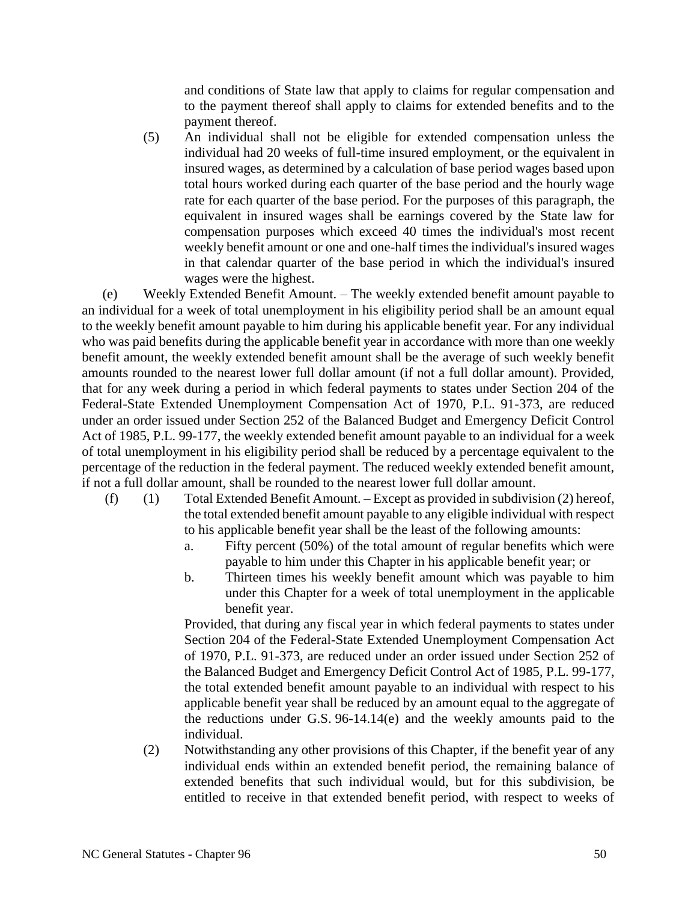and conditions of State law that apply to claims for regular compensation and to the payment thereof shall apply to claims for extended benefits and to the payment thereof.

(5) An individual shall not be eligible for extended compensation unless the individual had 20 weeks of full-time insured employment, or the equivalent in insured wages, as determined by a calculation of base period wages based upon total hours worked during each quarter of the base period and the hourly wage rate for each quarter of the base period. For the purposes of this paragraph, the equivalent in insured wages shall be earnings covered by the State law for compensation purposes which exceed 40 times the individual's most recent weekly benefit amount or one and one-half times the individual's insured wages in that calendar quarter of the base period in which the individual's insured wages were the highest.

(e) Weekly Extended Benefit Amount. – The weekly extended benefit amount payable to an individual for a week of total unemployment in his eligibility period shall be an amount equal to the weekly benefit amount payable to him during his applicable benefit year. For any individual who was paid benefits during the applicable benefit year in accordance with more than one weekly benefit amount, the weekly extended benefit amount shall be the average of such weekly benefit amounts rounded to the nearest lower full dollar amount (if not a full dollar amount). Provided, that for any week during a period in which federal payments to states under Section 204 of the Federal-State Extended Unemployment Compensation Act of 1970, P.L. 91-373, are reduced under an order issued under Section 252 of the Balanced Budget and Emergency Deficit Control Act of 1985, P.L. 99-177, the weekly extended benefit amount payable to an individual for a week of total unemployment in his eligibility period shall be reduced by a percentage equivalent to the percentage of the reduction in the federal payment. The reduced weekly extended benefit amount, if not a full dollar amount, shall be rounded to the nearest lower full dollar amount.

- (f) (1) Total Extended Benefit Amount. Except as provided in subdivision (2) hereof, the total extended benefit amount payable to any eligible individual with respect to his applicable benefit year shall be the least of the following amounts:
	- a. Fifty percent (50%) of the total amount of regular benefits which were payable to him under this Chapter in his applicable benefit year; or
	- b. Thirteen times his weekly benefit amount which was payable to him under this Chapter for a week of total unemployment in the applicable benefit year.

Provided, that during any fiscal year in which federal payments to states under Section 204 of the Federal-State Extended Unemployment Compensation Act of 1970, P.L. 91-373, are reduced under an order issued under Section 252 of the Balanced Budget and Emergency Deficit Control Act of 1985, P.L. 99-177, the total extended benefit amount payable to an individual with respect to his applicable benefit year shall be reduced by an amount equal to the aggregate of the reductions under G.S. 96-14.14(e) and the weekly amounts paid to the individual.

(2) Notwithstanding any other provisions of this Chapter, if the benefit year of any individual ends within an extended benefit period, the remaining balance of extended benefits that such individual would, but for this subdivision, be entitled to receive in that extended benefit period, with respect to weeks of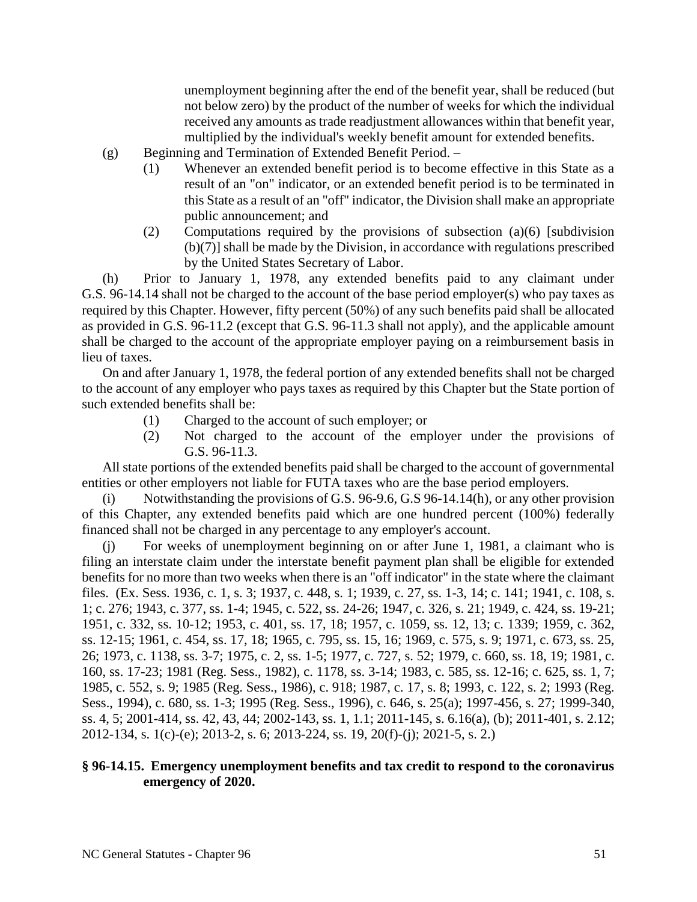unemployment beginning after the end of the benefit year, shall be reduced (but not below zero) by the product of the number of weeks for which the individual received any amounts as trade readjustment allowances within that benefit year, multiplied by the individual's weekly benefit amount for extended benefits.

- (g) Beginning and Termination of Extended Benefit Period.
	- (1) Whenever an extended benefit period is to become effective in this State as a result of an "on" indicator, or an extended benefit period is to be terminated in this State as a result of an "off" indicator, the Division shall make an appropriate public announcement; and
	- (2) Computations required by the provisions of subsection (a)(6) [subdivision (b)(7)] shall be made by the Division, in accordance with regulations prescribed by the United States Secretary of Labor.

(h) Prior to January 1, 1978, any extended benefits paid to any claimant under G.S. 96-14.14 shall not be charged to the account of the base period employer(s) who pay taxes as required by this Chapter. However, fifty percent (50%) of any such benefits paid shall be allocated as provided in G.S. 96-11.2 (except that G.S. 96-11.3 shall not apply), and the applicable amount shall be charged to the account of the appropriate employer paying on a reimbursement basis in lieu of taxes.

On and after January 1, 1978, the federal portion of any extended benefits shall not be charged to the account of any employer who pays taxes as required by this Chapter but the State portion of such extended benefits shall be:

- (1) Charged to the account of such employer; or
- (2) Not charged to the account of the employer under the provisions of G.S. 96-11.3.

All state portions of the extended benefits paid shall be charged to the account of governmental entities or other employers not liable for FUTA taxes who are the base period employers.

Notwithstanding the provisions of G.S. 96-9.6, G.S 96-14.14(h), or any other provision of this Chapter, any extended benefits paid which are one hundred percent (100%) federally financed shall not be charged in any percentage to any employer's account.

For weeks of unemployment beginning on or after June 1, 1981, a claimant who is filing an interstate claim under the interstate benefit payment plan shall be eligible for extended benefits for no more than two weeks when there is an "off indicator" in the state where the claimant files. (Ex. Sess. 1936, c. 1, s. 3; 1937, c. 448, s. 1; 1939, c. 27, ss. 1-3, 14; c. 141; 1941, c. 108, s. 1; c. 276; 1943, c. 377, ss. 1-4; 1945, c. 522, ss. 24-26; 1947, c. 326, s. 21; 1949, c. 424, ss. 19-21; 1951, c. 332, ss. 10-12; 1953, c. 401, ss. 17, 18; 1957, c. 1059, ss. 12, 13; c. 1339; 1959, c. 362, ss. 12-15; 1961, c. 454, ss. 17, 18; 1965, c. 795, ss. 15, 16; 1969, c. 575, s. 9; 1971, c. 673, ss. 25, 26; 1973, c. 1138, ss. 3-7; 1975, c. 2, ss. 1-5; 1977, c. 727, s. 52; 1979, c. 660, ss. 18, 19; 1981, c. 160, ss. 17-23; 1981 (Reg. Sess., 1982), c. 1178, ss. 3-14; 1983, c. 585, ss. 12-16; c. 625, ss. 1, 7; 1985, c. 552, s. 9; 1985 (Reg. Sess., 1986), c. 918; 1987, c. 17, s. 8; 1993, c. 122, s. 2; 1993 (Reg. Sess., 1994), c. 680, ss. 1-3; 1995 (Reg. Sess., 1996), c. 646, s. 25(a); 1997-456, s. 27; 1999-340, ss. 4, 5; 2001-414, ss. 42, 43, 44; 2002-143, ss. 1, 1.1; 2011-145, s. 6.16(a), (b); 2011-401, s. 2.12; 2012-134, s. 1(c)-(e); 2013-2, s. 6; 2013-224, ss. 19, 20(f)-(j); 2021-5, s. 2.)

## **§ 96-14.15. Emergency unemployment benefits and tax credit to respond to the coronavirus emergency of 2020.**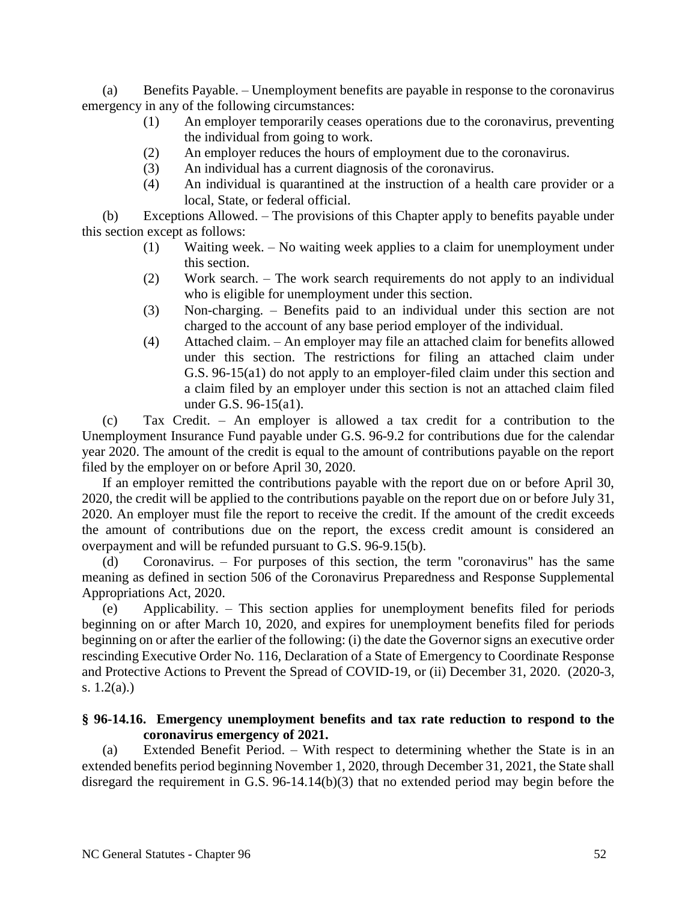(a) Benefits Payable. – Unemployment benefits are payable in response to the coronavirus emergency in any of the following circumstances:

- (1) An employer temporarily ceases operations due to the coronavirus, preventing the individual from going to work.
- (2) An employer reduces the hours of employment due to the coronavirus.
- (3) An individual has a current diagnosis of the coronavirus.
- (4) An individual is quarantined at the instruction of a health care provider or a local, State, or federal official.

(b) Exceptions Allowed. – The provisions of this Chapter apply to benefits payable under this section except as follows:

- (1) Waiting week. No waiting week applies to a claim for unemployment under this section.
- (2) Work search. The work search requirements do not apply to an individual who is eligible for unemployment under this section.
- (3) Non-charging. Benefits paid to an individual under this section are not charged to the account of any base period employer of the individual.
- (4) Attached claim. An employer may file an attached claim for benefits allowed under this section. The restrictions for filing an attached claim under G.S. 96-15(a1) do not apply to an employer-filed claim under this section and a claim filed by an employer under this section is not an attached claim filed under G.S. 96-15(a1).

(c) Tax Credit. – An employer is allowed a tax credit for a contribution to the Unemployment Insurance Fund payable under G.S. 96-9.2 for contributions due for the calendar year 2020. The amount of the credit is equal to the amount of contributions payable on the report filed by the employer on or before April 30, 2020.

If an employer remitted the contributions payable with the report due on or before April 30, 2020, the credit will be applied to the contributions payable on the report due on or before July 31, 2020. An employer must file the report to receive the credit. If the amount of the credit exceeds the amount of contributions due on the report, the excess credit amount is considered an overpayment and will be refunded pursuant to G.S. 96-9.15(b).

(d) Coronavirus. – For purposes of this section, the term "coronavirus" has the same meaning as defined in section 506 of the Coronavirus Preparedness and Response Supplemental Appropriations Act, 2020.

(e) Applicability. – This section applies for unemployment benefits filed for periods beginning on or after March 10, 2020, and expires for unemployment benefits filed for periods beginning on or after the earlier of the following: (i) the date the Governor signs an executive order rescinding Executive Order No. 116, Declaration of a State of Emergency to Coordinate Response and Protective Actions to Prevent the Spread of COVID-19, or (ii) December 31, 2020. (2020-3, s.  $1.2(a)$ .)

## **§ 96-14.16. Emergency unemployment benefits and tax rate reduction to respond to the coronavirus emergency of 2021.**

(a) Extended Benefit Period. – With respect to determining whether the State is in an extended benefits period beginning November 1, 2020, through December 31, 2021, the State shall disregard the requirement in G.S. 96-14.14(b)(3) that no extended period may begin before the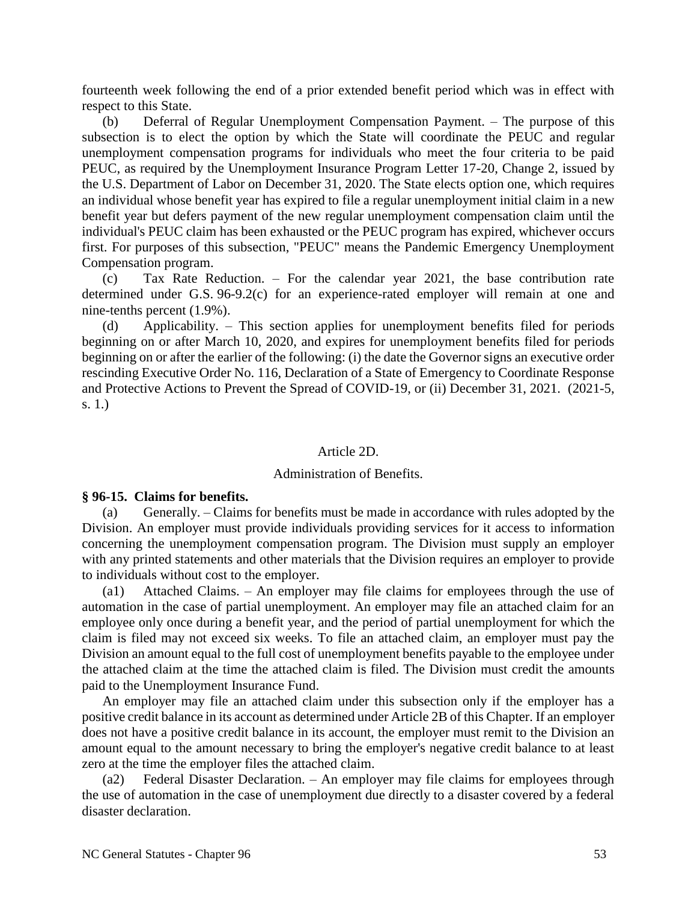fourteenth week following the end of a prior extended benefit period which was in effect with respect to this State.

(b) Deferral of Regular Unemployment Compensation Payment. – The purpose of this subsection is to elect the option by which the State will coordinate the PEUC and regular unemployment compensation programs for individuals who meet the four criteria to be paid PEUC, as required by the Unemployment Insurance Program Letter 17-20, Change 2, issued by the U.S. Department of Labor on December 31, 2020. The State elects option one, which requires an individual whose benefit year has expired to file a regular unemployment initial claim in a new benefit year but defers payment of the new regular unemployment compensation claim until the individual's PEUC claim has been exhausted or the PEUC program has expired, whichever occurs first. For purposes of this subsection, "PEUC" means the Pandemic Emergency Unemployment Compensation program.

(c) Tax Rate Reduction. – For the calendar year 2021, the base contribution rate determined under G.S. 96-9.2(c) for an experience-rated employer will remain at one and nine-tenths percent (1.9%).

(d) Applicability. – This section applies for unemployment benefits filed for periods beginning on or after March 10, 2020, and expires for unemployment benefits filed for periods beginning on or after the earlier of the following: (i) the date the Governor signs an executive order rescinding Executive Order No. 116, Declaration of a State of Emergency to Coordinate Response and Protective Actions to Prevent the Spread of COVID-19, or (ii) December 31, 2021. (2021-5, s. 1.)

#### Article 2D.

#### Administration of Benefits.

#### **§ 96-15. Claims for benefits.**

(a) Generally. – Claims for benefits must be made in accordance with rules adopted by the Division. An employer must provide individuals providing services for it access to information concerning the unemployment compensation program. The Division must supply an employer with any printed statements and other materials that the Division requires an employer to provide to individuals without cost to the employer.

(a1) Attached Claims. – An employer may file claims for employees through the use of automation in the case of partial unemployment. An employer may file an attached claim for an employee only once during a benefit year, and the period of partial unemployment for which the claim is filed may not exceed six weeks. To file an attached claim, an employer must pay the Division an amount equal to the full cost of unemployment benefits payable to the employee under the attached claim at the time the attached claim is filed. The Division must credit the amounts paid to the Unemployment Insurance Fund.

An employer may file an attached claim under this subsection only if the employer has a positive credit balance in its account as determined under Article 2B of this Chapter. If an employer does not have a positive credit balance in its account, the employer must remit to the Division an amount equal to the amount necessary to bring the employer's negative credit balance to at least zero at the time the employer files the attached claim.

(a2) Federal Disaster Declaration. – An employer may file claims for employees through the use of automation in the case of unemployment due directly to a disaster covered by a federal disaster declaration.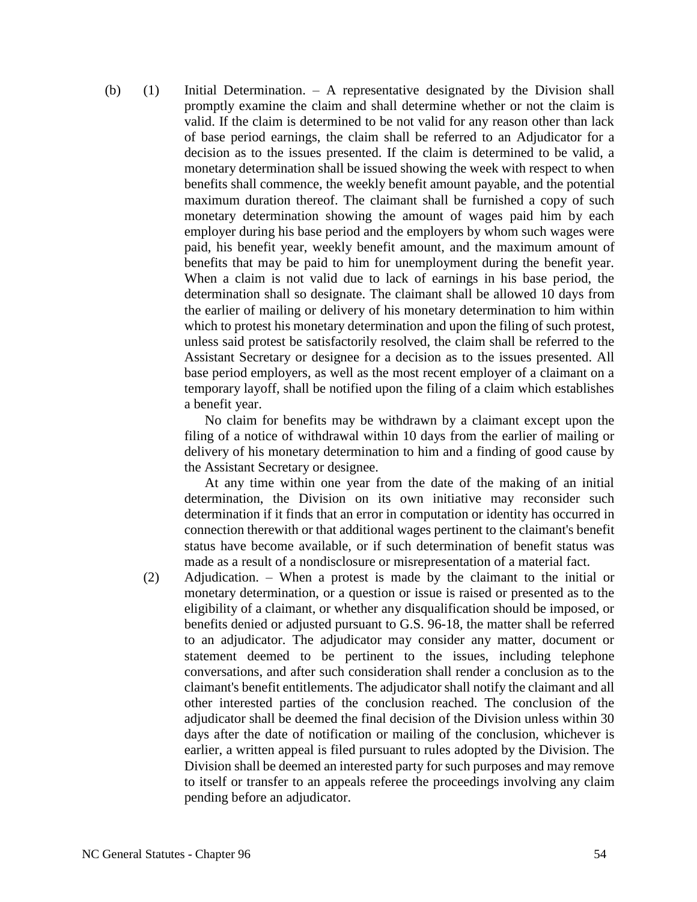(b) (1) Initial Determination. – A representative designated by the Division shall promptly examine the claim and shall determine whether or not the claim is valid. If the claim is determined to be not valid for any reason other than lack of base period earnings, the claim shall be referred to an Adjudicator for a decision as to the issues presented. If the claim is determined to be valid, a monetary determination shall be issued showing the week with respect to when benefits shall commence, the weekly benefit amount payable, and the potential maximum duration thereof. The claimant shall be furnished a copy of such monetary determination showing the amount of wages paid him by each employer during his base period and the employers by whom such wages were paid, his benefit year, weekly benefit amount, and the maximum amount of benefits that may be paid to him for unemployment during the benefit year. When a claim is not valid due to lack of earnings in his base period, the determination shall so designate. The claimant shall be allowed 10 days from the earlier of mailing or delivery of his monetary determination to him within which to protest his monetary determination and upon the filing of such protest, unless said protest be satisfactorily resolved, the claim shall be referred to the Assistant Secretary or designee for a decision as to the issues presented. All base period employers, as well as the most recent employer of a claimant on a temporary layoff, shall be notified upon the filing of a claim which establishes a benefit year.

> No claim for benefits may be withdrawn by a claimant except upon the filing of a notice of withdrawal within 10 days from the earlier of mailing or delivery of his monetary determination to him and a finding of good cause by the Assistant Secretary or designee.

> At any time within one year from the date of the making of an initial determination, the Division on its own initiative may reconsider such determination if it finds that an error in computation or identity has occurred in connection therewith or that additional wages pertinent to the claimant's benefit status have become available, or if such determination of benefit status was made as a result of a nondisclosure or misrepresentation of a material fact.

(2) Adjudication. – When a protest is made by the claimant to the initial or monetary determination, or a question or issue is raised or presented as to the eligibility of a claimant, or whether any disqualification should be imposed, or benefits denied or adjusted pursuant to G.S. 96-18, the matter shall be referred to an adjudicator. The adjudicator may consider any matter, document or statement deemed to be pertinent to the issues, including telephone conversations, and after such consideration shall render a conclusion as to the claimant's benefit entitlements. The adjudicator shall notify the claimant and all other interested parties of the conclusion reached. The conclusion of the adjudicator shall be deemed the final decision of the Division unless within 30 days after the date of notification or mailing of the conclusion, whichever is earlier, a written appeal is filed pursuant to rules adopted by the Division. The Division shall be deemed an interested party for such purposes and may remove to itself or transfer to an appeals referee the proceedings involving any claim pending before an adjudicator.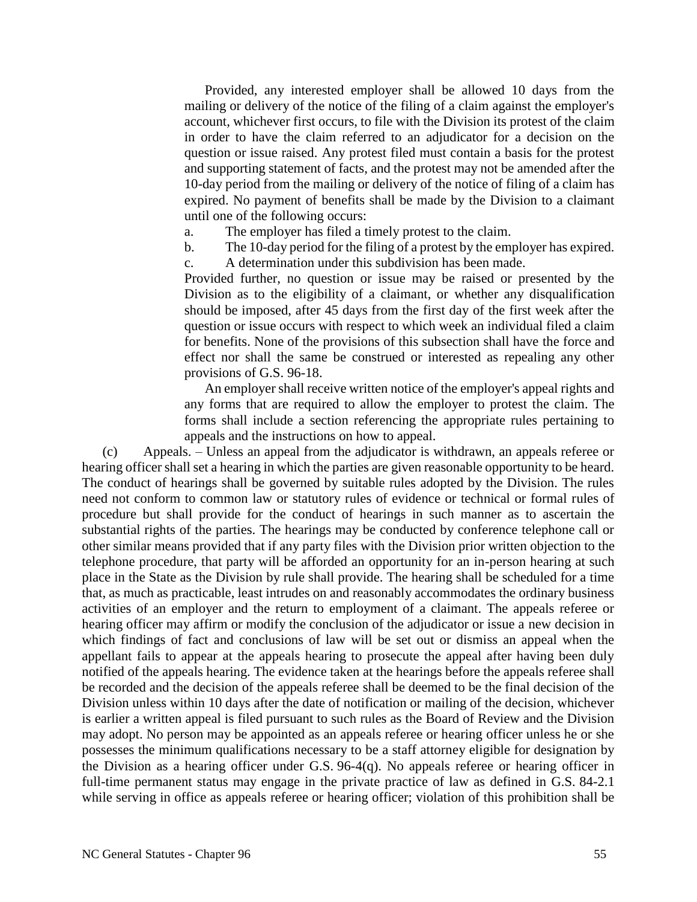Provided, any interested employer shall be allowed 10 days from the mailing or delivery of the notice of the filing of a claim against the employer's account, whichever first occurs, to file with the Division its protest of the claim in order to have the claim referred to an adjudicator for a decision on the question or issue raised. Any protest filed must contain a basis for the protest and supporting statement of facts, and the protest may not be amended after the 10-day period from the mailing or delivery of the notice of filing of a claim has expired. No payment of benefits shall be made by the Division to a claimant until one of the following occurs:

a. The employer has filed a timely protest to the claim.

b. The 10-day period for the filing of a protest by the employer has expired. c. A determination under this subdivision has been made.

Provided further, no question or issue may be raised or presented by the Division as to the eligibility of a claimant, or whether any disqualification should be imposed, after 45 days from the first day of the first week after the question or issue occurs with respect to which week an individual filed a claim for benefits. None of the provisions of this subsection shall have the force and effect nor shall the same be construed or interested as repealing any other provisions of G.S. 96-18.

An employer shall receive written notice of the employer's appeal rights and any forms that are required to allow the employer to protest the claim. The forms shall include a section referencing the appropriate rules pertaining to appeals and the instructions on how to appeal.

(c) Appeals. – Unless an appeal from the adjudicator is withdrawn, an appeals referee or hearing officer shall set a hearing in which the parties are given reasonable opportunity to be heard. The conduct of hearings shall be governed by suitable rules adopted by the Division. The rules need not conform to common law or statutory rules of evidence or technical or formal rules of procedure but shall provide for the conduct of hearings in such manner as to ascertain the substantial rights of the parties. The hearings may be conducted by conference telephone call or other similar means provided that if any party files with the Division prior written objection to the telephone procedure, that party will be afforded an opportunity for an in-person hearing at such place in the State as the Division by rule shall provide. The hearing shall be scheduled for a time that, as much as practicable, least intrudes on and reasonably accommodates the ordinary business activities of an employer and the return to employment of a claimant. The appeals referee or hearing officer may affirm or modify the conclusion of the adjudicator or issue a new decision in which findings of fact and conclusions of law will be set out or dismiss an appeal when the appellant fails to appear at the appeals hearing to prosecute the appeal after having been duly notified of the appeals hearing. The evidence taken at the hearings before the appeals referee shall be recorded and the decision of the appeals referee shall be deemed to be the final decision of the Division unless within 10 days after the date of notification or mailing of the decision, whichever is earlier a written appeal is filed pursuant to such rules as the Board of Review and the Division may adopt. No person may be appointed as an appeals referee or hearing officer unless he or she possesses the minimum qualifications necessary to be a staff attorney eligible for designation by the Division as a hearing officer under G.S. 96-4(q). No appeals referee or hearing officer in full-time permanent status may engage in the private practice of law as defined in G.S. 84-2.1 while serving in office as appeals referee or hearing officer; violation of this prohibition shall be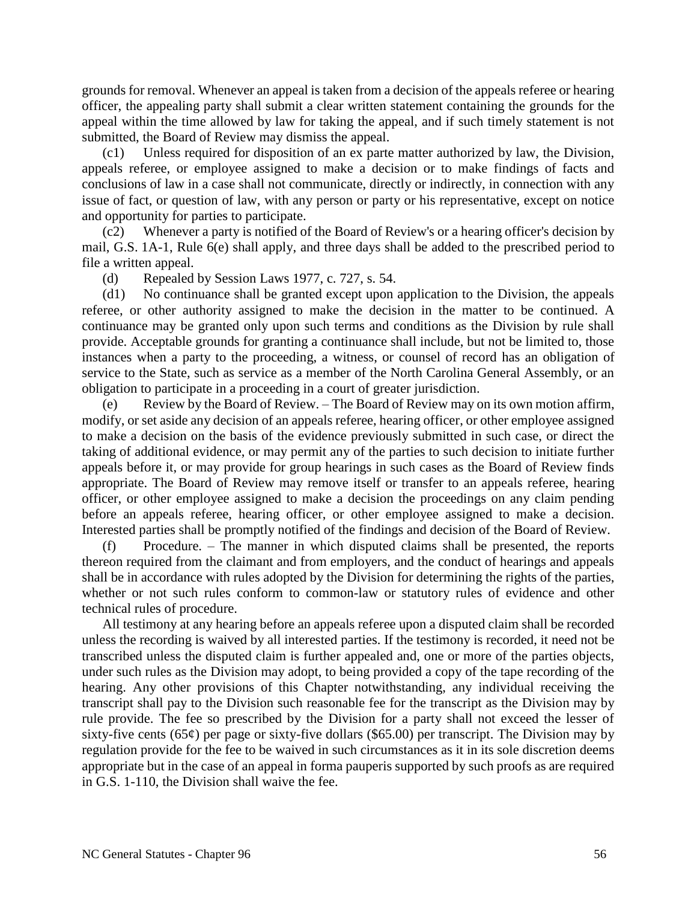grounds for removal. Whenever an appeal is taken from a decision of the appeals referee or hearing officer, the appealing party shall submit a clear written statement containing the grounds for the appeal within the time allowed by law for taking the appeal, and if such timely statement is not submitted, the Board of Review may dismiss the appeal.

(c1) Unless required for disposition of an ex parte matter authorized by law, the Division, appeals referee, or employee assigned to make a decision or to make findings of facts and conclusions of law in a case shall not communicate, directly or indirectly, in connection with any issue of fact, or question of law, with any person or party or his representative, except on notice and opportunity for parties to participate.

Whenever a party is notified of the Board of Review's or a hearing officer's decision by mail, G.S. 1A-1, Rule 6(e) shall apply, and three days shall be added to the prescribed period to file a written appeal.

(d) Repealed by Session Laws 1977, c. 727, s. 54.

(d1) No continuance shall be granted except upon application to the Division, the appeals referee, or other authority assigned to make the decision in the matter to be continued. A continuance may be granted only upon such terms and conditions as the Division by rule shall provide. Acceptable grounds for granting a continuance shall include, but not be limited to, those instances when a party to the proceeding, a witness, or counsel of record has an obligation of service to the State, such as service as a member of the North Carolina General Assembly, or an obligation to participate in a proceeding in a court of greater jurisdiction.

(e) Review by the Board of Review. – The Board of Review may on its own motion affirm, modify, or set aside any decision of an appeals referee, hearing officer, or other employee assigned to make a decision on the basis of the evidence previously submitted in such case, or direct the taking of additional evidence, or may permit any of the parties to such decision to initiate further appeals before it, or may provide for group hearings in such cases as the Board of Review finds appropriate. The Board of Review may remove itself or transfer to an appeals referee, hearing officer, or other employee assigned to make a decision the proceedings on any claim pending before an appeals referee, hearing officer, or other employee assigned to make a decision. Interested parties shall be promptly notified of the findings and decision of the Board of Review.

(f) Procedure. – The manner in which disputed claims shall be presented, the reports thereon required from the claimant and from employers, and the conduct of hearings and appeals shall be in accordance with rules adopted by the Division for determining the rights of the parties, whether or not such rules conform to common-law or statutory rules of evidence and other technical rules of procedure.

All testimony at any hearing before an appeals referee upon a disputed claim shall be recorded unless the recording is waived by all interested parties. If the testimony is recorded, it need not be transcribed unless the disputed claim is further appealed and, one or more of the parties objects, under such rules as the Division may adopt, to being provided a copy of the tape recording of the hearing. Any other provisions of this Chapter notwithstanding, any individual receiving the transcript shall pay to the Division such reasonable fee for the transcript as the Division may by rule provide. The fee so prescribed by the Division for a party shall not exceed the lesser of sixty-five cents (65 $\varphi$ ) per page or sixty-five dollars (\$65.00) per transcript. The Division may by regulation provide for the fee to be waived in such circumstances as it in its sole discretion deems appropriate but in the case of an appeal in forma pauperis supported by such proofs as are required in G.S. 1-110, the Division shall waive the fee.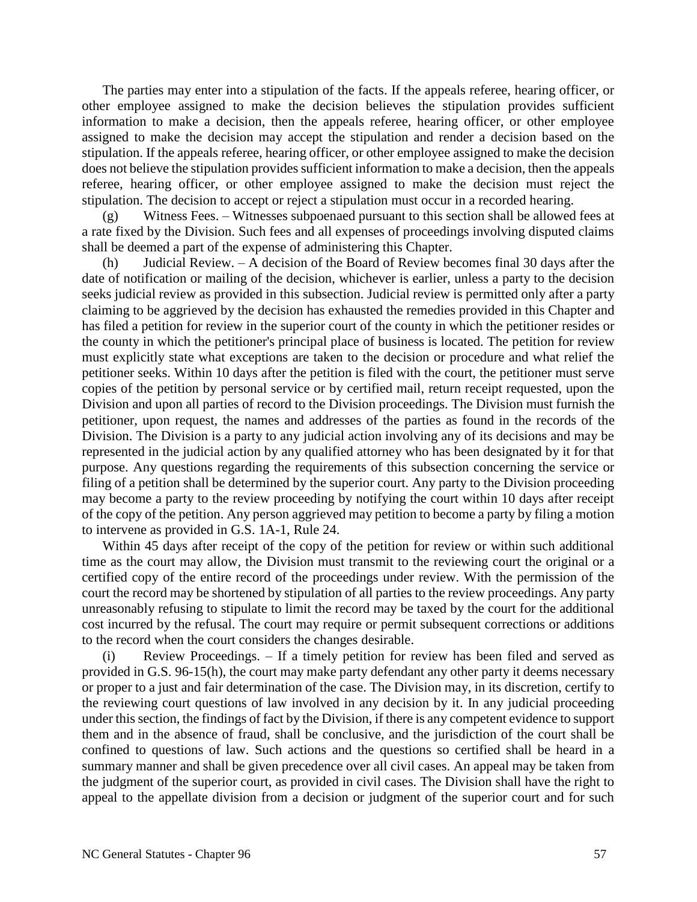The parties may enter into a stipulation of the facts. If the appeals referee, hearing officer, or other employee assigned to make the decision believes the stipulation provides sufficient information to make a decision, then the appeals referee, hearing officer, or other employee assigned to make the decision may accept the stipulation and render a decision based on the stipulation. If the appeals referee, hearing officer, or other employee assigned to make the decision does not believe the stipulation provides sufficient information to make a decision, then the appeals referee, hearing officer, or other employee assigned to make the decision must reject the stipulation. The decision to accept or reject a stipulation must occur in a recorded hearing.

(g) Witness Fees. – Witnesses subpoenaed pursuant to this section shall be allowed fees at a rate fixed by the Division. Such fees and all expenses of proceedings involving disputed claims shall be deemed a part of the expense of administering this Chapter.

(h) Judicial Review. – A decision of the Board of Review becomes final 30 days after the date of notification or mailing of the decision, whichever is earlier, unless a party to the decision seeks judicial review as provided in this subsection. Judicial review is permitted only after a party claiming to be aggrieved by the decision has exhausted the remedies provided in this Chapter and has filed a petition for review in the superior court of the county in which the petitioner resides or the county in which the petitioner's principal place of business is located. The petition for review must explicitly state what exceptions are taken to the decision or procedure and what relief the petitioner seeks. Within 10 days after the petition is filed with the court, the petitioner must serve copies of the petition by personal service or by certified mail, return receipt requested, upon the Division and upon all parties of record to the Division proceedings. The Division must furnish the petitioner, upon request, the names and addresses of the parties as found in the records of the Division. The Division is a party to any judicial action involving any of its decisions and may be represented in the judicial action by any qualified attorney who has been designated by it for that purpose. Any questions regarding the requirements of this subsection concerning the service or filing of a petition shall be determined by the superior court. Any party to the Division proceeding may become a party to the review proceeding by notifying the court within 10 days after receipt of the copy of the petition. Any person aggrieved may petition to become a party by filing a motion to intervene as provided in G.S. 1A-1, Rule 24.

Within 45 days after receipt of the copy of the petition for review or within such additional time as the court may allow, the Division must transmit to the reviewing court the original or a certified copy of the entire record of the proceedings under review. With the permission of the court the record may be shortened by stipulation of all parties to the review proceedings. Any party unreasonably refusing to stipulate to limit the record may be taxed by the court for the additional cost incurred by the refusal. The court may require or permit subsequent corrections or additions to the record when the court considers the changes desirable.

(i) Review Proceedings. – If a timely petition for review has been filed and served as provided in G.S. 96-15(h), the court may make party defendant any other party it deems necessary or proper to a just and fair determination of the case. The Division may, in its discretion, certify to the reviewing court questions of law involved in any decision by it. In any judicial proceeding under this section, the findings of fact by the Division, if there is any competent evidence to support them and in the absence of fraud, shall be conclusive, and the jurisdiction of the court shall be confined to questions of law. Such actions and the questions so certified shall be heard in a summary manner and shall be given precedence over all civil cases. An appeal may be taken from the judgment of the superior court, as provided in civil cases. The Division shall have the right to appeal to the appellate division from a decision or judgment of the superior court and for such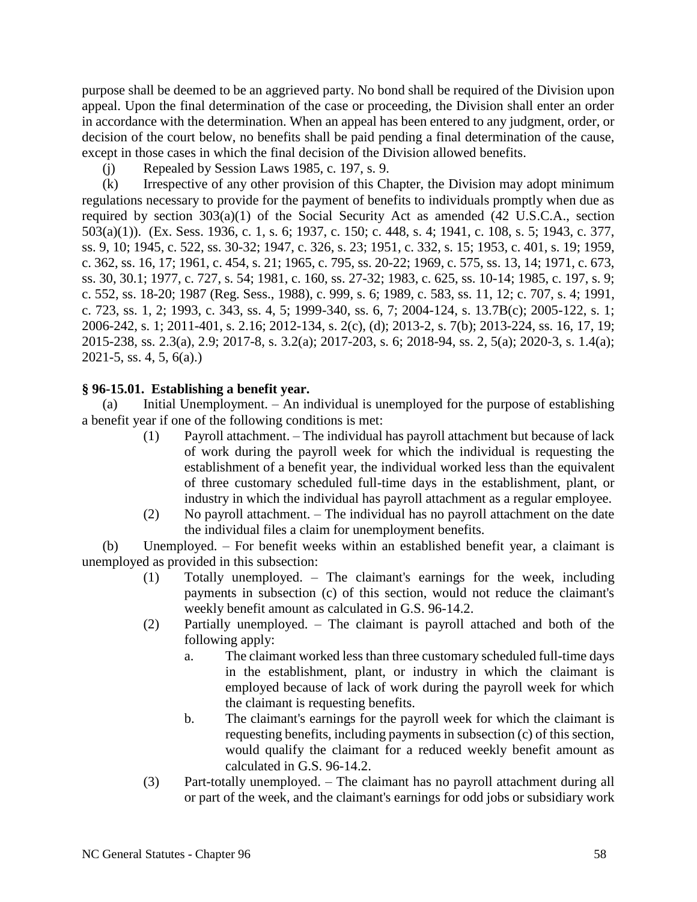purpose shall be deemed to be an aggrieved party. No bond shall be required of the Division upon appeal. Upon the final determination of the case or proceeding, the Division shall enter an order in accordance with the determination. When an appeal has been entered to any judgment, order, or decision of the court below, no benefits shall be paid pending a final determination of the cause, except in those cases in which the final decision of the Division allowed benefits.

(j) Repealed by Session Laws 1985, c. 197, s. 9.

(k) Irrespective of any other provision of this Chapter, the Division may adopt minimum regulations necessary to provide for the payment of benefits to individuals promptly when due as required by section 303(a)(1) of the Social Security Act as amended (42 U.S.C.A., section 503(a)(1)). (Ex. Sess. 1936, c. 1, s. 6; 1937, c. 150; c. 448, s. 4; 1941, c. 108, s. 5; 1943, c. 377, ss. 9, 10; 1945, c. 522, ss. 30-32; 1947, c. 326, s. 23; 1951, c. 332, s. 15; 1953, c. 401, s. 19; 1959, c. 362, ss. 16, 17; 1961, c. 454, s. 21; 1965, c. 795, ss. 20-22; 1969, c. 575, ss. 13, 14; 1971, c. 673, ss. 30, 30.1; 1977, c. 727, s. 54; 1981, c. 160, ss. 27-32; 1983, c. 625, ss. 10-14; 1985, c. 197, s. 9; c. 552, ss. 18-20; 1987 (Reg. Sess., 1988), c. 999, s. 6; 1989, c. 583, ss. 11, 12; c. 707, s. 4; 1991, c. 723, ss. 1, 2; 1993, c. 343, ss. 4, 5; 1999-340, ss. 6, 7; 2004-124, s. 13.7B(c); 2005-122, s. 1; 2006-242, s. 1; 2011-401, s. 2.16; 2012-134, s. 2(c), (d); 2013-2, s. 7(b); 2013-224, ss. 16, 17, 19; 2015-238, ss. 2.3(a), 2.9; 2017-8, s. 3.2(a); 2017-203, s. 6; 2018-94, ss. 2, 5(a); 2020-3, s. 1.4(a); 2021-5, ss. 4, 5, 6(a).)

## **§ 96-15.01. Establishing a benefit year.**

(a) Initial Unemployment. – An individual is unemployed for the purpose of establishing a benefit year if one of the following conditions is met:

- (1) Payroll attachment. The individual has payroll attachment but because of lack of work during the payroll week for which the individual is requesting the establishment of a benefit year, the individual worked less than the equivalent of three customary scheduled full-time days in the establishment, plant, or industry in which the individual has payroll attachment as a regular employee.
- (2) No payroll attachment. The individual has no payroll attachment on the date the individual files a claim for unemployment benefits.

(b) Unemployed. – For benefit weeks within an established benefit year, a claimant is unemployed as provided in this subsection:

- (1) Totally unemployed. The claimant's earnings for the week, including payments in subsection (c) of this section, would not reduce the claimant's weekly benefit amount as calculated in G.S. 96-14.2.
- (2) Partially unemployed. The claimant is payroll attached and both of the following apply:
	- a. The claimant worked less than three customary scheduled full-time days in the establishment, plant, or industry in which the claimant is employed because of lack of work during the payroll week for which the claimant is requesting benefits.
	- b. The claimant's earnings for the payroll week for which the claimant is requesting benefits, including payments in subsection (c) of this section, would qualify the claimant for a reduced weekly benefit amount as calculated in G.S. 96-14.2.
- (3) Part-totally unemployed. The claimant has no payroll attachment during all or part of the week, and the claimant's earnings for odd jobs or subsidiary work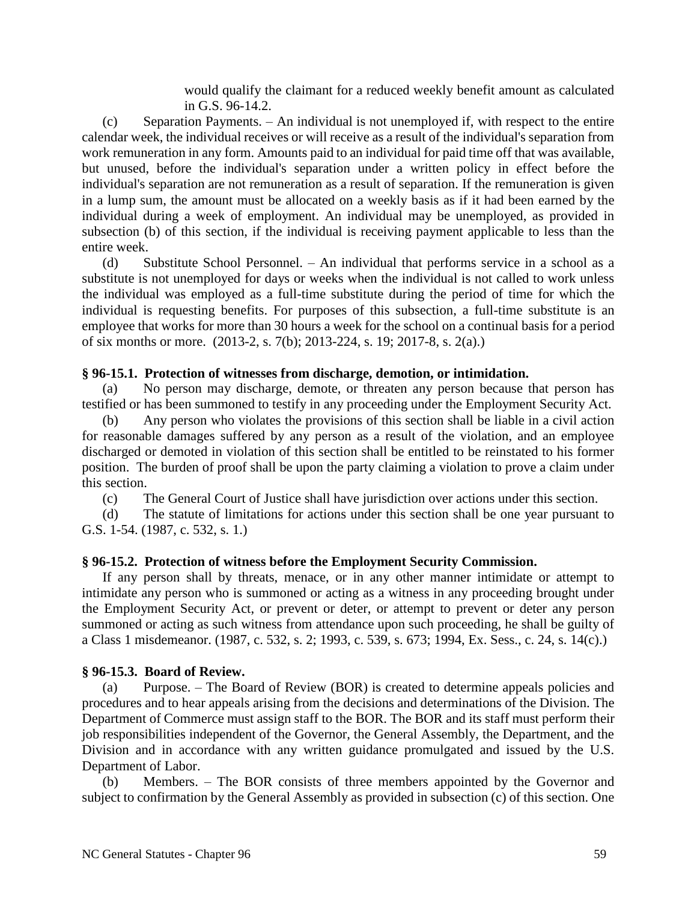would qualify the claimant for a reduced weekly benefit amount as calculated in G.S. 96-14.2.

(c) Separation Payments. – An individual is not unemployed if, with respect to the entire calendar week, the individual receives or will receive as a result of the individual's separation from work remuneration in any form. Amounts paid to an individual for paid time off that was available, but unused, before the individual's separation under a written policy in effect before the individual's separation are not remuneration as a result of separation. If the remuneration is given in a lump sum, the amount must be allocated on a weekly basis as if it had been earned by the individual during a week of employment. An individual may be unemployed, as provided in subsection (b) of this section, if the individual is receiving payment applicable to less than the entire week.

(d) Substitute School Personnel. – An individual that performs service in a school as a substitute is not unemployed for days or weeks when the individual is not called to work unless the individual was employed as a full-time substitute during the period of time for which the individual is requesting benefits. For purposes of this subsection, a full-time substitute is an employee that works for more than 30 hours a week for the school on a continual basis for a period of six months or more. (2013-2, s. 7(b); 2013-224, s. 19; 2017-8, s. 2(a).)

## **§ 96-15.1. Protection of witnesses from discharge, demotion, or intimidation.**

(a) No person may discharge, demote, or threaten any person because that person has testified or has been summoned to testify in any proceeding under the Employment Security Act.

(b) Any person who violates the provisions of this section shall be liable in a civil action for reasonable damages suffered by any person as a result of the violation, and an employee discharged or demoted in violation of this section shall be entitled to be reinstated to his former position. The burden of proof shall be upon the party claiming a violation to prove a claim under this section.

(c) The General Court of Justice shall have jurisdiction over actions under this section.

(d) The statute of limitations for actions under this section shall be one year pursuant to G.S. 1-54. (1987, c. 532, s. 1.)

## **§ 96-15.2. Protection of witness before the Employment Security Commission.**

If any person shall by threats, menace, or in any other manner intimidate or attempt to intimidate any person who is summoned or acting as a witness in any proceeding brought under the Employment Security Act, or prevent or deter, or attempt to prevent or deter any person summoned or acting as such witness from attendance upon such proceeding, he shall be guilty of a Class 1 misdemeanor. (1987, c. 532, s. 2; 1993, c. 539, s. 673; 1994, Ex. Sess., c. 24, s. 14(c).)

## **§ 96-15.3. Board of Review.**

(a) Purpose. – The Board of Review (BOR) is created to determine appeals policies and procedures and to hear appeals arising from the decisions and determinations of the Division. The Department of Commerce must assign staff to the BOR. The BOR and its staff must perform their job responsibilities independent of the Governor, the General Assembly, the Department, and the Division and in accordance with any written guidance promulgated and issued by the U.S. Department of Labor.

(b) Members. – The BOR consists of three members appointed by the Governor and subject to confirmation by the General Assembly as provided in subsection (c) of this section. One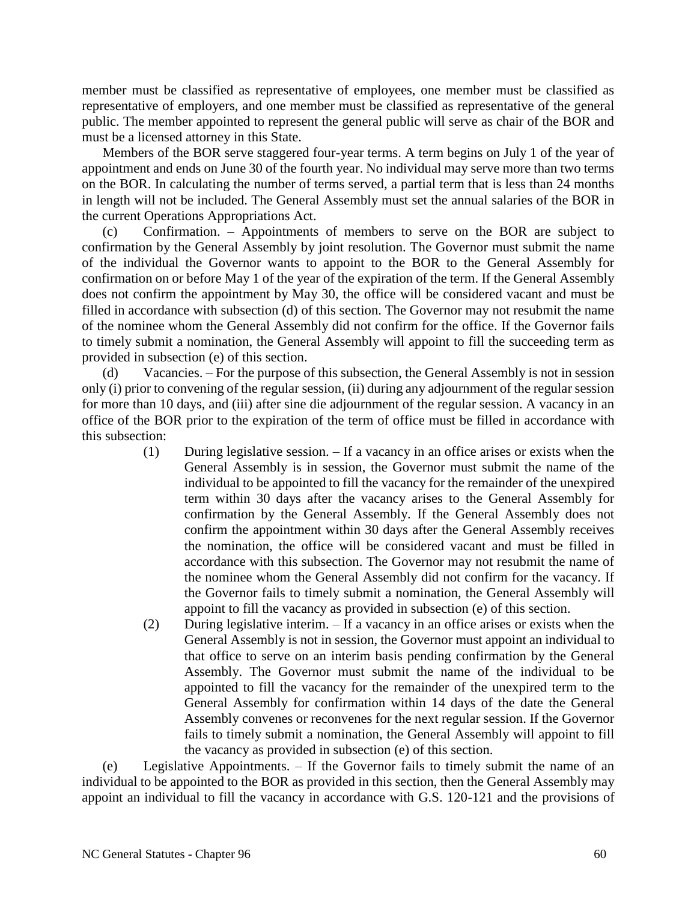member must be classified as representative of employees, one member must be classified as representative of employers, and one member must be classified as representative of the general public. The member appointed to represent the general public will serve as chair of the BOR and must be a licensed attorney in this State.

Members of the BOR serve staggered four-year terms. A term begins on July 1 of the year of appointment and ends on June 30 of the fourth year. No individual may serve more than two terms on the BOR. In calculating the number of terms served, a partial term that is less than 24 months in length will not be included. The General Assembly must set the annual salaries of the BOR in the current Operations Appropriations Act.

(c) Confirmation. – Appointments of members to serve on the BOR are subject to confirmation by the General Assembly by joint resolution. The Governor must submit the name of the individual the Governor wants to appoint to the BOR to the General Assembly for confirmation on or before May 1 of the year of the expiration of the term. If the General Assembly does not confirm the appointment by May 30, the office will be considered vacant and must be filled in accordance with subsection (d) of this section. The Governor may not resubmit the name of the nominee whom the General Assembly did not confirm for the office. If the Governor fails to timely submit a nomination, the General Assembly will appoint to fill the succeeding term as provided in subsection (e) of this section.

(d) Vacancies. – For the purpose of this subsection, the General Assembly is not in session only (i) prior to convening of the regular session, (ii) during any adjournment of the regular session for more than 10 days, and (iii) after sine die adjournment of the regular session. A vacancy in an office of the BOR prior to the expiration of the term of office must be filled in accordance with this subsection:

- (1) During legislative session. If a vacancy in an office arises or exists when the General Assembly is in session, the Governor must submit the name of the individual to be appointed to fill the vacancy for the remainder of the unexpired term within 30 days after the vacancy arises to the General Assembly for confirmation by the General Assembly. If the General Assembly does not confirm the appointment within 30 days after the General Assembly receives the nomination, the office will be considered vacant and must be filled in accordance with this subsection. The Governor may not resubmit the name of the nominee whom the General Assembly did not confirm for the vacancy. If the Governor fails to timely submit a nomination, the General Assembly will appoint to fill the vacancy as provided in subsection (e) of this section.
- (2) During legislative interim. If a vacancy in an office arises or exists when the General Assembly is not in session, the Governor must appoint an individual to that office to serve on an interim basis pending confirmation by the General Assembly. The Governor must submit the name of the individual to be appointed to fill the vacancy for the remainder of the unexpired term to the General Assembly for confirmation within 14 days of the date the General Assembly convenes or reconvenes for the next regular session. If the Governor fails to timely submit a nomination, the General Assembly will appoint to fill the vacancy as provided in subsection (e) of this section.

(e) Legislative Appointments. – If the Governor fails to timely submit the name of an individual to be appointed to the BOR as provided in this section, then the General Assembly may appoint an individual to fill the vacancy in accordance with G.S. 120-121 and the provisions of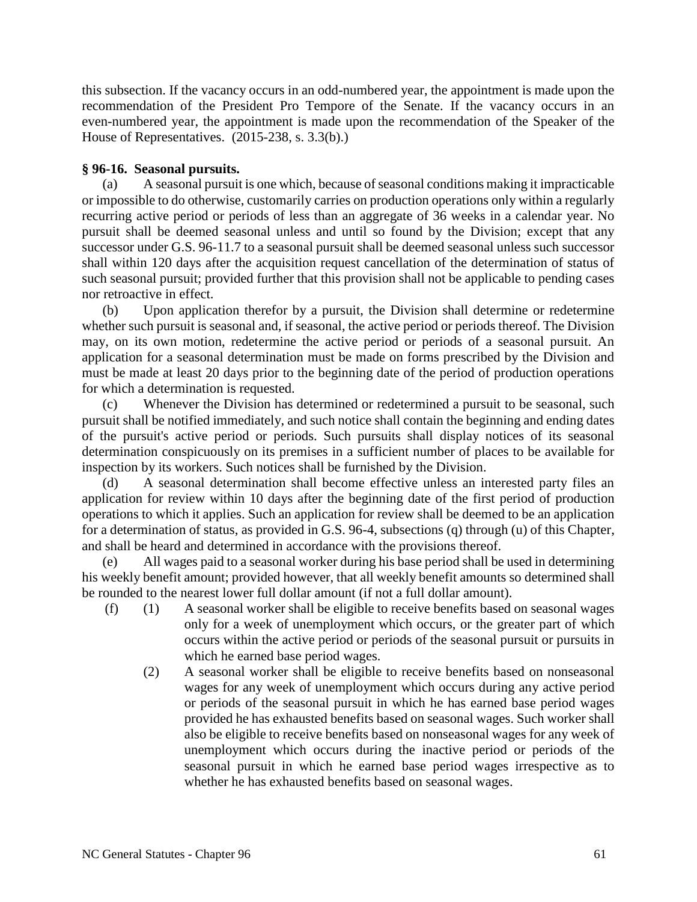this subsection. If the vacancy occurs in an odd-numbered year, the appointment is made upon the recommendation of the President Pro Tempore of the Senate. If the vacancy occurs in an even-numbered year, the appointment is made upon the recommendation of the Speaker of the House of Representatives. (2015-238, s. 3.3(b).)

## **§ 96-16. Seasonal pursuits.**

(a) A seasonal pursuit is one which, because of seasonal conditions making it impracticable or impossible to do otherwise, customarily carries on production operations only within a regularly recurring active period or periods of less than an aggregate of 36 weeks in a calendar year. No pursuit shall be deemed seasonal unless and until so found by the Division; except that any successor under G.S. 96-11.7 to a seasonal pursuit shall be deemed seasonal unless such successor shall within 120 days after the acquisition request cancellation of the determination of status of such seasonal pursuit; provided further that this provision shall not be applicable to pending cases nor retroactive in effect.

(b) Upon application therefor by a pursuit, the Division shall determine or redetermine whether such pursuit is seasonal and, if seasonal, the active period or periods thereof. The Division may, on its own motion, redetermine the active period or periods of a seasonal pursuit. An application for a seasonal determination must be made on forms prescribed by the Division and must be made at least 20 days prior to the beginning date of the period of production operations for which a determination is requested.

(c) Whenever the Division has determined or redetermined a pursuit to be seasonal, such pursuit shall be notified immediately, and such notice shall contain the beginning and ending dates of the pursuit's active period or periods. Such pursuits shall display notices of its seasonal determination conspicuously on its premises in a sufficient number of places to be available for inspection by its workers. Such notices shall be furnished by the Division.

(d) A seasonal determination shall become effective unless an interested party files an application for review within 10 days after the beginning date of the first period of production operations to which it applies. Such an application for review shall be deemed to be an application for a determination of status, as provided in G.S. 96-4, subsections (q) through (u) of this Chapter, and shall be heard and determined in accordance with the provisions thereof.

(e) All wages paid to a seasonal worker during his base period shall be used in determining his weekly benefit amount; provided however, that all weekly benefit amounts so determined shall be rounded to the nearest lower full dollar amount (if not a full dollar amount).

- (f) (1) A seasonal worker shall be eligible to receive benefits based on seasonal wages only for a week of unemployment which occurs, or the greater part of which occurs within the active period or periods of the seasonal pursuit or pursuits in which he earned base period wages.
	- (2) A seasonal worker shall be eligible to receive benefits based on nonseasonal wages for any week of unemployment which occurs during any active period or periods of the seasonal pursuit in which he has earned base period wages provided he has exhausted benefits based on seasonal wages. Such worker shall also be eligible to receive benefits based on nonseasonal wages for any week of unemployment which occurs during the inactive period or periods of the seasonal pursuit in which he earned base period wages irrespective as to whether he has exhausted benefits based on seasonal wages.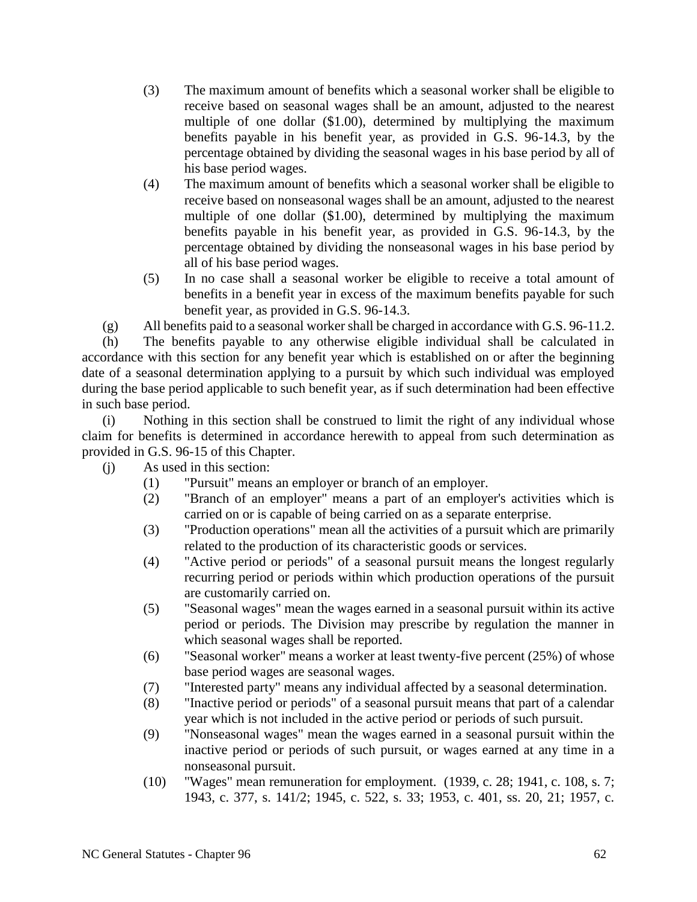- (3) The maximum amount of benefits which a seasonal worker shall be eligible to receive based on seasonal wages shall be an amount, adjusted to the nearest multiple of one dollar (\$1.00), determined by multiplying the maximum benefits payable in his benefit year, as provided in G.S. 96-14.3, by the percentage obtained by dividing the seasonal wages in his base period by all of his base period wages.
- (4) The maximum amount of benefits which a seasonal worker shall be eligible to receive based on nonseasonal wages shall be an amount, adjusted to the nearest multiple of one dollar (\$1.00), determined by multiplying the maximum benefits payable in his benefit year, as provided in G.S. 96-14.3, by the percentage obtained by dividing the nonseasonal wages in his base period by all of his base period wages.
- (5) In no case shall a seasonal worker be eligible to receive a total amount of benefits in a benefit year in excess of the maximum benefits payable for such benefit year, as provided in G.S. 96-14.3.

(g) All benefits paid to a seasonal worker shall be charged in accordance with G.S. 96-11.2.

(h) The benefits payable to any otherwise eligible individual shall be calculated in accordance with this section for any benefit year which is established on or after the beginning date of a seasonal determination applying to a pursuit by which such individual was employed during the base period applicable to such benefit year, as if such determination had been effective in such base period.

(i) Nothing in this section shall be construed to limit the right of any individual whose claim for benefits is determined in accordance herewith to appeal from such determination as provided in G.S. 96-15 of this Chapter.

(j) As used in this section:

- (1) "Pursuit" means an employer or branch of an employer.
- (2) "Branch of an employer" means a part of an employer's activities which is carried on or is capable of being carried on as a separate enterprise.
- (3) "Production operations" mean all the activities of a pursuit which are primarily related to the production of its characteristic goods or services.
- (4) "Active period or periods" of a seasonal pursuit means the longest regularly recurring period or periods within which production operations of the pursuit are customarily carried on.
- (5) "Seasonal wages" mean the wages earned in a seasonal pursuit within its active period or periods. The Division may prescribe by regulation the manner in which seasonal wages shall be reported.
- (6) "Seasonal worker" means a worker at least twenty-five percent (25%) of whose base period wages are seasonal wages.
- (7) "Interested party" means any individual affected by a seasonal determination.
- (8) "Inactive period or periods" of a seasonal pursuit means that part of a calendar year which is not included in the active period or periods of such pursuit.
- (9) "Nonseasonal wages" mean the wages earned in a seasonal pursuit within the inactive period or periods of such pursuit, or wages earned at any time in a nonseasonal pursuit.
- (10) "Wages" mean remuneration for employment. (1939, c. 28; 1941, c. 108, s. 7; 1943, c. 377, s. 141/2; 1945, c. 522, s. 33; 1953, c. 401, ss. 20, 21; 1957, c.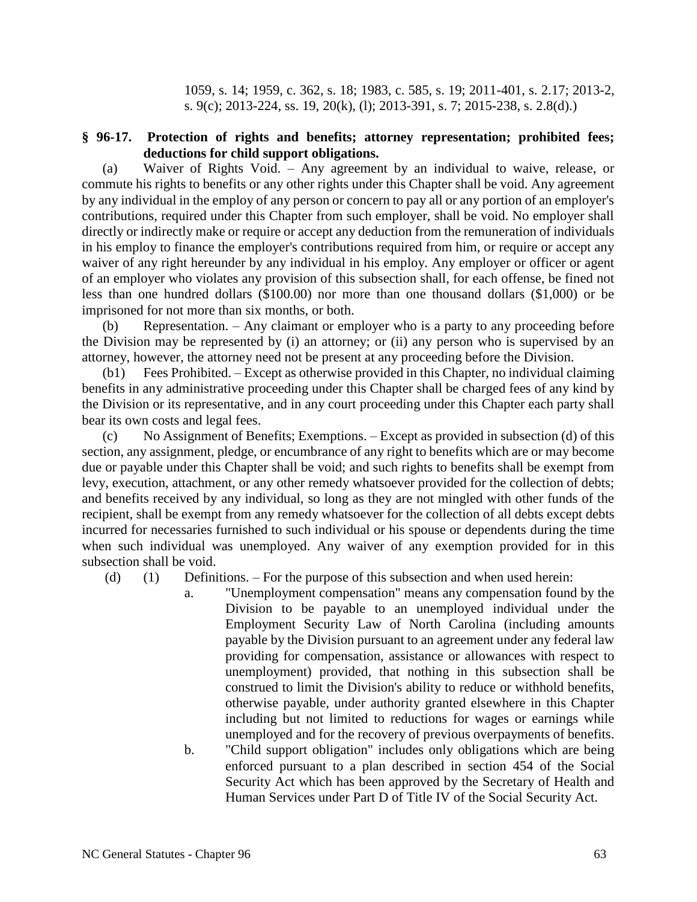1059, s. 14; 1959, c. 362, s. 18; 1983, c. 585, s. 19; 2011-401, s. 2.17; 2013-2, s. 9(c); 2013-224, ss. 19, 20(k), (l); 2013-391, s. 7; 2015-238, s. 2.8(d).)

### **§ 96-17. Protection of rights and benefits; attorney representation; prohibited fees; deductions for child support obligations.**

(a) Waiver of Rights Void. – Any agreement by an individual to waive, release, or commute his rights to benefits or any other rights under this Chapter shall be void. Any agreement by any individual in the employ of any person or concern to pay all or any portion of an employer's contributions, required under this Chapter from such employer, shall be void. No employer shall directly or indirectly make or require or accept any deduction from the remuneration of individuals in his employ to finance the employer's contributions required from him, or require or accept any waiver of any right hereunder by any individual in his employ. Any employer or officer or agent of an employer who violates any provision of this subsection shall, for each offense, be fined not less than one hundred dollars (\$100.00) nor more than one thousand dollars (\$1,000) or be imprisoned for not more than six months, or both.

(b) Representation. – Any claimant or employer who is a party to any proceeding before the Division may be represented by (i) an attorney; or (ii) any person who is supervised by an attorney, however, the attorney need not be present at any proceeding before the Division.

(b1) Fees Prohibited. – Except as otherwise provided in this Chapter, no individual claiming benefits in any administrative proceeding under this Chapter shall be charged fees of any kind by the Division or its representative, and in any court proceeding under this Chapter each party shall bear its own costs and legal fees.

(c) No Assignment of Benefits; Exemptions. – Except as provided in subsection (d) of this section, any assignment, pledge, or encumbrance of any right to benefits which are or may become due or payable under this Chapter shall be void; and such rights to benefits shall be exempt from levy, execution, attachment, or any other remedy whatsoever provided for the collection of debts; and benefits received by any individual, so long as they are not mingled with other funds of the recipient, shall be exempt from any remedy whatsoever for the collection of all debts except debts incurred for necessaries furnished to such individual or his spouse or dependents during the time when such individual was unemployed. Any waiver of any exemption provided for in this subsection shall be void.

(d) (1) Definitions. – For the purpose of this subsection and when used herein:

a. "Unemployment compensation" means any compensation found by the Division to be payable to an unemployed individual under the Employment Security Law of North Carolina (including amounts payable by the Division pursuant to an agreement under any federal law providing for compensation, assistance or allowances with respect to unemployment) provided, that nothing in this subsection shall be construed to limit the Division's ability to reduce or withhold benefits, otherwise payable, under authority granted elsewhere in this Chapter including but not limited to reductions for wages or earnings while unemployed and for the recovery of previous overpayments of benefits. b. "Child support obligation" includes only obligations which are being

enforced pursuant to a plan described in section 454 of the Social Security Act which has been approved by the Secretary of Health and Human Services under Part D of Title IV of the Social Security Act.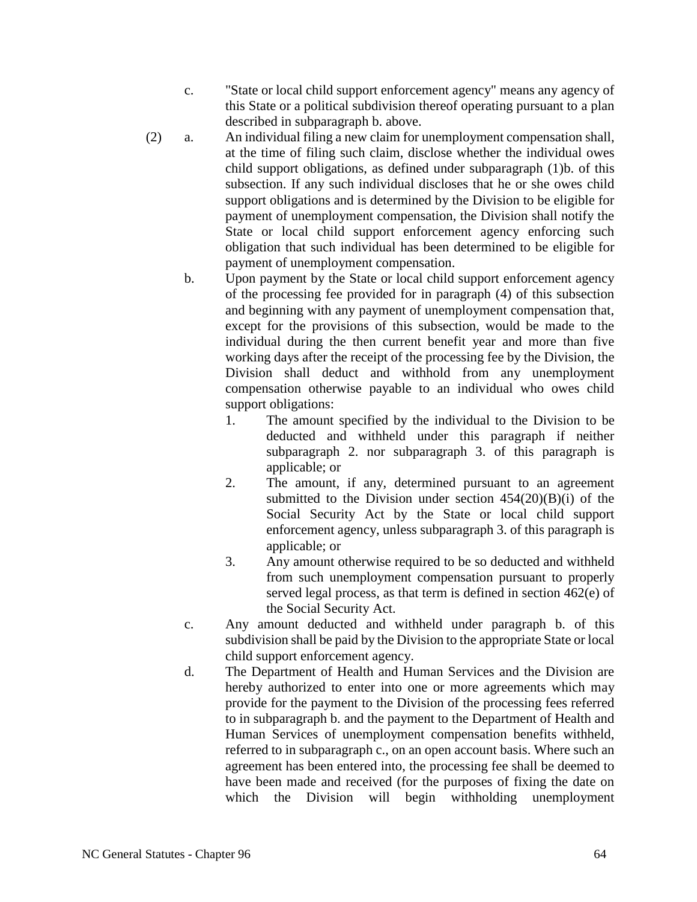- c. "State or local child support enforcement agency" means any agency of this State or a political subdivision thereof operating pursuant to a plan described in subparagraph b. above.
- (2) a. An individual filing a new claim for unemployment compensation shall, at the time of filing such claim, disclose whether the individual owes child support obligations, as defined under subparagraph (1)b. of this subsection. If any such individual discloses that he or she owes child support obligations and is determined by the Division to be eligible for payment of unemployment compensation, the Division shall notify the State or local child support enforcement agency enforcing such obligation that such individual has been determined to be eligible for payment of unemployment compensation.
	- b. Upon payment by the State or local child support enforcement agency of the processing fee provided for in paragraph (4) of this subsection and beginning with any payment of unemployment compensation that, except for the provisions of this subsection, would be made to the individual during the then current benefit year and more than five working days after the receipt of the processing fee by the Division, the Division shall deduct and withhold from any unemployment compensation otherwise payable to an individual who owes child support obligations:
		- 1. The amount specified by the individual to the Division to be deducted and withheld under this paragraph if neither subparagraph 2. nor subparagraph 3. of this paragraph is applicable; or
		- 2. The amount, if any, determined pursuant to an agreement submitted to the Division under section  $454(20)(B)(i)$  of the Social Security Act by the State or local child support enforcement agency, unless subparagraph 3. of this paragraph is applicable; or
		- 3. Any amount otherwise required to be so deducted and withheld from such unemployment compensation pursuant to properly served legal process, as that term is defined in section 462(e) of the Social Security Act.
	- c. Any amount deducted and withheld under paragraph b. of this subdivision shall be paid by the Division to the appropriate State or local child support enforcement agency.
	- d. The Department of Health and Human Services and the Division are hereby authorized to enter into one or more agreements which may provide for the payment to the Division of the processing fees referred to in subparagraph b. and the payment to the Department of Health and Human Services of unemployment compensation benefits withheld, referred to in subparagraph c., on an open account basis. Where such an agreement has been entered into, the processing fee shall be deemed to have been made and received (for the purposes of fixing the date on which the Division will begin withholding unemployment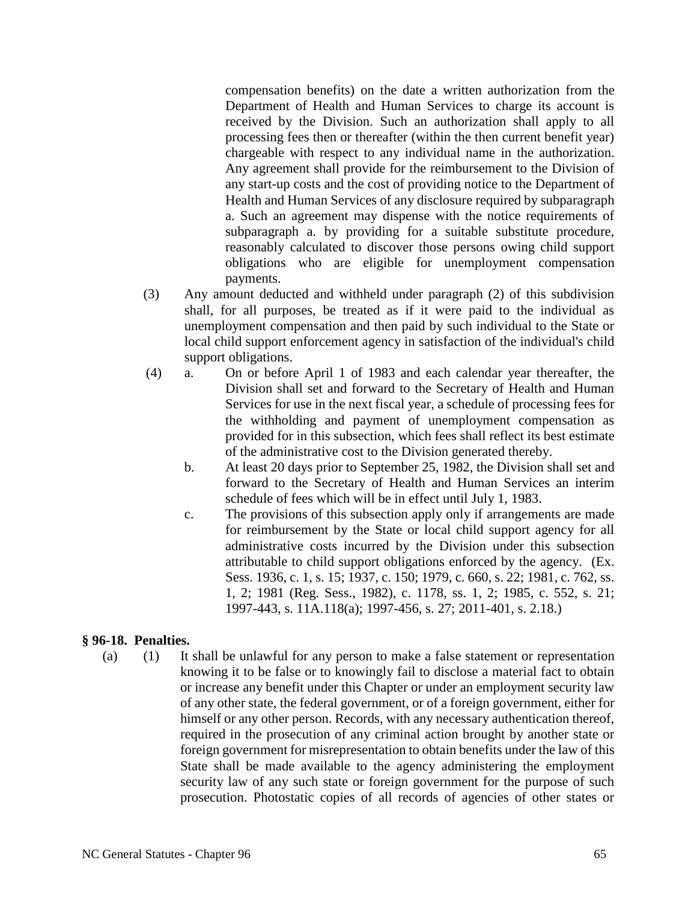compensation benefits) on the date a written authorization from the Department of Health and Human Services to charge its account is received by the Division. Such an authorization shall apply to all processing fees then or thereafter (within the then current benefit year) chargeable with respect to any individual name in the authorization. Any agreement shall provide for the reimbursement to the Division of any start-up costs and the cost of providing notice to the Department of Health and Human Services of any disclosure required by subparagraph a. Such an agreement may dispense with the notice requirements of subparagraph a. by providing for a suitable substitute procedure, reasonably calculated to discover those persons owing child support obligations who are eligible for unemployment compensation payments.

- (3) Any amount deducted and withheld under paragraph (2) of this subdivision shall, for all purposes, be treated as if it were paid to the individual as unemployment compensation and then paid by such individual to the State or local child support enforcement agency in satisfaction of the individual's child support obligations.
- (4) a. On or before April 1 of 1983 and each calendar year thereafter, the Division shall set and forward to the Secretary of Health and Human Services for use in the next fiscal year, a schedule of processing fees for the withholding and payment of unemployment compensation as provided for in this subsection, which fees shall reflect its best estimate of the administrative cost to the Division generated thereby.
	- b. At least 20 days prior to September 25, 1982, the Division shall set and forward to the Secretary of Health and Human Services an interim schedule of fees which will be in effect until July 1, 1983.
	- c. The provisions of this subsection apply only if arrangements are made for reimbursement by the State or local child support agency for all administrative costs incurred by the Division under this subsection attributable to child support obligations enforced by the agency. (Ex. Sess. 1936, c. 1, s. 15; 1937, c. 150; 1979, c. 660, s. 22; 1981, c. 762, ss. 1, 2; 1981 (Reg. Sess., 1982), c. 1178, ss. 1, 2; 1985, c. 552, s. 21; 1997-443, s. 11A.118(a); 1997-456, s. 27; 2011-401, s. 2.18.)

## **§ 96-18. Penalties.**

(a) (1) It shall be unlawful for any person to make a false statement or representation knowing it to be false or to knowingly fail to disclose a material fact to obtain or increase any benefit under this Chapter or under an employment security law of any other state, the federal government, or of a foreign government, either for himself or any other person. Records, with any necessary authentication thereof, required in the prosecution of any criminal action brought by another state or foreign government for misrepresentation to obtain benefits under the law of this State shall be made available to the agency administering the employment security law of any such state or foreign government for the purpose of such prosecution. Photostatic copies of all records of agencies of other states or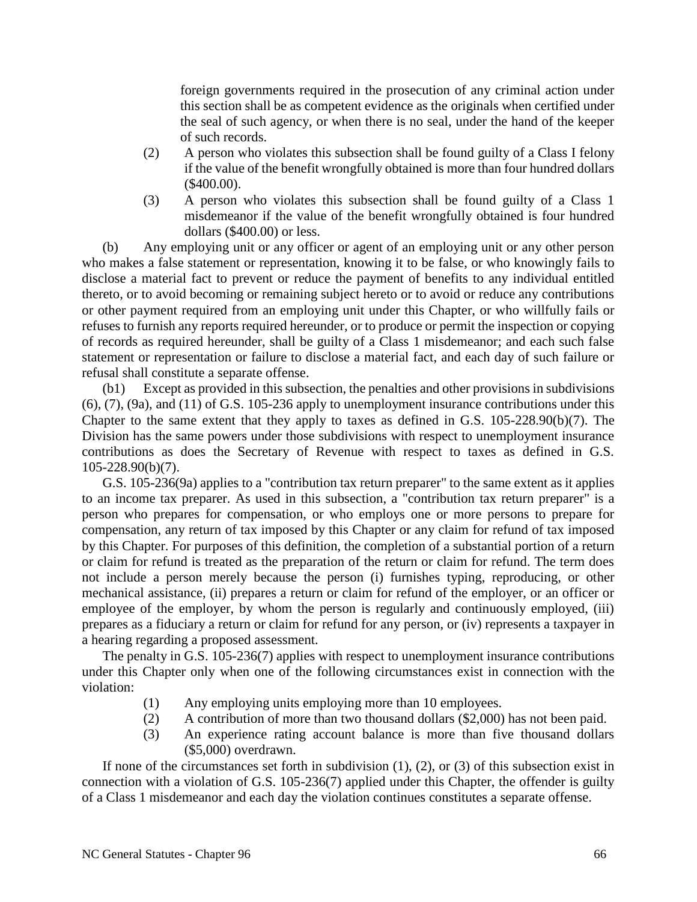foreign governments required in the prosecution of any criminal action under this section shall be as competent evidence as the originals when certified under the seal of such agency, or when there is no seal, under the hand of the keeper of such records.

- (2) A person who violates this subsection shall be found guilty of a Class I felony if the value of the benefit wrongfully obtained is more than four hundred dollars (\$400.00).
- (3) A person who violates this subsection shall be found guilty of a Class 1 misdemeanor if the value of the benefit wrongfully obtained is four hundred dollars (\$400.00) or less.

(b) Any employing unit or any officer or agent of an employing unit or any other person who makes a false statement or representation, knowing it to be false, or who knowingly fails to disclose a material fact to prevent or reduce the payment of benefits to any individual entitled thereto, or to avoid becoming or remaining subject hereto or to avoid or reduce any contributions or other payment required from an employing unit under this Chapter, or who willfully fails or refuses to furnish any reports required hereunder, or to produce or permit the inspection or copying of records as required hereunder, shall be guilty of a Class 1 misdemeanor; and each such false statement or representation or failure to disclose a material fact, and each day of such failure or refusal shall constitute a separate offense.

(b1) Except as provided in this subsection, the penalties and other provisions in subdivisions (6), (7), (9a), and (11) of G.S. 105-236 apply to unemployment insurance contributions under this Chapter to the same extent that they apply to taxes as defined in G.S. 105-228.90(b)(7). The Division has the same powers under those subdivisions with respect to unemployment insurance contributions as does the Secretary of Revenue with respect to taxes as defined in G.S. 105-228.90(b)(7).

G.S. 105-236(9a) applies to a "contribution tax return preparer" to the same extent as it applies to an income tax preparer. As used in this subsection, a "contribution tax return preparer" is a person who prepares for compensation, or who employs one or more persons to prepare for compensation, any return of tax imposed by this Chapter or any claim for refund of tax imposed by this Chapter. For purposes of this definition, the completion of a substantial portion of a return or claim for refund is treated as the preparation of the return or claim for refund. The term does not include a person merely because the person (i) furnishes typing, reproducing, or other mechanical assistance, (ii) prepares a return or claim for refund of the employer, or an officer or employee of the employer, by whom the person is regularly and continuously employed, (iii) prepares as a fiduciary a return or claim for refund for any person, or (iv) represents a taxpayer in a hearing regarding a proposed assessment.

The penalty in G.S. 105-236(7) applies with respect to unemployment insurance contributions under this Chapter only when one of the following circumstances exist in connection with the violation:

- (1) Any employing units employing more than 10 employees.
- (2) A contribution of more than two thousand dollars (\$2,000) has not been paid.
- (3) An experience rating account balance is more than five thousand dollars (\$5,000) overdrawn.

If none of the circumstances set forth in subdivision  $(1)$ ,  $(2)$ , or  $(3)$  of this subsection exist in connection with a violation of G.S. 105-236(7) applied under this Chapter, the offender is guilty of a Class 1 misdemeanor and each day the violation continues constitutes a separate offense.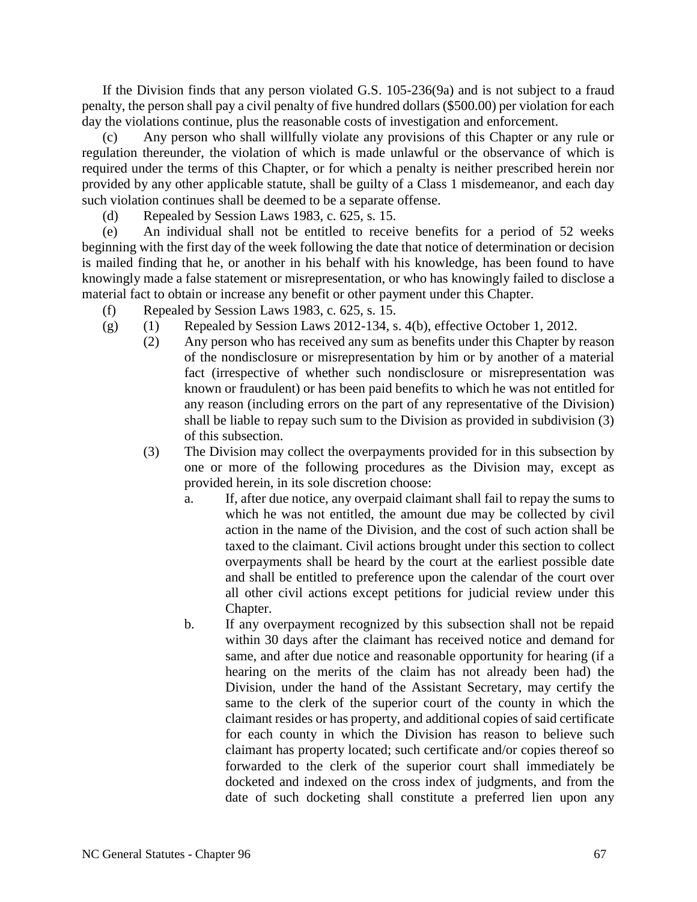If the Division finds that any person violated G.S. 105-236(9a) and is not subject to a fraud penalty, the person shall pay a civil penalty of five hundred dollars (\$500.00) per violation for each day the violations continue, plus the reasonable costs of investigation and enforcement.

Any person who shall willfully violate any provisions of this Chapter or any rule or regulation thereunder, the violation of which is made unlawful or the observance of which is required under the terms of this Chapter, or for which a penalty is neither prescribed herein nor provided by any other applicable statute, shall be guilty of a Class 1 misdemeanor, and each day such violation continues shall be deemed to be a separate offense.

(d) Repealed by Session Laws 1983, c. 625, s. 15.

(e) An individual shall not be entitled to receive benefits for a period of 52 weeks beginning with the first day of the week following the date that notice of determination or decision is mailed finding that he, or another in his behalf with his knowledge, has been found to have knowingly made a false statement or misrepresentation, or who has knowingly failed to disclose a material fact to obtain or increase any benefit or other payment under this Chapter.

- (f) Repealed by Session Laws 1983, c. 625, s. 15.
- (g)  $(1)$  Repealed by Session Laws 2012-134, s. 4(b), effective October 1, 2012.
	- (2) Any person who has received any sum as benefits under this Chapter by reason of the nondisclosure or misrepresentation by him or by another of a material fact (irrespective of whether such nondisclosure or misrepresentation was known or fraudulent) or has been paid benefits to which he was not entitled for any reason (including errors on the part of any representative of the Division) shall be liable to repay such sum to the Division as provided in subdivision (3) of this subsection.
	- (3) The Division may collect the overpayments provided for in this subsection by one or more of the following procedures as the Division may, except as provided herein, in its sole discretion choose:
		- a. If, after due notice, any overpaid claimant shall fail to repay the sums to which he was not entitled, the amount due may be collected by civil action in the name of the Division, and the cost of such action shall be taxed to the claimant. Civil actions brought under this section to collect overpayments shall be heard by the court at the earliest possible date and shall be entitled to preference upon the calendar of the court over all other civil actions except petitions for judicial review under this Chapter.
		- b. If any overpayment recognized by this subsection shall not be repaid within 30 days after the claimant has received notice and demand for same, and after due notice and reasonable opportunity for hearing (if a hearing on the merits of the claim has not already been had) the Division, under the hand of the Assistant Secretary, may certify the same to the clerk of the superior court of the county in which the claimant resides or has property, and additional copies of said certificate for each county in which the Division has reason to believe such claimant has property located; such certificate and/or copies thereof so forwarded to the clerk of the superior court shall immediately be docketed and indexed on the cross index of judgments, and from the date of such docketing shall constitute a preferred lien upon any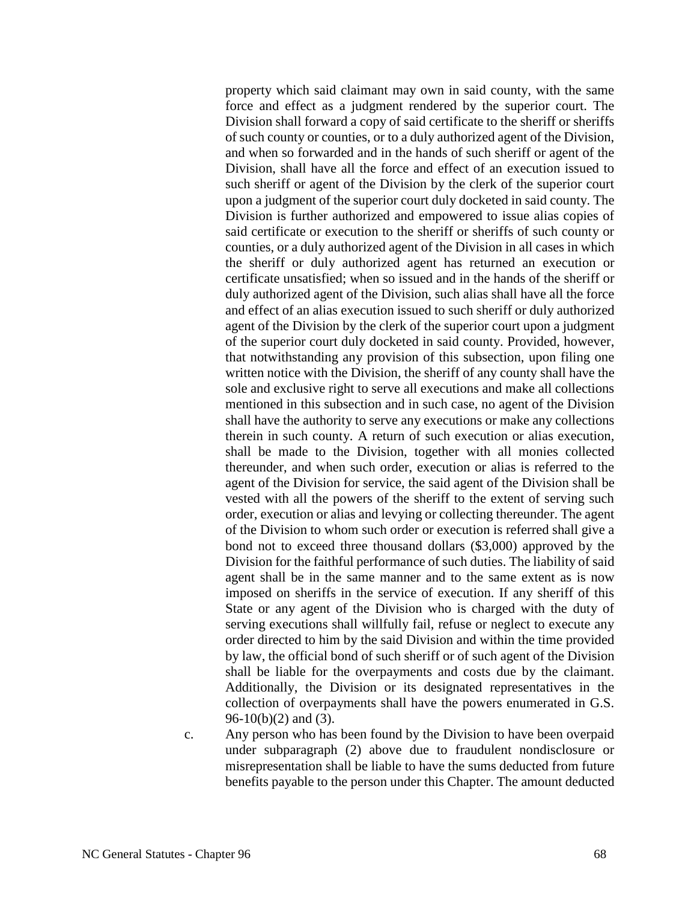property which said claimant may own in said county, with the same force and effect as a judgment rendered by the superior court. The Division shall forward a copy of said certificate to the sheriff or sheriffs of such county or counties, or to a duly authorized agent of the Division, and when so forwarded and in the hands of such sheriff or agent of the Division, shall have all the force and effect of an execution issued to such sheriff or agent of the Division by the clerk of the superior court upon a judgment of the superior court duly docketed in said county. The Division is further authorized and empowered to issue alias copies of said certificate or execution to the sheriff or sheriffs of such county or counties, or a duly authorized agent of the Division in all cases in which the sheriff or duly authorized agent has returned an execution or certificate unsatisfied; when so issued and in the hands of the sheriff or duly authorized agent of the Division, such alias shall have all the force and effect of an alias execution issued to such sheriff or duly authorized agent of the Division by the clerk of the superior court upon a judgment of the superior court duly docketed in said county. Provided, however, that notwithstanding any provision of this subsection, upon filing one written notice with the Division, the sheriff of any county shall have the sole and exclusive right to serve all executions and make all collections mentioned in this subsection and in such case, no agent of the Division shall have the authority to serve any executions or make any collections therein in such county. A return of such execution or alias execution, shall be made to the Division, together with all monies collected thereunder, and when such order, execution or alias is referred to the agent of the Division for service, the said agent of the Division shall be vested with all the powers of the sheriff to the extent of serving such order, execution or alias and levying or collecting thereunder. The agent of the Division to whom such order or execution is referred shall give a bond not to exceed three thousand dollars (\$3,000) approved by the Division for the faithful performance of such duties. The liability of said agent shall be in the same manner and to the same extent as is now imposed on sheriffs in the service of execution. If any sheriff of this State or any agent of the Division who is charged with the duty of serving executions shall willfully fail, refuse or neglect to execute any order directed to him by the said Division and within the time provided by law, the official bond of such sheriff or of such agent of the Division shall be liable for the overpayments and costs due by the claimant. Additionally, the Division or its designated representatives in the collection of overpayments shall have the powers enumerated in G.S.  $96-10(b)(2)$  and (3).

c. Any person who has been found by the Division to have been overpaid under subparagraph (2) above due to fraudulent nondisclosure or misrepresentation shall be liable to have the sums deducted from future benefits payable to the person under this Chapter. The amount deducted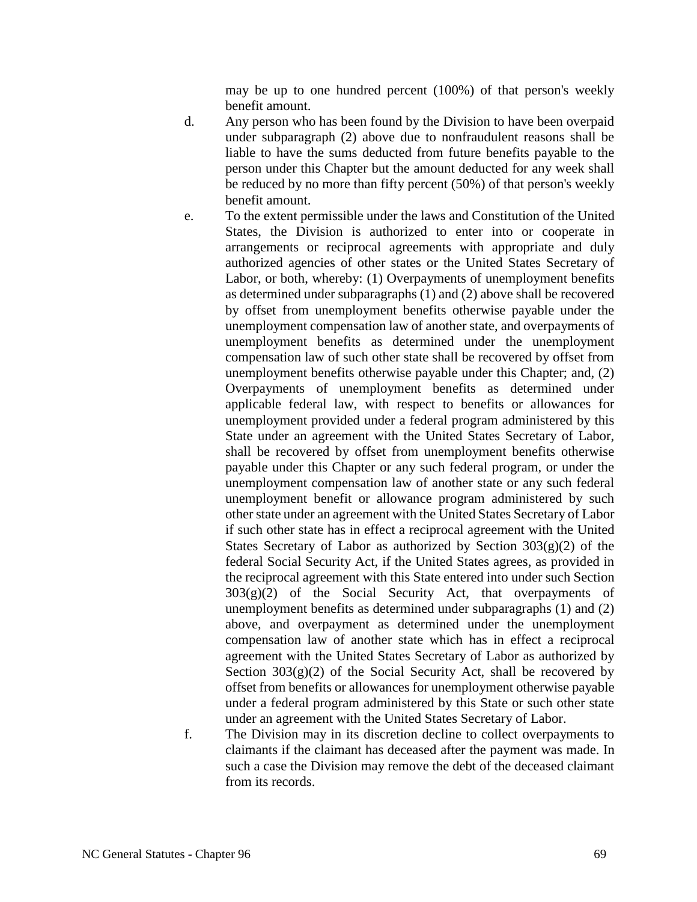may be up to one hundred percent (100%) of that person's weekly benefit amount.

- d. Any person who has been found by the Division to have been overpaid under subparagraph (2) above due to nonfraudulent reasons shall be liable to have the sums deducted from future benefits payable to the person under this Chapter but the amount deducted for any week shall be reduced by no more than fifty percent (50%) of that person's weekly benefit amount.
- e. To the extent permissible under the laws and Constitution of the United States, the Division is authorized to enter into or cooperate in arrangements or reciprocal agreements with appropriate and duly authorized agencies of other states or the United States Secretary of Labor, or both, whereby: (1) Overpayments of unemployment benefits as determined under subparagraphs (1) and (2) above shall be recovered by offset from unemployment benefits otherwise payable under the unemployment compensation law of another state, and overpayments of unemployment benefits as determined under the unemployment compensation law of such other state shall be recovered by offset from unemployment benefits otherwise payable under this Chapter; and, (2) Overpayments of unemployment benefits as determined under applicable federal law, with respect to benefits or allowances for unemployment provided under a federal program administered by this State under an agreement with the United States Secretary of Labor, shall be recovered by offset from unemployment benefits otherwise payable under this Chapter or any such federal program, or under the unemployment compensation law of another state or any such federal unemployment benefit or allowance program administered by such other state under an agreement with the United States Secretary of Labor if such other state has in effect a reciprocal agreement with the United States Secretary of Labor as authorized by Section  $303(g)(2)$  of the federal Social Security Act, if the United States agrees, as provided in the reciprocal agreement with this State entered into under such Section  $303(g)(2)$  of the Social Security Act, that overpayments of unemployment benefits as determined under subparagraphs (1) and (2) above, and overpayment as determined under the unemployment compensation law of another state which has in effect a reciprocal agreement with the United States Secretary of Labor as authorized by Section  $303(g)(2)$  of the Social Security Act, shall be recovered by offset from benefits or allowances for unemployment otherwise payable under a federal program administered by this State or such other state under an agreement with the United States Secretary of Labor.
- f. The Division may in its discretion decline to collect overpayments to claimants if the claimant has deceased after the payment was made. In such a case the Division may remove the debt of the deceased claimant from its records.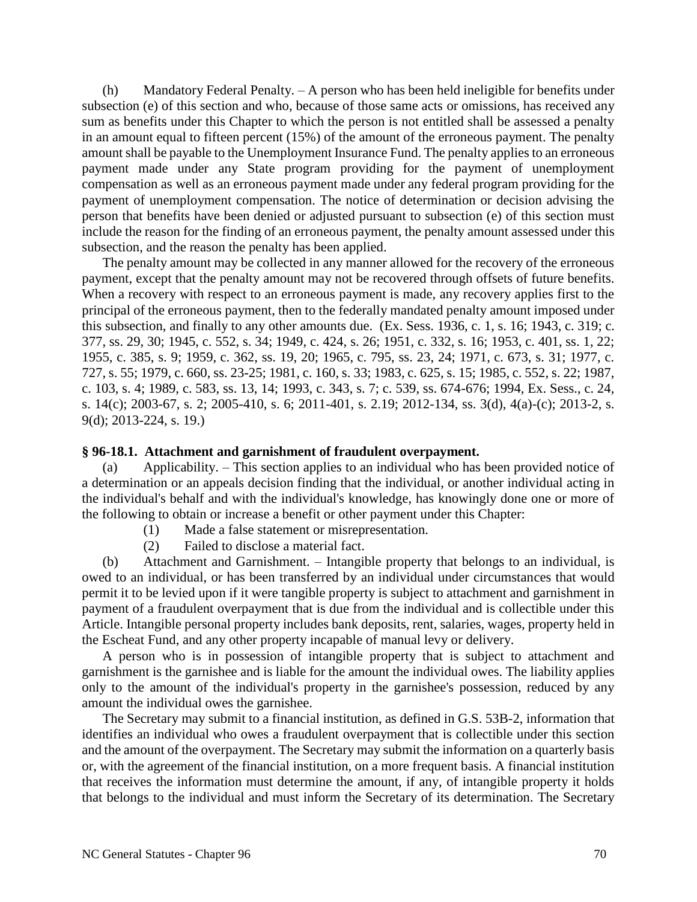(h) Mandatory Federal Penalty. – A person who has been held ineligible for benefits under subsection (e) of this section and who, because of those same acts or omissions, has received any sum as benefits under this Chapter to which the person is not entitled shall be assessed a penalty in an amount equal to fifteen percent (15%) of the amount of the erroneous payment. The penalty amount shall be payable to the Unemployment Insurance Fund. The penalty applies to an erroneous payment made under any State program providing for the payment of unemployment compensation as well as an erroneous payment made under any federal program providing for the payment of unemployment compensation. The notice of determination or decision advising the person that benefits have been denied or adjusted pursuant to subsection (e) of this section must include the reason for the finding of an erroneous payment, the penalty amount assessed under this subsection, and the reason the penalty has been applied.

The penalty amount may be collected in any manner allowed for the recovery of the erroneous payment, except that the penalty amount may not be recovered through offsets of future benefits. When a recovery with respect to an erroneous payment is made, any recovery applies first to the principal of the erroneous payment, then to the federally mandated penalty amount imposed under this subsection, and finally to any other amounts due. (Ex. Sess. 1936, c. 1, s. 16; 1943, c. 319; c. 377, ss. 29, 30; 1945, c. 552, s. 34; 1949, c. 424, s. 26; 1951, c. 332, s. 16; 1953, c. 401, ss. 1, 22; 1955, c. 385, s. 9; 1959, c. 362, ss. 19, 20; 1965, c. 795, ss. 23, 24; 1971, c. 673, s. 31; 1977, c. 727, s. 55; 1979, c. 660, ss. 23-25; 1981, c. 160, s. 33; 1983, c. 625, s. 15; 1985, c. 552, s. 22; 1987, c. 103, s. 4; 1989, c. 583, ss. 13, 14; 1993, c. 343, s. 7; c. 539, ss. 674-676; 1994, Ex. Sess., c. 24, s. 14(c); 2003-67, s. 2; 2005-410, s. 6; 2011-401, s. 2.19; 2012-134, ss. 3(d), 4(a)-(c); 2013-2, s. 9(d); 2013-224, s. 19.)

#### **§ 96-18.1. Attachment and garnishment of fraudulent overpayment.**

(a) Applicability. – This section applies to an individual who has been provided notice of a determination or an appeals decision finding that the individual, or another individual acting in the individual's behalf and with the individual's knowledge, has knowingly done one or more of the following to obtain or increase a benefit or other payment under this Chapter:

- (1) Made a false statement or misrepresentation.
- (2) Failed to disclose a material fact.

(b) Attachment and Garnishment. – Intangible property that belongs to an individual, is owed to an individual, or has been transferred by an individual under circumstances that would permit it to be levied upon if it were tangible property is subject to attachment and garnishment in payment of a fraudulent overpayment that is due from the individual and is collectible under this Article. Intangible personal property includes bank deposits, rent, salaries, wages, property held in the Escheat Fund, and any other property incapable of manual levy or delivery.

A person who is in possession of intangible property that is subject to attachment and garnishment is the garnishee and is liable for the amount the individual owes. The liability applies only to the amount of the individual's property in the garnishee's possession, reduced by any amount the individual owes the garnishee.

The Secretary may submit to a financial institution, as defined in G.S. 53B-2, information that identifies an individual who owes a fraudulent overpayment that is collectible under this section and the amount of the overpayment. The Secretary may submit the information on a quarterly basis or, with the agreement of the financial institution, on a more frequent basis. A financial institution that receives the information must determine the amount, if any, of intangible property it holds that belongs to the individual and must inform the Secretary of its determination. The Secretary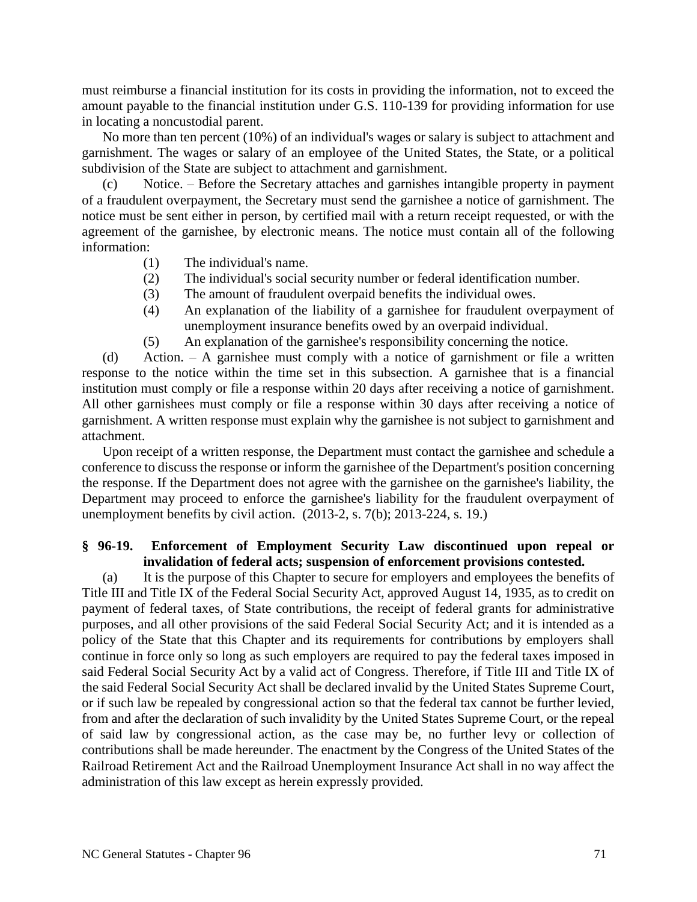must reimburse a financial institution for its costs in providing the information, not to exceed the amount payable to the financial institution under G.S. 110-139 for providing information for use in locating a noncustodial parent.

No more than ten percent (10%) of an individual's wages or salary is subject to attachment and garnishment. The wages or salary of an employee of the United States, the State, or a political subdivision of the State are subject to attachment and garnishment.

(c) Notice. – Before the Secretary attaches and garnishes intangible property in payment of a fraudulent overpayment, the Secretary must send the garnishee a notice of garnishment. The notice must be sent either in person, by certified mail with a return receipt requested, or with the agreement of the garnishee, by electronic means. The notice must contain all of the following information:

- (1) The individual's name.
- (2) The individual's social security number or federal identification number.
- (3) The amount of fraudulent overpaid benefits the individual owes.
- (4) An explanation of the liability of a garnishee for fraudulent overpayment of unemployment insurance benefits owed by an overpaid individual.
- (5) An explanation of the garnishee's responsibility concerning the notice.

(d) Action. – A garnishee must comply with a notice of garnishment or file a written response to the notice within the time set in this subsection. A garnishee that is a financial institution must comply or file a response within 20 days after receiving a notice of garnishment. All other garnishees must comply or file a response within 30 days after receiving a notice of garnishment. A written response must explain why the garnishee is not subject to garnishment and attachment.

Upon receipt of a written response, the Department must contact the garnishee and schedule a conference to discuss the response or inform the garnishee of the Department's position concerning the response. If the Department does not agree with the garnishee on the garnishee's liability, the Department may proceed to enforce the garnishee's liability for the fraudulent overpayment of unemployment benefits by civil action. (2013-2, s. 7(b); 2013-224, s. 19.)

### **§ 96-19. Enforcement of Employment Security Law discontinued upon repeal or invalidation of federal acts; suspension of enforcement provisions contested.**

(a) It is the purpose of this Chapter to secure for employers and employees the benefits of Title III and Title IX of the Federal Social Security Act, approved August 14, 1935, as to credit on payment of federal taxes, of State contributions, the receipt of federal grants for administrative purposes, and all other provisions of the said Federal Social Security Act; and it is intended as a policy of the State that this Chapter and its requirements for contributions by employers shall continue in force only so long as such employers are required to pay the federal taxes imposed in said Federal Social Security Act by a valid act of Congress. Therefore, if Title III and Title IX of the said Federal Social Security Act shall be declared invalid by the United States Supreme Court, or if such law be repealed by congressional action so that the federal tax cannot be further levied, from and after the declaration of such invalidity by the United States Supreme Court, or the repeal of said law by congressional action, as the case may be, no further levy or collection of contributions shall be made hereunder. The enactment by the Congress of the United States of the Railroad Retirement Act and the Railroad Unemployment Insurance Act shall in no way affect the administration of this law except as herein expressly provided.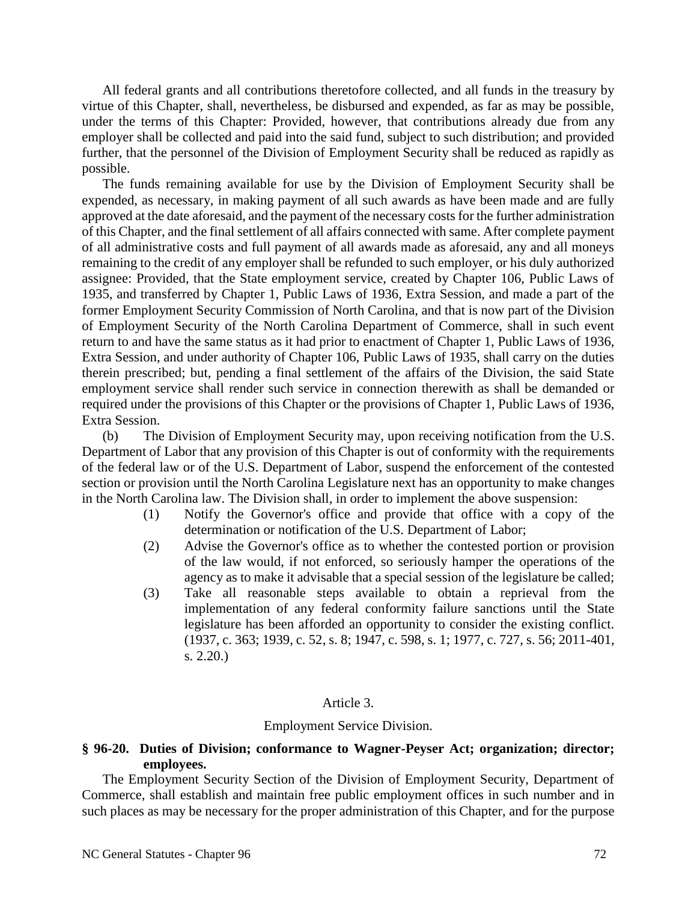All federal grants and all contributions theretofore collected, and all funds in the treasury by virtue of this Chapter, shall, nevertheless, be disbursed and expended, as far as may be possible, under the terms of this Chapter: Provided, however, that contributions already due from any employer shall be collected and paid into the said fund, subject to such distribution; and provided further, that the personnel of the Division of Employment Security shall be reduced as rapidly as possible.

The funds remaining available for use by the Division of Employment Security shall be expended, as necessary, in making payment of all such awards as have been made and are fully approved at the date aforesaid, and the payment of the necessary costs for the further administration of this Chapter, and the final settlement of all affairs connected with same. After complete payment of all administrative costs and full payment of all awards made as aforesaid, any and all moneys remaining to the credit of any employer shall be refunded to such employer, or his duly authorized assignee: Provided, that the State employment service, created by Chapter 106, Public Laws of 1935, and transferred by Chapter 1, Public Laws of 1936, Extra Session, and made a part of the former Employment Security Commission of North Carolina, and that is now part of the Division of Employment Security of the North Carolina Department of Commerce, shall in such event return to and have the same status as it had prior to enactment of Chapter 1, Public Laws of 1936, Extra Session, and under authority of Chapter 106, Public Laws of 1935, shall carry on the duties therein prescribed; but, pending a final settlement of the affairs of the Division, the said State employment service shall render such service in connection therewith as shall be demanded or required under the provisions of this Chapter or the provisions of Chapter 1, Public Laws of 1936, Extra Session.

(b) The Division of Employment Security may, upon receiving notification from the U.S. Department of Labor that any provision of this Chapter is out of conformity with the requirements of the federal law or of the U.S. Department of Labor, suspend the enforcement of the contested section or provision until the North Carolina Legislature next has an opportunity to make changes in the North Carolina law. The Division shall, in order to implement the above suspension:

- (1) Notify the Governor's office and provide that office with a copy of the determination or notification of the U.S. Department of Labor;
- (2) Advise the Governor's office as to whether the contested portion or provision of the law would, if not enforced, so seriously hamper the operations of the agency as to make it advisable that a special session of the legislature be called;
- (3) Take all reasonable steps available to obtain a reprieval from the implementation of any federal conformity failure sanctions until the State legislature has been afforded an opportunity to consider the existing conflict. (1937, c. 363; 1939, c. 52, s. 8; 1947, c. 598, s. 1; 1977, c. 727, s. 56; 2011-401, s. 2.20.)

## Article 3.

#### Employment Service Division.

## **§ 96-20. Duties of Division; conformance to Wagner-Peyser Act; organization; director; employees.**

The Employment Security Section of the Division of Employment Security, Department of Commerce, shall establish and maintain free public employment offices in such number and in such places as may be necessary for the proper administration of this Chapter, and for the purpose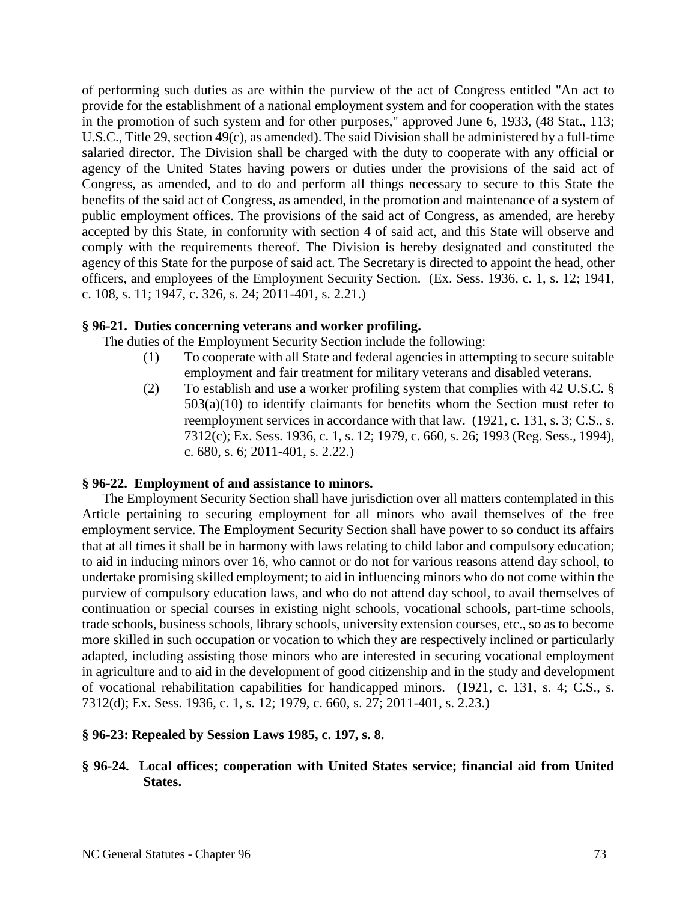of performing such duties as are within the purview of the act of Congress entitled "An act to provide for the establishment of a national employment system and for cooperation with the states in the promotion of such system and for other purposes," approved June 6, 1933, (48 Stat., 113; U.S.C., Title 29, section 49(c), as amended). The said Division shall be administered by a full-time salaried director. The Division shall be charged with the duty to cooperate with any official or agency of the United States having powers or duties under the provisions of the said act of Congress, as amended, and to do and perform all things necessary to secure to this State the benefits of the said act of Congress, as amended, in the promotion and maintenance of a system of public employment offices. The provisions of the said act of Congress, as amended, are hereby accepted by this State, in conformity with section 4 of said act, and this State will observe and comply with the requirements thereof. The Division is hereby designated and constituted the agency of this State for the purpose of said act. The Secretary is directed to appoint the head, other officers, and employees of the Employment Security Section. (Ex. Sess. 1936, c. 1, s. 12; 1941, c. 108, s. 11; 1947, c. 326, s. 24; 2011-401, s. 2.21.)

## **§ 96-21. Duties concerning veterans and worker profiling.**

The duties of the Employment Security Section include the following:

- (1) To cooperate with all State and federal agencies in attempting to secure suitable employment and fair treatment for military veterans and disabled veterans.
- (2) To establish and use a worker profiling system that complies with 42 U.S.C. § 503(a)(10) to identify claimants for benefits whom the Section must refer to reemployment services in accordance with that law. (1921, c. 131, s. 3; C.S., s. 7312(c); Ex. Sess. 1936, c. 1, s. 12; 1979, c. 660, s. 26; 1993 (Reg. Sess., 1994), c. 680, s. 6; 2011-401, s. 2.22.)

## **§ 96-22. Employment of and assistance to minors.**

The Employment Security Section shall have jurisdiction over all matters contemplated in this Article pertaining to securing employment for all minors who avail themselves of the free employment service. The Employment Security Section shall have power to so conduct its affairs that at all times it shall be in harmony with laws relating to child labor and compulsory education; to aid in inducing minors over 16, who cannot or do not for various reasons attend day school, to undertake promising skilled employment; to aid in influencing minors who do not come within the purview of compulsory education laws, and who do not attend day school, to avail themselves of continuation or special courses in existing night schools, vocational schools, part-time schools, trade schools, business schools, library schools, university extension courses, etc., so as to become more skilled in such occupation or vocation to which they are respectively inclined or particularly adapted, including assisting those minors who are interested in securing vocational employment in agriculture and to aid in the development of good citizenship and in the study and development of vocational rehabilitation capabilities for handicapped minors. (1921, c. 131, s. 4; C.S., s. 7312(d); Ex. Sess. 1936, c. 1, s. 12; 1979, c. 660, s. 27; 2011-401, s. 2.23.)

## **§ 96-23: Repealed by Session Laws 1985, c. 197, s. 8.**

# **§ 96-24. Local offices; cooperation with United States service; financial aid from United States.**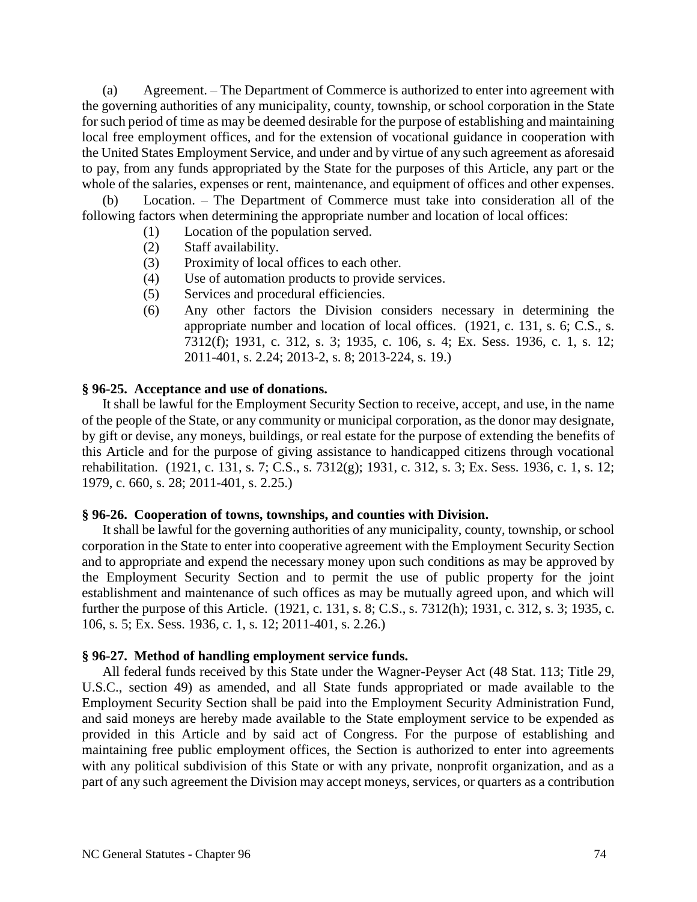(a) Agreement. – The Department of Commerce is authorized to enter into agreement with the governing authorities of any municipality, county, township, or school corporation in the State for such period of time as may be deemed desirable for the purpose of establishing and maintaining local free employment offices, and for the extension of vocational guidance in cooperation with the United States Employment Service, and under and by virtue of any such agreement as aforesaid to pay, from any funds appropriated by the State for the purposes of this Article, any part or the whole of the salaries, expenses or rent, maintenance, and equipment of offices and other expenses.

(b) Location. – The Department of Commerce must take into consideration all of the following factors when determining the appropriate number and location of local offices:

- (1) Location of the population served.
- (2) Staff availability.
- (3) Proximity of local offices to each other.
- (4) Use of automation products to provide services.
- (5) Services and procedural efficiencies.
- (6) Any other factors the Division considers necessary in determining the appropriate number and location of local offices. (1921, c. 131, s. 6; C.S., s. 7312(f); 1931, c. 312, s. 3; 1935, c. 106, s. 4; Ex. Sess. 1936, c. 1, s. 12; 2011-401, s. 2.24; 2013-2, s. 8; 2013-224, s. 19.)

### **§ 96-25. Acceptance and use of donations.**

It shall be lawful for the Employment Security Section to receive, accept, and use, in the name of the people of the State, or any community or municipal corporation, as the donor may designate, by gift or devise, any moneys, buildings, or real estate for the purpose of extending the benefits of this Article and for the purpose of giving assistance to handicapped citizens through vocational rehabilitation. (1921, c. 131, s. 7; C.S., s. 7312(g); 1931, c. 312, s. 3; Ex. Sess. 1936, c. 1, s. 12; 1979, c. 660, s. 28; 2011-401, s. 2.25.)

### **§ 96-26. Cooperation of towns, townships, and counties with Division.**

It shall be lawful for the governing authorities of any municipality, county, township, or school corporation in the State to enter into cooperative agreement with the Employment Security Section and to appropriate and expend the necessary money upon such conditions as may be approved by the Employment Security Section and to permit the use of public property for the joint establishment and maintenance of such offices as may be mutually agreed upon, and which will further the purpose of this Article. (1921, c. 131, s. 8; C.S., s. 7312(h); 1931, c. 312, s. 3; 1935, c. 106, s. 5; Ex. Sess. 1936, c. 1, s. 12; 2011-401, s. 2.26.)

### **§ 96-27. Method of handling employment service funds.**

All federal funds received by this State under the Wagner-Peyser Act (48 Stat. 113; Title 29, U.S.C., section 49) as amended, and all State funds appropriated or made available to the Employment Security Section shall be paid into the Employment Security Administration Fund, and said moneys are hereby made available to the State employment service to be expended as provided in this Article and by said act of Congress. For the purpose of establishing and maintaining free public employment offices, the Section is authorized to enter into agreements with any political subdivision of this State or with any private, nonprofit organization, and as a part of any such agreement the Division may accept moneys, services, or quarters as a contribution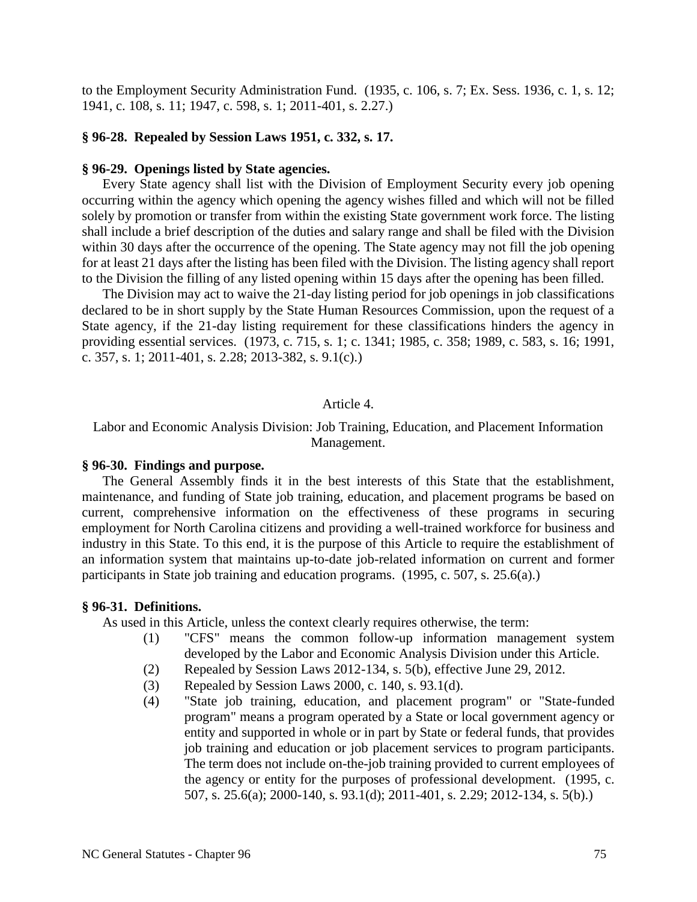to the Employment Security Administration Fund. (1935, c. 106, s. 7; Ex. Sess. 1936, c. 1, s. 12; 1941, c. 108, s. 11; 1947, c. 598, s. 1; 2011-401, s. 2.27.)

### **§ 96-28. Repealed by Session Laws 1951, c. 332, s. 17.**

#### **§ 96-29. Openings listed by State agencies.**

Every State agency shall list with the Division of Employment Security every job opening occurring within the agency which opening the agency wishes filled and which will not be filled solely by promotion or transfer from within the existing State government work force. The listing shall include a brief description of the duties and salary range and shall be filed with the Division within 30 days after the occurrence of the opening. The State agency may not fill the job opening for at least 21 days after the listing has been filed with the Division. The listing agency shall report to the Division the filling of any listed opening within 15 days after the opening has been filled.

The Division may act to waive the 21-day listing period for job openings in job classifications declared to be in short supply by the State Human Resources Commission, upon the request of a State agency, if the 21-day listing requirement for these classifications hinders the agency in providing essential services. (1973, c. 715, s. 1; c. 1341; 1985, c. 358; 1989, c. 583, s. 16; 1991, c. 357, s. 1; 2011-401, s. 2.28; 2013-382, s. 9.1(c).)

### Article 4.

Labor and Economic Analysis Division: Job Training, Education, and Placement Information Management.

#### **§ 96-30. Findings and purpose.**

The General Assembly finds it in the best interests of this State that the establishment, maintenance, and funding of State job training, education, and placement programs be based on current, comprehensive information on the effectiveness of these programs in securing employment for North Carolina citizens and providing a well-trained workforce for business and industry in this State. To this end, it is the purpose of this Article to require the establishment of an information system that maintains up-to-date job-related information on current and former participants in State job training and education programs. (1995, c. 507, s. 25.6(a).)

#### **§ 96-31. Definitions.**

As used in this Article, unless the context clearly requires otherwise, the term:

- (1) "CFS" means the common follow-up information management system developed by the Labor and Economic Analysis Division under this Article.
- (2) Repealed by Session Laws 2012-134, s. 5(b), effective June 29, 2012.
- (3) Repealed by Session Laws 2000, c. 140, s. 93.1(d).
- (4) "State job training, education, and placement program" or "State-funded program" means a program operated by a State or local government agency or entity and supported in whole or in part by State or federal funds, that provides job training and education or job placement services to program participants. The term does not include on-the-job training provided to current employees of the agency or entity for the purposes of professional development. (1995, c. 507, s. 25.6(a); 2000-140, s. 93.1(d); 2011-401, s. 2.29; 2012-134, s. 5(b).)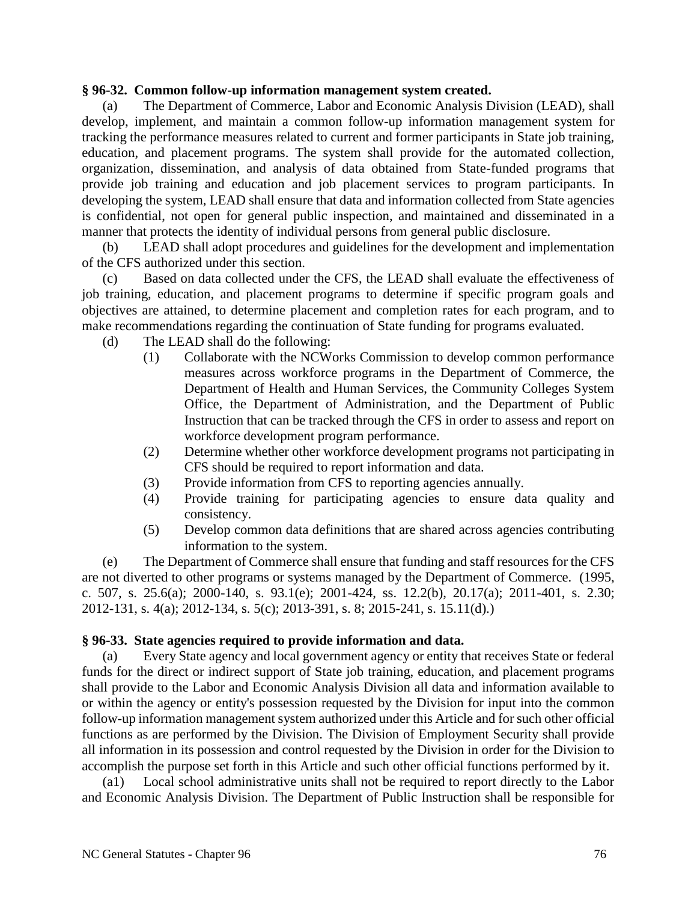### **§ 96-32. Common follow-up information management system created.**

(a) The Department of Commerce, Labor and Economic Analysis Division (LEAD), shall develop, implement, and maintain a common follow-up information management system for tracking the performance measures related to current and former participants in State job training, education, and placement programs. The system shall provide for the automated collection, organization, dissemination, and analysis of data obtained from State-funded programs that provide job training and education and job placement services to program participants. In developing the system, LEAD shall ensure that data and information collected from State agencies is confidential, not open for general public inspection, and maintained and disseminated in a manner that protects the identity of individual persons from general public disclosure.

(b) LEAD shall adopt procedures and guidelines for the development and implementation of the CFS authorized under this section.

(c) Based on data collected under the CFS, the LEAD shall evaluate the effectiveness of job training, education, and placement programs to determine if specific program goals and objectives are attained, to determine placement and completion rates for each program, and to make recommendations regarding the continuation of State funding for programs evaluated.

(d) The LEAD shall do the following:

- (1) Collaborate with the NCWorks Commission to develop common performance measures across workforce programs in the Department of Commerce, the Department of Health and Human Services, the Community Colleges System Office, the Department of Administration, and the Department of Public Instruction that can be tracked through the CFS in order to assess and report on workforce development program performance.
- (2) Determine whether other workforce development programs not participating in CFS should be required to report information and data.
- (3) Provide information from CFS to reporting agencies annually.
- (4) Provide training for participating agencies to ensure data quality and consistency.
- (5) Develop common data definitions that are shared across agencies contributing information to the system.

(e) The Department of Commerce shall ensure that funding and staff resources for the CFS are not diverted to other programs or systems managed by the Department of Commerce. (1995, c. 507, s. 25.6(a); 2000-140, s. 93.1(e); 2001-424, ss. 12.2(b), 20.17(a); 2011-401, s. 2.30; 2012-131, s. 4(a); 2012-134, s. 5(c); 2013-391, s. 8; 2015-241, s. 15.11(d).)

## **§ 96-33. State agencies required to provide information and data.**

(a) Every State agency and local government agency or entity that receives State or federal funds for the direct or indirect support of State job training, education, and placement programs shall provide to the Labor and Economic Analysis Division all data and information available to or within the agency or entity's possession requested by the Division for input into the common follow-up information management system authorized under this Article and for such other official functions as are performed by the Division. The Division of Employment Security shall provide all information in its possession and control requested by the Division in order for the Division to accomplish the purpose set forth in this Article and such other official functions performed by it.

(a1) Local school administrative units shall not be required to report directly to the Labor and Economic Analysis Division. The Department of Public Instruction shall be responsible for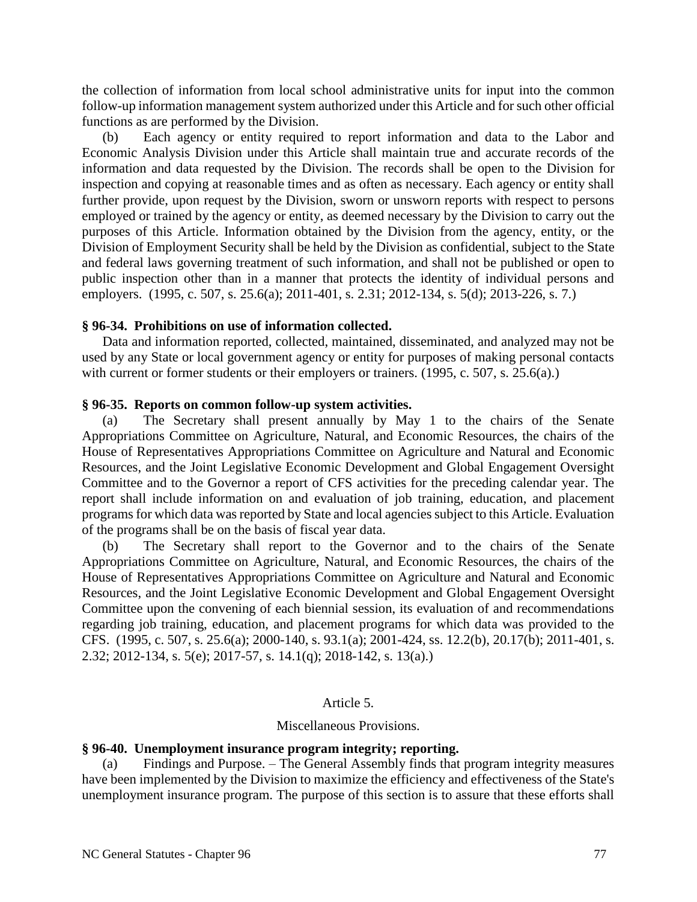the collection of information from local school administrative units for input into the common follow-up information management system authorized under this Article and for such other official functions as are performed by the Division.

(b) Each agency or entity required to report information and data to the Labor and Economic Analysis Division under this Article shall maintain true and accurate records of the information and data requested by the Division. The records shall be open to the Division for inspection and copying at reasonable times and as often as necessary. Each agency or entity shall further provide, upon request by the Division, sworn or unsworn reports with respect to persons employed or trained by the agency or entity, as deemed necessary by the Division to carry out the purposes of this Article. Information obtained by the Division from the agency, entity, or the Division of Employment Security shall be held by the Division as confidential, subject to the State and federal laws governing treatment of such information, and shall not be published or open to public inspection other than in a manner that protects the identity of individual persons and employers. (1995, c. 507, s. 25.6(a); 2011-401, s. 2.31; 2012-134, s. 5(d); 2013-226, s. 7.)

## **§ 96-34. Prohibitions on use of information collected.**

Data and information reported, collected, maintained, disseminated, and analyzed may not be used by any State or local government agency or entity for purposes of making personal contacts with current or former students or their employers or trainers. (1995, c. 507, s. 25.6(a).)

## **§ 96-35. Reports on common follow-up system activities.**

(a) The Secretary shall present annually by May 1 to the chairs of the Senate Appropriations Committee on Agriculture, Natural, and Economic Resources, the chairs of the House of Representatives Appropriations Committee on Agriculture and Natural and Economic Resources, and the Joint Legislative Economic Development and Global Engagement Oversight Committee and to the Governor a report of CFS activities for the preceding calendar year. The report shall include information on and evaluation of job training, education, and placement programs for which data was reported by State and local agencies subject to this Article. Evaluation of the programs shall be on the basis of fiscal year data.

(b) The Secretary shall report to the Governor and to the chairs of the Senate Appropriations Committee on Agriculture, Natural, and Economic Resources, the chairs of the House of Representatives Appropriations Committee on Agriculture and Natural and Economic Resources, and the Joint Legislative Economic Development and Global Engagement Oversight Committee upon the convening of each biennial session, its evaluation of and recommendations regarding job training, education, and placement programs for which data was provided to the CFS. (1995, c. 507, s. 25.6(a); 2000-140, s. 93.1(a); 2001-424, ss. 12.2(b), 20.17(b); 2011-401, s. 2.32; 2012-134, s. 5(e); 2017-57, s. 14.1(q); 2018-142, s. 13(a).)

### Article 5.

### Miscellaneous Provisions.

## **§ 96-40. Unemployment insurance program integrity; reporting.**

(a) Findings and Purpose. – The General Assembly finds that program integrity measures have been implemented by the Division to maximize the efficiency and effectiveness of the State's unemployment insurance program. The purpose of this section is to assure that these efforts shall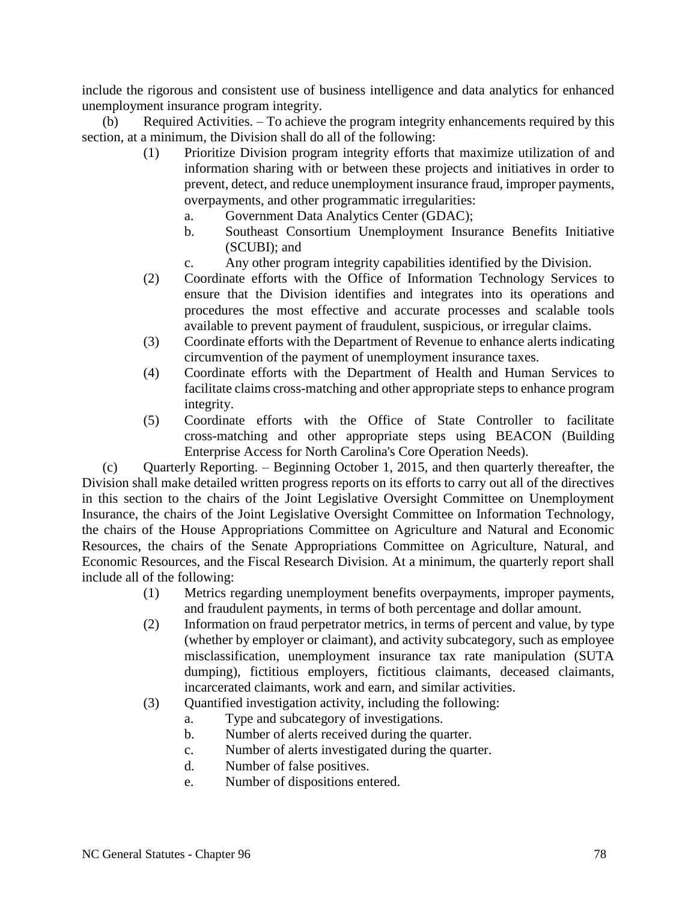include the rigorous and consistent use of business intelligence and data analytics for enhanced unemployment insurance program integrity.

(b) Required Activities. – To achieve the program integrity enhancements required by this section, at a minimum, the Division shall do all of the following:

- (1) Prioritize Division program integrity efforts that maximize utilization of and information sharing with or between these projects and initiatives in order to prevent, detect, and reduce unemployment insurance fraud, improper payments, overpayments, and other programmatic irregularities:
	- a. Government Data Analytics Center (GDAC);
	- b. Southeast Consortium Unemployment Insurance Benefits Initiative (SCUBI); and
	- c. Any other program integrity capabilities identified by the Division.
- (2) Coordinate efforts with the Office of Information Technology Services to ensure that the Division identifies and integrates into its operations and procedures the most effective and accurate processes and scalable tools available to prevent payment of fraudulent, suspicious, or irregular claims.
- (3) Coordinate efforts with the Department of Revenue to enhance alerts indicating circumvention of the payment of unemployment insurance taxes.
- (4) Coordinate efforts with the Department of Health and Human Services to facilitate claims cross-matching and other appropriate steps to enhance program integrity.
- (5) Coordinate efforts with the Office of State Controller to facilitate cross-matching and other appropriate steps using BEACON (Building Enterprise Access for North Carolina's Core Operation Needs).

(c) Quarterly Reporting. – Beginning October 1, 2015, and then quarterly thereafter, the Division shall make detailed written progress reports on its efforts to carry out all of the directives in this section to the chairs of the Joint Legislative Oversight Committee on Unemployment Insurance, the chairs of the Joint Legislative Oversight Committee on Information Technology, the chairs of the House Appropriations Committee on Agriculture and Natural and Economic Resources, the chairs of the Senate Appropriations Committee on Agriculture, Natural, and Economic Resources, and the Fiscal Research Division. At a minimum, the quarterly report shall include all of the following:

- (1) Metrics regarding unemployment benefits overpayments, improper payments, and fraudulent payments, in terms of both percentage and dollar amount.
- (2) Information on fraud perpetrator metrics, in terms of percent and value, by type (whether by employer or claimant), and activity subcategory, such as employee misclassification, unemployment insurance tax rate manipulation (SUTA dumping), fictitious employers, fictitious claimants, deceased claimants, incarcerated claimants, work and earn, and similar activities.
- (3) Quantified investigation activity, including the following:
	- a. Type and subcategory of investigations.
	- b. Number of alerts received during the quarter.
	- c. Number of alerts investigated during the quarter.
	- d. Number of false positives.
	- e. Number of dispositions entered.